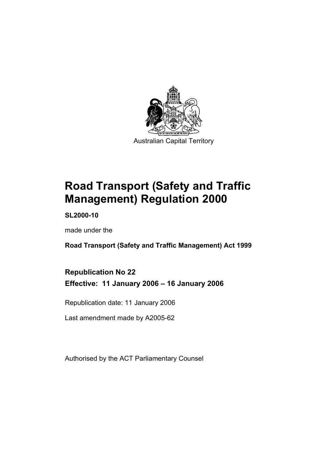

**Road Transport (Safety and Traffic Management) Regulation 2000** 

**SL2000-10** 

made under the

**Road Transport (Safety and Traffic Management) Act 1999** 

**Republication No 22 Effective: 11 January 2006 – 16 January 2006** 

Republication date: 11 January 2006

Last amendment made by A2005-62

Authorised by the ACT Parliamentary Counsel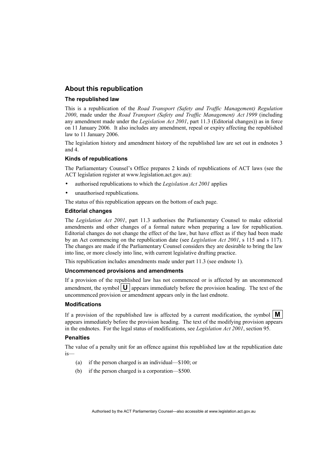#### **About this republication**

#### **The republished law**

This is a republication of the *Road Transport (Safety and Traffic Management) Regulation 2000*, made under the *Road Transport (Safety and Traffic Management) Act 1999* (including any amendment made under the *Legislation Act 2001*, part 11.3 (Editorial changes)) as in force on 11 January 2006*.* It also includes any amendment, repeal or expiry affecting the republished law to 11 January 2006.

The legislation history and amendment history of the republished law are set out in endnotes 3 and 4.

#### **Kinds of republications**

The Parliamentary Counsel's Office prepares 2 kinds of republications of ACT laws (see the ACT legislation register at www.legislation.act.gov.au):

- authorised republications to which the *Legislation Act 2001* applies
- unauthorised republications.

The status of this republication appears on the bottom of each page.

#### **Editorial changes**

The *Legislation Act 2001*, part 11.3 authorises the Parliamentary Counsel to make editorial amendments and other changes of a formal nature when preparing a law for republication. Editorial changes do not change the effect of the law, but have effect as if they had been made by an Act commencing on the republication date (see *Legislation Act 2001*, s 115 and s 117). The changes are made if the Parliamentary Counsel considers they are desirable to bring the law into line, or more closely into line, with current legislative drafting practice.

This republication includes amendments made under part 11.3 (see endnote 1).

#### **Uncommenced provisions and amendments**

If a provision of the republished law has not commenced or is affected by an uncommenced amendment, the symbol  $\mathbf{U}$  appears immediately before the provision heading. The text of the uncommenced provision or amendment appears only in the last endnote.

#### **Modifications**

If a provision of the republished law is affected by a current modification, the symbol  $\mathbf{M}$ appears immediately before the provision heading. The text of the modifying provision appears in the endnotes. For the legal status of modifications, see *Legislation Act 2001*, section 95.

#### **Penalties**

The value of a penalty unit for an offence against this republished law at the republication date is—

- (a) if the person charged is an individual—\$100; or
- (b) if the person charged is a corporation—\$500.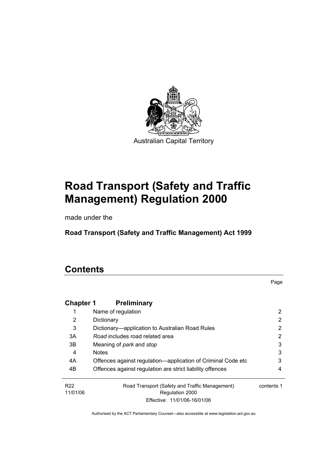

# **Road Transport (Safety and Traffic Management) Regulation 2000**

made under the

**Road Transport (Safety and Traffic Management) Act 1999** 

## **Contents**

Page

| <b>Chapter 1</b>            | <b>Preliminary</b>                                                |            |
|-----------------------------|-------------------------------------------------------------------|------------|
|                             | Name of regulation                                                | 2          |
| 2                           | Dictionary                                                        | 2          |
| 3                           | Dictionary—application to Australian Road Rules                   | 2          |
| 3A                          | Road includes road related area                                   | 2          |
| 3B                          | Meaning of <i>park</i> and <i>stop</i>                            | 3          |
| 4                           | <b>Notes</b>                                                      | 3          |
| 4A                          | Offences against regulation-application of Criminal Code etc      | 3          |
| 4B                          | Offences against regulation are strict liability offences         | 4          |
| R <sub>22</sub><br>11/01/06 | Road Transport (Safety and Traffic Management)<br>Regulation 2000 | contents 1 |
|                             | Effective: 11/01/06-16/01/06                                      |            |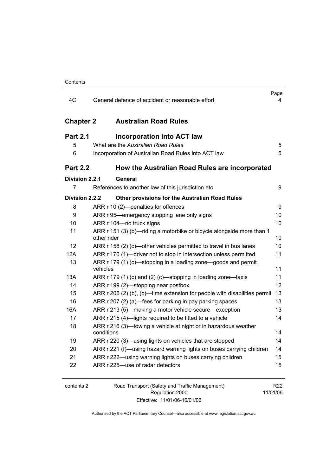| 4C               | General defence of accident or reasonable effort                                     | Page<br>4 |
|------------------|--------------------------------------------------------------------------------------|-----------|
| <b>Chapter 2</b> | <b>Australian Road Rules</b>                                                         |           |
| <b>Part 2.1</b>  | <b>Incorporation into ACT law</b>                                                    |           |
| 5                | What are the Australian Road Rules                                                   | 5         |
| 6                | Incorporation of Australian Road Rules into ACT law                                  | 5         |
| <b>Part 2.2</b>  | How the Australian Road Rules are incorporated                                       |           |
| Division 2.2.1   | General                                                                              |           |
| 7                | References to another law of this jurisdiction etc                                   | 9         |
| Division 2.2.2   | Other provisions for the Australian Road Rules                                       |           |
| 8                | ARR r 10 (2)-penalties for offences                                                  | 9         |
| 9                | ARR r 95-emergency stopping lane only signs                                          | 10        |
| 10               | ARR r 104-no truck signs                                                             | 10        |
| 11               | ARR r 151 (3) (b)—riding a motorbike or bicycle alongside more than 1<br>other rider | 10        |
| 12               | ARR r 158 (2) (c)—other vehicles permitted to travel in bus lanes                    | 10        |
| 12A              | ARR r 170 (1)—driver not to stop in intersection unless permitted                    | 11        |
| 13               | ARR r 179 (1) (c)—stopping in a loading zone—goods and permit<br>vehicles            | 11        |
| 13A              | ARR r 179 (1) (c) and (2) (c)—stopping in loading zone—taxis                         | 11        |
| 14               | ARR r 199 (2)-stopping near postbox                                                  | 12        |
| 15               | ARR $r$ 206 (2) (b), (c)—time extension for people with disabilities permit          | 13        |
| 16               | ARR r 207 (2) (a)—fees for parking in pay parking spaces                             | 13        |
| 16A              | ARR r 213 (5)—making a motor vehicle secure—exception                                | 13        |
| 17               | ARR r 215 (4)-lights required to be fitted to a vehicle                              | 14        |
| 18               | ARR r 216 (3)—towing a vehicle at night or in hazardous weather<br>conditions        | 14        |
| 19               | ARR r 220 (3)—using lights on vehicles that are stopped                              | 14        |
| 20               | ARR r 221 (f)—using hazard warning lights on buses carrying children                 | 14        |
| 21               | ARR r 222—using warning lights on buses carrying children                            | 15        |
| 22               | ARR r 225—use of radar detectors                                                     | 15        |
|                  |                                                                                      |           |

2 Road Transport (Safety and Traffic Management) Regulation 2000 Effective: 11/01/06-16/01/06

R22 11/01/06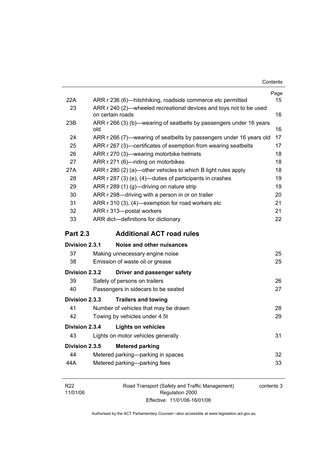| 22A             |                                                   | ARR r 236 (6)—hitchhiking, roadside commerce etc permitted          | Page<br>15 |
|-----------------|---------------------------------------------------|---------------------------------------------------------------------|------------|
| 23              | on certain roads                                  | ARR r 240 (2)—wheeled recreational devices and toys not to be used  | 16         |
| 23B             | old                                               | ARR r 266 (3) (b)—wearing of seatbelts by passengers under 16 years | 16         |
| 24              |                                                   | ARR r 266 (7)—wearing of seatbelts by passengers under 16 years old | 17         |
| 25              |                                                   | ARR r 267 (3)—certificates of exemption from wearing seatbelts      | 17         |
| 26              |                                                   | ARR r 270 (3)-wearing motorbike helmets                             | 18         |
| 27              |                                                   | ARR r 271 (6)-riding on motorbikes                                  | 18         |
| 27A             |                                                   | ARR r 280 (2) (a)—other vehicles to which B light rules apply       | 18         |
| 28              |                                                   | ARR r 287 (3) (e), (4)—duties of participants in crashes            | 19         |
| 29              |                                                   | ARR r 289 (1) (g)-driving on nature strip                           | 19         |
| 30              |                                                   | ARR r 298-driving with a person in or on trailer                    | 20         |
| 31              | ARR r 310 (3), (4)-exemption for road workers etc |                                                                     | 21         |
| 32              |                                                   | ARR r 313-postal workers                                            | 21         |
| 33              |                                                   | ARR dict-definitions for dictionary                                 | 22         |
| <b>Part 2.3</b> |                                                   | <b>Additional ACT road rules</b>                                    |            |
| Division 2.3.1  |                                                   | Noise and other nuisances                                           |            |
| 37              |                                                   | Making unnecessary engine noise                                     | 25         |
| 38              |                                                   | Emission of waste oil or grease                                     | 25         |
| Division 2.3.2  |                                                   | Driver and passenger safety                                         |            |
| 39              |                                                   | Safety of persons on trailers                                       | 26         |
| 40              |                                                   | Passengers in sidecars to be seated                                 | 27         |
| Division 2.3.3  |                                                   | <b>Trailers and towing</b>                                          |            |
| 41              |                                                   | Number of vehicles that may be drawn                                | 28         |
| 42              |                                                   |                                                                     |            |
|                 |                                                   | Towing by vehicles under 4.5t                                       | 29         |
| Division 2.3.4  |                                                   | <b>Lights on vehicles</b>                                           |            |
| 43              |                                                   | Lights on motor vehicles generally                                  | 31         |
| Division 2.3.5  |                                                   | <b>Metered parking</b>                                              |            |
| 44              |                                                   | Metered parking—parking in spaces                                   | 32         |
| 44A             |                                                   | Metered parking-parking fees                                        | 33         |

| R <sub>22</sub> | Road Transport (Safety and Traffic Management) | contents 3 |
|-----------------|------------------------------------------------|------------|
| 11/01/06        | Regulation 2000                                |            |
|                 | Effective: 11/01/06-16/01/06                   |            |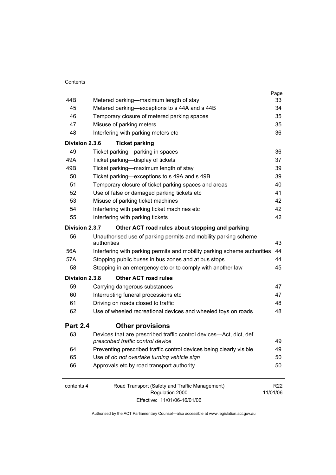|                 |                                                                                                         | Page            |
|-----------------|---------------------------------------------------------------------------------------------------------|-----------------|
| 44B             | Metered parking—maximum length of stay                                                                  | 33              |
| 45              | Metered parking—exceptions to s 44A and s 44B                                                           | 34              |
| 46              | Temporary closure of metered parking spaces                                                             | 35              |
| 47              | Misuse of parking meters                                                                                | 35              |
| 48              | Interfering with parking meters etc                                                                     | 36              |
| Division 2.3.6  | <b>Ticket parking</b>                                                                                   |                 |
| 49              | Ticket parking-parking in spaces                                                                        | 36              |
| 49A             | Ticket parking-display of tickets                                                                       | 37              |
| 49B             | Ticket parking—maximum length of stay                                                                   | 39              |
| 50              | Ticket parking—exceptions to s 49A and s 49B                                                            | 39              |
| 51              | Temporary closure of ticket parking spaces and areas                                                    | 40              |
| 52              | Use of false or damaged parking tickets etc                                                             | 41              |
| 53              | Misuse of parking ticket machines                                                                       | 42              |
| 54              | Interfering with parking ticket machines etc                                                            | 42              |
| 55              | Interfering with parking tickets                                                                        | 42              |
| Division 2.3.7  | Other ACT road rules about stopping and parking                                                         |                 |
| 56              | Unauthorised use of parking permits and mobility parking scheme                                         |                 |
|                 | authorities                                                                                             | 43              |
| 56A             | Interfering with parking permits and mobility parking scheme authorities                                | 44              |
| 57A             | Stopping public buses in bus zones and at bus stops                                                     | 44              |
| 58              | Stopping in an emergency etc or to comply with another law                                              | 45              |
| Division 2.3.8  | <b>Other ACT road rules</b>                                                                             |                 |
| 59              | Carrying dangerous substances                                                                           | 47              |
| 60              | Interrupting funeral processions etc                                                                    | 47              |
| 61              | Driving on roads closed to traffic                                                                      | 48              |
| 62              | Use of wheeled recreational devices and wheeled toys on roads                                           | 48              |
| <b>Part 2.4</b> | <b>Other provisions</b>                                                                                 |                 |
| 63              | Devices that are prescribed traffic control devices—Act, dict, def<br>prescribed traffic control device | 49              |
| 64              | Preventing prescribed traffic control devices being clearly visible                                     | 49              |
| 65              | Use of do not overtake turning vehicle sign                                                             | 50              |
| 66              | Approvals etc by road transport authority                                                               | 50              |
| contents 4      | Road Transport (Safety and Traffic Management)                                                          | R <sub>22</sub> |
|                 | Regulation 2000                                                                                         | 11/01/06        |
|                 | Effective: 11/01/06-16/01/06                                                                            |                 |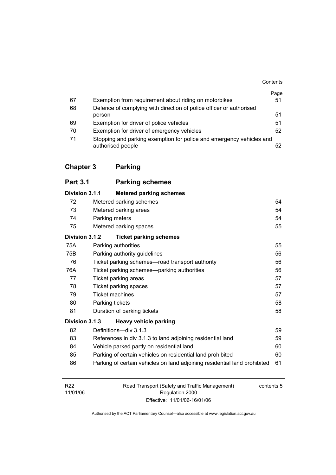|    |                                                                                           | Contents |
|----|-------------------------------------------------------------------------------------------|----------|
|    |                                                                                           | Page     |
| 67 | Exemption from requirement about riding on motorbikes                                     | 51       |
| 68 | Defence of complying with direction of police officer or authorised                       |          |
|    | person                                                                                    | 51       |
| 69 | Exemption for driver of police vehicles                                                   | 51       |
| 70 | Exemption for driver of emergency vehicles                                                | 52       |
| 71 | Stopping and parking exemption for police and emergency vehicles and<br>authorised people | 52       |

## **Chapter 3 Parking**

| <b>Part 3.1</b> |                              | <b>Parking schemes</b>                                                    |    |
|-----------------|------------------------------|---------------------------------------------------------------------------|----|
| Division 3.1.1  |                              | <b>Metered parking schemes</b>                                            |    |
| 72              |                              | Metered parking schemes                                                   | 54 |
| 73              |                              | Metered parking areas                                                     | 54 |
| 74              | Parking meters               |                                                                           | 54 |
| 75              | 55<br>Metered parking spaces |                                                                           |    |
| Division 3.1.2  |                              | <b>Ticket parking schemes</b>                                             |    |
| 75A             |                              | Parking authorities                                                       | 55 |
| 75B             |                              | Parking authority guidelines                                              | 56 |
| 76              |                              | Ticket parking schemes—road transport authority                           | 56 |
| 76A             |                              | Ticket parking schemes—parking authorities                                | 56 |
| 77              |                              | Ticket parking areas                                                      | 57 |
| 78              |                              | Ticket parking spaces                                                     | 57 |
| 79              | <b>Ticket machines</b>       |                                                                           | 57 |
| 80              | Parking tickets              |                                                                           | 58 |
| 81              |                              | Duration of parking tickets                                               | 58 |
| Division 3.1.3  |                              | Heavy vehicle parking                                                     |    |
| 82              |                              | Definitions-div 3.1.3                                                     | 59 |
| 83              |                              | References in div 3.1.3 to land adjoining residential land                | 59 |
| 84              |                              | Vehicle parked partly on residential land                                 | 60 |
| 85              |                              | Parking of certain vehicles on residential land prohibited                | 60 |
| 86              |                              | Parking of certain vehicles on land adjoining residential land prohibited | 61 |

| R22      | Road Transport (Safety and Traffic Management) | contents 5 |
|----------|------------------------------------------------|------------|
| 11/01/06 | Regulation 2000                                |            |
|          | Effective: 11/01/06-16/01/06                   |            |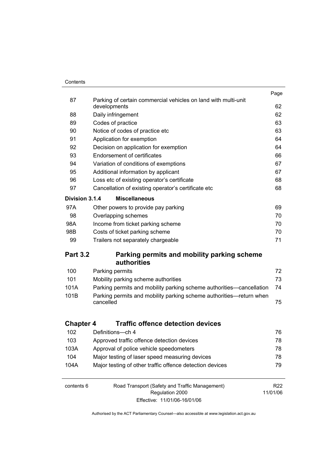#### **Contents**

|                  |                                                                                | Page            |
|------------------|--------------------------------------------------------------------------------|-----------------|
| 87               | Parking of certain commercial vehicles on land with multi-unit<br>developments | 62              |
| 88               | Daily infringement                                                             | 62              |
| 89               | Codes of practice                                                              | 63              |
| 90               | Notice of codes of practice etc                                                | 63              |
| 91               | Application for exemption                                                      | 64              |
| 92               | Decision on application for exemption                                          | 64              |
| 93               | <b>Endorsement of certificates</b>                                             | 66              |
| 94               | Variation of conditions of exemptions                                          | 67              |
| 95               | Additional information by applicant                                            | 67              |
| 96               | Loss etc of existing operator's certificate                                    | 68              |
| 97               | Cancellation of existing operator's certificate etc                            | 68              |
| Division 3.1.4   | <b>Miscellaneous</b>                                                           |                 |
| 97A              | Other powers to provide pay parking                                            | 69              |
| 98               | Overlapping schemes                                                            | 70              |
| 98A              | Income from ticket parking scheme                                              | 70              |
| 98B              | Costs of ticket parking scheme                                                 | 70              |
| 99               | Trailers not separately chargeable                                             | 71              |
|                  |                                                                                |                 |
| <b>Part 3.2</b>  | Parking permits and mobility parking scheme                                    |                 |
|                  | authorities                                                                    |                 |
| 100              | Parking permits                                                                | 72              |
| 101              | Mobility parking scheme authorities                                            | 73              |
| 101A             | Parking permits and mobility parking scheme authorities—cancellation           | 74              |
| 101B             | Parking permits and mobility parking scheme authorities—return when            |                 |
|                  | cancelled                                                                      | 75              |
|                  |                                                                                |                 |
| <b>Chapter 4</b> | <b>Traffic offence detection devices</b>                                       |                 |
| 102              | Definitions-ch 4                                                               | 76              |
| 103              | Approved traffic offence detection devices                                     | 78              |
| 103A             | Approval of police vehicle speedometers                                        | 78              |
| 104              | Major testing of laser speed measuring devices                                 | 78              |
| 104A             | Major testing of other traffic offence detection devices                       | 79              |
|                  |                                                                                |                 |
| contents 6       | Road Transport (Safety and Traffic Management)                                 | R <sub>22</sub> |
|                  |                                                                                |                 |
|                  | Regulation 2000<br>Effective: 11/01/06-16/01/06                                | 11/01/06        |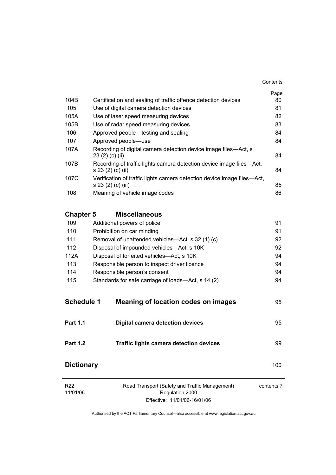| 104B              | Certification and sealing of traffic offence detection devices                                | Page<br>80 |
|-------------------|-----------------------------------------------------------------------------------------------|------------|
| 105               | Use of digital camera detection devices                                                       | 81         |
| 105A              | Use of laser speed measuring devices                                                          | 82         |
| 105B              | Use of radar speed measuring devices                                                          | 83         |
| 106               | Approved people—testing and sealing                                                           | 84         |
| 107               | Approved people-use                                                                           | 84         |
| 107A              | Recording of digital camera detection device image files—Act, s<br>23 (2) (c) (ii)            | 84         |
| 107B              | Recording of traffic lights camera detection device image files-Act,<br>s 23 (2) (c) (ii)     | 84         |
| 107C              | Verification of traffic lights camera detection device image files-Act,<br>s 23 (2) (c) (iii) | 85         |
| 108               | Meaning of vehicle image codes                                                                | 86         |
| <b>Chapter 5</b>  | <b>Miscellaneous</b>                                                                          |            |
| 109               | Additional powers of police                                                                   | 91         |
| 110               | Prohibition on car minding                                                                    | 91         |
| 111               | Removal of unattended vehicles—Act, s 32 (1) (c)                                              | 92         |
| 112               | Disposal of impounded vehicles-Act, s 10K                                                     | 92         |
| 112A              | Disposal of forfeited vehicles-Act, s 10K                                                     | 94         |
| 113               | Responsible person to inspect driver licence                                                  | 94         |
| 114               | Responsible person's consent                                                                  | 94         |
| 115               | Standards for safe carriage of loads—Act, s 14 (2)                                            | 94         |
| <b>Schedule 1</b> | <b>Meaning of location codes on images</b>                                                    | 95         |
| <b>Part 1.1</b>   | <b>Digital camera detection devices</b>                                                       | 95         |
| <b>Part 1.2</b>   | <b>Traffic lights camera detection devices</b>                                                | 99         |
| <b>Dictionary</b> |                                                                                               | 100        |
| ממם               | <b>Poad Transport (Safety and Traffic Management)</b>                                         | contante 7 |

| <b>R22</b> | Road Transport (Safety and Traffic Management) | contents 7 |
|------------|------------------------------------------------|------------|
| 11/01/06   | Regulation 2000                                |            |
|            | Effective: 11/01/06-16/01/06                   |            |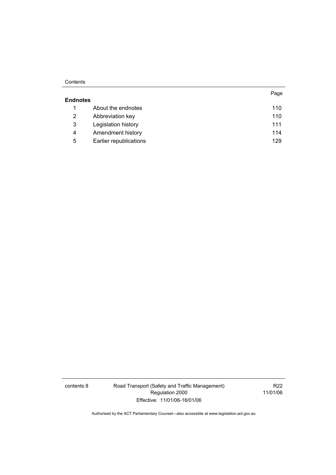#### **Contents**

|                 |                        | Page |
|-----------------|------------------------|------|
| <b>Endnotes</b> |                        |      |
| 1               | About the endnotes     | 110  |
| 2               | Abbreviation key       | 110  |
| 3               | Legislation history    | 111  |
| 4               | Amendment history      | 114  |
| 5               | Earlier republications | 129  |

contents 8 Road Transport (Safety and Traffic Management) Regulation 2000 Effective: 11/01/06-16/01/06

R22 11/01/06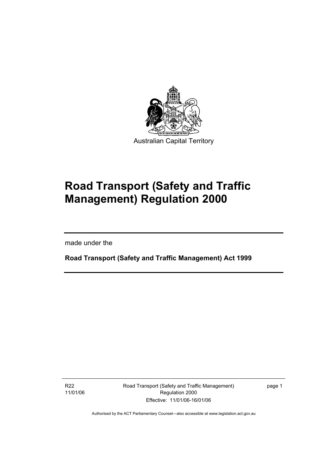

# **Road Transport (Safety and Traffic Management) Regulation 2000**

made under the

I

**Road Transport (Safety and Traffic Management) Act 1999** 

R22 11/01/06 Road Transport (Safety and Traffic Management) Regulation 2000 Effective: 11/01/06-16/01/06

page 1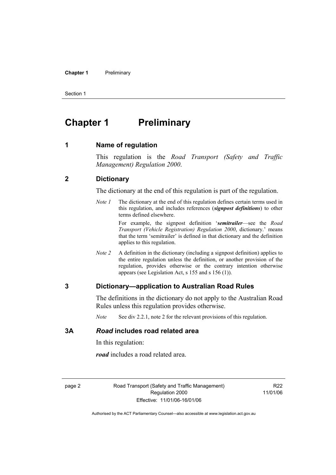#### **Chapter 1** Preliminary

Section 1

### **Chapter 1** Preliminary

#### **1 Name of regulation**

This regulation is the *Road Transport (Safety and Traffic Management) Regulation 2000*.

#### **2 Dictionary**

The dictionary at the end of this regulation is part of the regulation.

*Note 1* The dictionary at the end of this regulation defines certain terms used in this regulation, and includes references (*signpost definitions*) to other terms defined elsewhere.

> For example, the signpost definition '*semitrailer*—see the *Road Transport (Vehicle Registration) Regulation 2000*, dictionary.' means that the term 'semitrailer' is defined in that dictionary and the definition applies to this regulation.

*Note 2* A definition in the dictionary (including a signpost definition) applies to the entire regulation unless the definition, or another provision of the regulation, provides otherwise or the contrary intention otherwise appears (see Legislation Act, s 155 and s 156 (1)).

#### **3 Dictionary—application to Australian Road Rules**

The definitions in the dictionary do not apply to the Australian Road Rules unless this regulation provides otherwise.

*Note* See div 2.2.1, note 2 for the relevant provisions of this regulation.

#### **3A** *Road* **includes road related area**

In this regulation:

*road* includes a road related area.

page 2 Road Transport (Safety and Traffic Management) Regulation 2000 Effective: 11/01/06-16/01/06

R<sub>22</sub> 11/01/06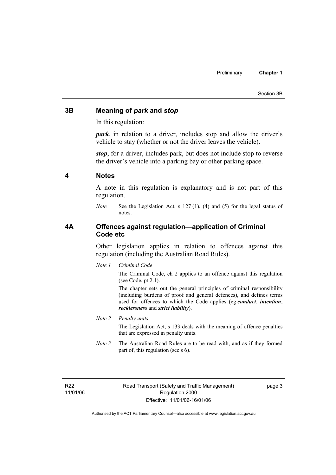#### Section 3B

#### **3B Meaning of** *park* **and** *stop*

In this regulation:

*park*, in relation to a driver, includes stop and allow the driver's vehicle to stay (whether or not the driver leaves the vehicle).

*stop*, for a driver, includes park, but does not include stop to reverse the driver's vehicle into a parking bay or other parking space.

#### **4 Notes**

A note in this regulation is explanatory and is not part of this regulation.

*Note* See the Legislation Act, s 127 (1), (4) and (5) for the legal status of notes.

#### **4A Offences against regulation—application of Criminal Code etc**

Other legislation applies in relation to offences against this regulation (including the Australian Road Rules).

*Note 1 Criminal Code*

The Criminal Code, ch 2 applies to an offence against this regulation (see Code, pt 2.1).

The chapter sets out the general principles of criminal responsibility (including burdens of proof and general defences), and defines terms used for offences to which the Code applies (eg *conduct*, *intention*, *recklessness* and *strict liability*).

#### *Note 2 Penalty units*

The Legislation Act, s 133 deals with the meaning of offence penalties that are expressed in penalty units.

*Note 3* The Australian Road Rules are to be read with, and as if they formed part of, this regulation (see s 6).

page 3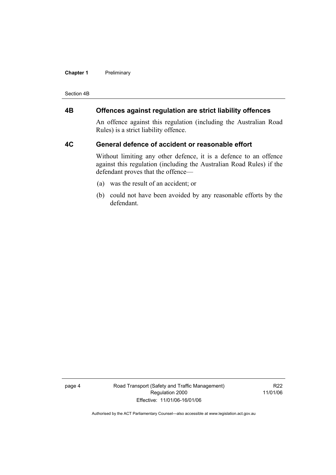#### **Chapter 1** Preliminary

Section 4B

### **4B Offences against regulation are strict liability offences**

An offence against this regulation (including the Australian Road Rules) is a strict liability offence.

#### **4C General defence of accident or reasonable effort**

Without limiting any other defence, it is a defence to an offence against this regulation (including the Australian Road Rules) if the defendant proves that the offence—

- (a) was the result of an accident; or
- (b) could not have been avoided by any reasonable efforts by the defendant.

page 4 Road Transport (Safety and Traffic Management) Regulation 2000 Effective: 11/01/06-16/01/06

R22 11/01/06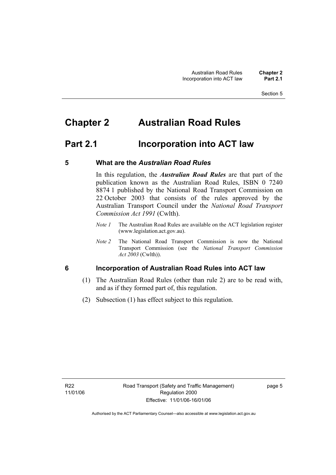## **Chapter 2 Australian Road Rules**

### **Part 2.1 Incorporation into ACT law**

#### **5 What are the** *Australian Road Rules*

In this regulation, the *Australian Road Rules* are that part of the publication known as the Australian Road Rules, ISBN 0 7240 8874 1 published by the National Road Transport Commission on 22 October 2003 that consists of the rules approved by the Australian Transport Council under the *National Road Transport Commission Act 1991* (Cwlth).

- *Note 1* The Australian Road Rules are available on the ACT legislation register (www.legislation.act.gov.au).
- *Note 2* The National Road Transport Commission is now the National Transport Commission (see the *National Transport Commission Act 2003* (Cwlth)).

#### **6 Incorporation of Australian Road Rules into ACT law**

- (1) The Australian Road Rules (other than rule 2) are to be read with, and as if they formed part of, this regulation.
- (2) Subsection (1) has effect subject to this regulation.

page 5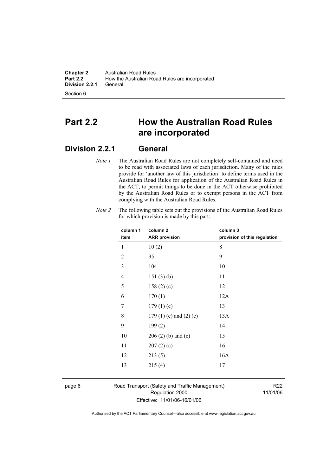**Chapter 2** Australian Road Rules<br>**Part 2.2** How the Australian Road How the Australian Road Rules are incorporated<br>General **Division 2.2.1** 

Section 6

### **Part 2.2 How the Australian Road Rules are incorporated**

### **Division 2.2.1 General**

*Note 1* The Australian Road Rules are not completely self-contained and need to be read with associated laws of each jurisdiction. Many of the rules provide for 'another law of this jurisdiction' to define terms used in the Australian Road Rules for application of the Australian Road Rules in the ACT, to permit things to be done in the ACT otherwise prohibited by the Australian Road Rules or to exempt persons in the ACT from complying with the Australian Road Rules.

| column 1       | column <sub>2</sub>             | column 3                     |
|----------------|---------------------------------|------------------------------|
| item           | <b>ARR provision</b>            | provision of this regulation |
| 1              | 10(2)                           | 8                            |
| $\overline{2}$ | 95                              | 9                            |
| 3              | 104                             | 10                           |
| 4              | 151(3)(b)                       | 11                           |
| 5              | 158(2)(c)                       | 12                           |
| 6              | 170(1)                          | 12A                          |
| 7              | 179(1)(c)                       | 13                           |
| 8              | 179 $(1)$ $(c)$ and $(2)$ $(c)$ | 13A                          |
| 9              | 199(2)                          | 14                           |
| 10             | $206(2)$ (b) and (c)            | 15                           |
| 11             | 207(2)(a)                       | 16                           |
| 12             | 213(5)                          | 16A                          |
| 13             | 215(4)                          | 17                           |
|                |                                 |                              |

*Note 2* The following table sets out the provisions of the Australian Road Rules for which provision is made by this part:

page 6 Road Transport (Safety and Traffic Management) Regulation 2000 Effective: 11/01/06-16/01/06

R22 11/01/06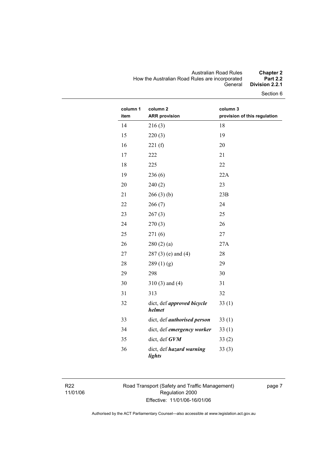#### Australian Road Rules **Chapter 2**  How the Australian Road Rules are incorporated **Part 2.2**  General **Division 2.2.1**

Section 6

| column 1<br>item | column <sub>2</sub><br><b>ARR provision</b> | column 3<br>provision of this regulation |
|------------------|---------------------------------------------|------------------------------------------|
| 14               | 216(3)                                      | 18                                       |
| 15               | 220(3)                                      | 19                                       |
| 16               | 221(f)                                      | 20                                       |
| 17               | 222                                         | 21                                       |
| 18               | 225                                         | 22                                       |
| 19               | 236(6)                                      | 22A                                      |
| 20               | 240(2)                                      | 23                                       |
| 21               | 266(3)(b)                                   | 23B                                      |
| 22               | 266(7)                                      | 24                                       |
| 23               | 267(3)                                      | 25                                       |
| 24               | 270(3)                                      | 26                                       |
| 25               | 271(6)                                      | 27                                       |
| 26               | 280(2)(a)                                   | 27A                                      |
| 27               | $287(3)$ (e) and (4)                        | 28                                       |
| 28               | 289(1)(g)                                   | 29                                       |
| 29               | 298                                         | 30                                       |
| 30               | $310(3)$ and $(4)$                          | 31                                       |
| 31               | 313                                         | 32                                       |
| 32               | dict, def <i>approved bicycle</i><br>helmet | 33(1)                                    |
| 33               | dict, def <i>authorised</i> person          | 33(1)                                    |
| 34               | dict, def emergency worker                  | 33(1)                                    |
| 35               | dict, def GVM                               | 33(2)                                    |
| 36               | dict, def hazard warning<br>lights          | 33(3)                                    |

R22 11/01/06 Road Transport (Safety and Traffic Management) Regulation 2000 Effective: 11/01/06-16/01/06

page 7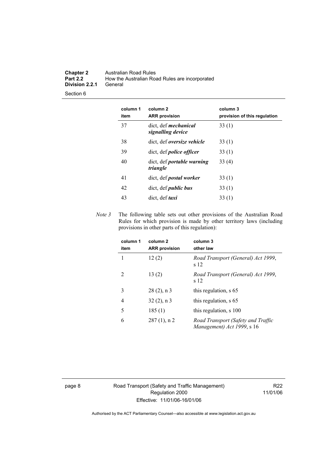#### **Chapter 2** Australian Road Rules<br>**Part 2.2** How the Australian Road How the Australian Road Rules are incorporated<br>General **Division 2.2.1**

Section 6

| column 1<br>item | column 2<br><b>ARR provision</b>                 | column 3<br>provision of this regulation |
|------------------|--------------------------------------------------|------------------------------------------|
| 37               | dict, def <i>mechanical</i><br>signalling device | 33(1)                                    |
| 38               | dict, def <i>oversize</i> vehicle                | 33(1)                                    |
| 39               | dict, def <i>police officer</i>                  | 33(1)                                    |
| 40               | dict, def <i>portable</i> warning<br>triangle    | 33(4)                                    |
| 41               | dict, def <i>postal</i> worker                   | 33(1)                                    |
| 42               | dict, def <i>public bus</i>                      | 33(1)                                    |
| 43               | dict, def <i>taxi</i>                            | 33 (1)                                   |

*Note 3* The following table sets out other provisions of the Australian Road Rules for which provision is made by other territory laws (including provisions in other parts of this regulation):

| column 1<br>item            | column <sub>2</sub><br><b>ARR</b> provision | column 3<br>other law                                            |
|-----------------------------|---------------------------------------------|------------------------------------------------------------------|
| 1                           | 12(2)                                       | Road Transport (General) Act 1999,<br>s 12                       |
| $\mathcal{D}_{\mathcal{L}}$ | 13(2)                                       | Road Transport (General) Act 1999,<br>s 12                       |
| 3                           | $28(2)$ , n 3                               | this regulation, s 65                                            |
| 4                           | $32(2)$ , n 3                               | this regulation, s 65                                            |
| 5                           | 185(1)                                      | this regulation, s 100                                           |
| 6                           | $287(1)$ , n 2                              | Road Transport (Safety and Traffic<br>Management) Act 1999, s 16 |

page 8 Road Transport (Safety and Traffic Management) Regulation 2000 Effective: 11/01/06-16/01/06

R22 11/01/06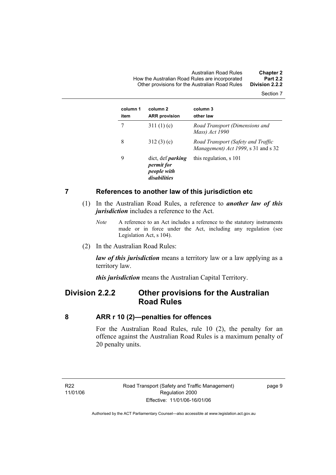Australian Road Rules **Chapter 2**  How the Australian Road Rules are incorporated **Part 2.2**  Other provisions for the Australian Road Rules **Division 2.2.2** 

Section 7

| column 1<br>item | column <sub>2</sub><br><b>ARR provision</b>                                  | column 3<br>other law                                                     |
|------------------|------------------------------------------------------------------------------|---------------------------------------------------------------------------|
|                  | 311 $(1)(c)$                                                                 | Road Transport (Dimensions and<br>Mass) Act 1990                          |
| 8                | 312(3)(c)                                                                    | Road Transport (Safety and Traffic<br>Management) Act 1999, s 31 and s 32 |
| 9                | dict, def <i>parking</i><br><i>permit for</i><br>people with<br>disabilities | this regulation, s 101                                                    |

#### **7 References to another law of this jurisdiction etc**

- (1) In the Australian Road Rules, a reference to *another law of this jurisdiction* includes a reference to the Act.
	- *Note* A reference to an Act includes a reference to the statutory instruments made or in force under the Act, including any regulation (see Legislation Act, s 104).
- (2) In the Australian Road Rules:

*law of this jurisdiction* means a territory law or a law applying as a territory law.

*this jurisdiction* means the Australian Capital Territory.

### **Division 2.2.2 Other provisions for the Australian Road Rules**

#### **8 ARR r 10 (2)—penalties for offences**

For the Australian Road Rules, rule 10 (2), the penalty for an offence against the Australian Road Rules is a maximum penalty of 20 penalty units.

R22 11/01/06 page 9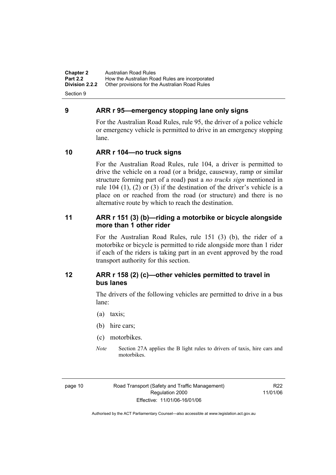**Chapter 2** Australian Road Rules<br>**Part 2.2** How the Australian Ro **Part 2.2 How the Australian Road Rules are incorporated Division 2.2.2** Other provisions for the Australian Road Rules **Other provisions for the Australian Road Rules** 

Section 9

#### **9 ARR r 95—emergency stopping lane only signs**

For the Australian Road Rules, rule 95, the driver of a police vehicle or emergency vehicle is permitted to drive in an emergency stopping lane.

#### **10 ARR r 104—no truck signs**

For the Australian Road Rules, rule 104, a driver is permitted to drive the vehicle on a road (or a bridge, causeway, ramp or similar structure forming part of a road) past a *no trucks sign* mentioned in rule 104 (1), (2) or (3) if the destination of the driver's vehicle is a place on or reached from the road (or structure) and there is no alternative route by which to reach the destination.

#### **11 ARR r 151 (3) (b)—riding a motorbike or bicycle alongside more than 1 other rider**

For the Australian Road Rules, rule 151 (3) (b), the rider of a motorbike or bicycle is permitted to ride alongside more than 1 rider if each of the riders is taking part in an event approved by the road transport authority for this section.

#### **12 ARR r 158 (2) (c)—other vehicles permitted to travel in bus lanes**

The drivers of the following vehicles are permitted to drive in a bus lane:

- (a) taxis;
- (b) hire cars;
- (c) motorbikes.
- *Note* Section 27A applies the B light rules to drivers of taxis, hire cars and motorbikes.

R22 11/01/06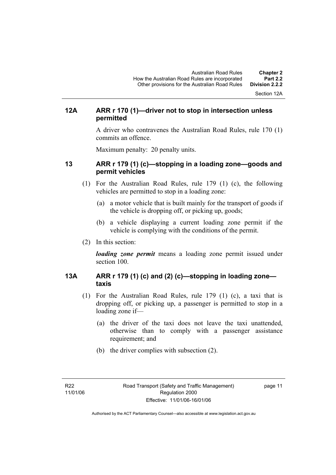Section 12A

#### **12A ARR r 170 (1)—driver not to stop in intersection unless permitted**

A driver who contravenes the Australian Road Rules, rule 170 (1) commits an offence.

Maximum penalty: 20 penalty units.

#### **13 ARR r 179 (1) (c)—stopping in a loading zone—goods and permit vehicles**

- (1) For the Australian Road Rules, rule 179 (1) (c), the following vehicles are permitted to stop in a loading zone:
	- (a) a motor vehicle that is built mainly for the transport of goods if the vehicle is dropping off, or picking up, goods;
	- (b) a vehicle displaying a current loading zone permit if the vehicle is complying with the conditions of the permit.
- (2) In this section:

*loading zone permit* means a loading zone permit issued under section 100.

#### **13A ARR r 179 (1) (c) and (2) (c)—stopping in loading zone taxis**

- (1) For the Australian Road Rules, rule 179 (1) (c), a taxi that is dropping off, or picking up, a passenger is permitted to stop in a loading zone if—
	- (a) the driver of the taxi does not leave the taxi unattended, otherwise than to comply with a passenger assistance requirement; and
	- (b) the driver complies with subsection (2).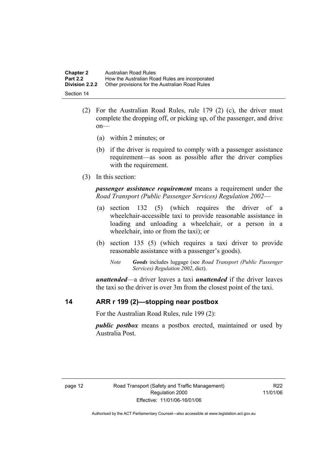| <b>Chapter 2</b>      | Australian Road Rules                          |
|-----------------------|------------------------------------------------|
| <b>Part 2.2</b>       | How the Australian Road Rules are incorporated |
| <b>Division 2.2.2</b> | Other provisions for the Australian Road Rules |
| Section 14            |                                                |

- (2) For the Australian Road Rules, rule 179 (2) (c), the driver must complete the dropping off, or picking up, of the passenger, and drive on—
	- (a) within 2 minutes; or
	- (b) if the driver is required to comply with a passenger assistance requirement—as soon as possible after the driver complies with the requirement.
- (3) In this section:

*passenger assistance requirement* means a requirement under the *Road Transport (Public Passenger Services) Regulation 2002*—

- (a) section 132 (5) (which requires the driver of a wheelchair-accessible taxi to provide reasonable assistance in loading and unloading a wheelchair, or a person in a wheelchair, into or from the taxi); or
- (b) section 135 (5) (which requires a taxi driver to provide reasonable assistance with a passenger's goods).
	- *Note Goods* includes luggage (see *Road Transport (Public Passenger Services) Regulation 2002*, dict).

*unattended*—a driver leaves a taxi *unattended* if the driver leaves the taxi so the driver is over 3m from the closest point of the taxi.

#### **14 ARR r 199 (2)—stopping near postbox**

For the Australian Road Rules, rule 199 (2):

*public postbox* means a postbox erected, maintained or used by Australia Post.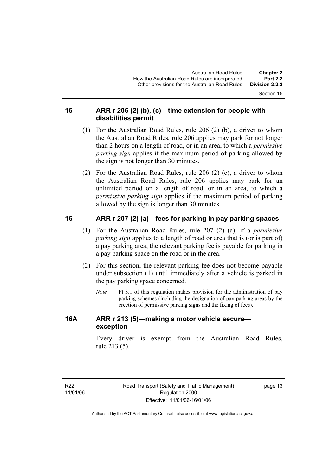Section 15

#### **15 ARR r 206 (2) (b), (c)—time extension for people with disabilities permit**

- (1) For the Australian Road Rules, rule 206 (2) (b), a driver to whom the Australian Road Rules, rule 206 applies may park for not longer than 2 hours on a length of road, or in an area, to which a *permissive parking sign* applies if the maximum period of parking allowed by the sign is not longer than 30 minutes.
- (2) For the Australian Road Rules, rule 206 (2) (c), a driver to whom the Australian Road Rules, rule 206 applies may park for an unlimited period on a length of road, or in an area, to which a *permissive parking sign* applies if the maximum period of parking allowed by the sign is longer than 30 minutes.

#### **16 ARR r 207 (2) (a)—fees for parking in pay parking spaces**

- (1) For the Australian Road Rules, rule 207 (2) (a), if a *permissive parking sign* applies to a length of road or area that is (or is part of) a pay parking area, the relevant parking fee is payable for parking in a pay parking space on the road or in the area.
- (2) For this section, the relevant parking fee does not become payable under subsection (1) until immediately after a vehicle is parked in the pay parking space concerned.
	- *Note* Pt 3.1 of this regulation makes provision for the administration of pay parking schemes (including the designation of pay parking areas by the erection of permissive parking signs and the fixing of fees).

#### **16A ARR r 213 (5)—making a motor vehicle secure exception**

Every driver is exempt from the Australian Road Rules, rule 213 (5).

page 13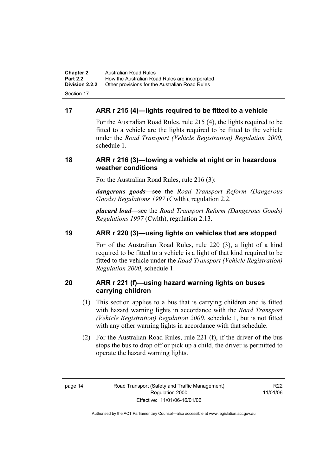**Chapter 2** Australian Road Rules<br>**Part 2.2** How the Australian Ro **Part 2.2 How the Australian Road Rules are incorporated Division 2.2.2** Other provisions for the Australian Road Rules **Other provisions for the Australian Road Rules** Section 17

#### **17 ARR r 215 (4)—lights required to be fitted to a vehicle**

For the Australian Road Rules, rule 215 (4), the lights required to be fitted to a vehicle are the lights required to be fitted to the vehicle under the *Road Transport (Vehicle Registration) Regulation 2000,*  schedule 1.

#### **18 ARR r 216 (3)—towing a vehicle at night or in hazardous weather conditions**

For the Australian Road Rules, rule 216 (3):

*dangerous goods*—see the *Road Transport Reform (Dangerous Goods) Regulations 1997* (Cwlth), regulation 2.2.

*placard load*—see the *Road Transport Reform (Dangerous Goods) Regulations 1997* (Cwlth), regulation 2.13.

#### **19 ARR r 220 (3)—using lights on vehicles that are stopped**

For of the Australian Road Rules, rule 220 (3), a light of a kind required to be fitted to a vehicle is a light of that kind required to be fitted to the vehicle under the *Road Transport (Vehicle Registration) Regulation 2000*, schedule 1.

#### **20 ARR r 221 (f)—using hazard warning lights on buses carrying children**

- (1) This section applies to a bus that is carrying children and is fitted with hazard warning lights in accordance with the *Road Transport (Vehicle Registration) Regulation 2000*, schedule 1, but is not fitted with any other warning lights in accordance with that schedule.
- (2) For the Australian Road Rules, rule 221 (f), if the driver of the bus stops the bus to drop off or pick up a child, the driver is permitted to operate the hazard warning lights.

R<sub>22</sub> 11/01/06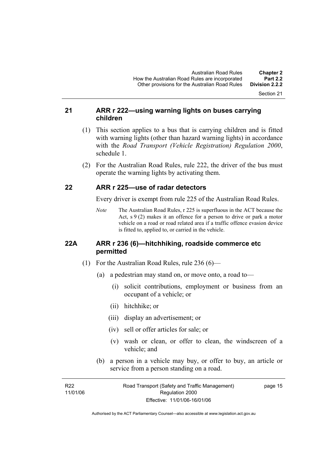Section 21

#### **21 ARR r 222—using warning lights on buses carrying children**

- (1) This section applies to a bus that is carrying children and is fitted with warning lights (other than hazard warning lights) in accordance with the *Road Transport (Vehicle Registration) Regulation 2000*, schedule 1.
- (2) For the Australian Road Rules, rule 222, the driver of the bus must operate the warning lights by activating them.

#### **22 ARR r 225—use of radar detectors**

Every driver is exempt from rule 225 of the Australian Road Rules.

*Note* The Australian Road Rules, r 225 is superfluous in the ACT because the Act,  $s \theta(2)$  makes it an offence for a person to drive or park a motor vehicle on a road or road related area if a traffic offence evasion device is fitted to, applied to, or carried in the vehicle.

#### **22A ARR r 236 (6)—hitchhiking, roadside commerce etc permitted**

- (1) For the Australian Road Rules, rule 236 (6)—
	- (a) a pedestrian may stand on, or move onto, a road to—
		- (i) solicit contributions, employment or business from an occupant of a vehicle; or
		- (ii) hitchhike; or
		- (iii) display an advertisement; or
		- (iv) sell or offer articles for sale; or
		- (v) wash or clean, or offer to clean, the windscreen of a vehicle; and
	- (b) a person in a vehicle may buy, or offer to buy, an article or service from a person standing on a road.

| R22      | Road Transport (Safety and Traffic Management) | page 15 |
|----------|------------------------------------------------|---------|
| 11/01/06 | Regulation 2000                                |         |
|          | Effective: 11/01/06-16/01/06                   |         |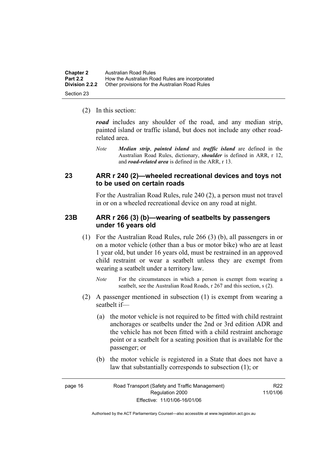| <b>Chapter 2</b>      | Australian Road Rules                          |
|-----------------------|------------------------------------------------|
| <b>Part 2.2</b>       | How the Australian Road Rules are incorporated |
| <b>Division 2.2.2</b> | Other provisions for the Australian Road Rules |
| Section 23            |                                                |

(2) In this section:

*road* includes any shoulder of the road, and any median strip, painted island or traffic island, but does not include any other roadrelated area.

*Note Median strip*, *painted island* and *traffic island* are defined in the Australian Road Rules, dictionary, *shoulder* is defined in ARR, r 12, and *road-related area* is defined in the ARR, r 13.

#### **23 ARR r 240 (2)—wheeled recreational devices and toys not to be used on certain roads**

For the Australian Road Rules, rule 240 (2), a person must not travel in or on a wheeled recreational device on any road at night.

#### **23B ARR r 266 (3) (b)—wearing of seatbelts by passengers under 16 years old**

- (1) For the Australian Road Rules, rule 266 (3) (b), all passengers in or on a motor vehicle (other than a bus or motor bike) who are at least 1 year old, but under 16 years old, must be restrained in an approved child restraint or wear a seatbelt unless they are exempt from wearing a seatbelt under a territory law.
	- *Note* For the circumstances in which a person is exempt from wearing a seatbelt, see the Australian Road Roads, r 267 and this section, s (2).
- (2) A passenger mentioned in subsection (1) is exempt from wearing a seatbelt if—
	- (a) the motor vehicle is not required to be fitted with child restraint anchorages or seatbelts under the 2nd or 3rd edition ADR and the vehicle has not been fitted with a child restraint anchorage point or a seatbelt for a seating position that is available for the passenger; or
	- (b) the motor vehicle is registered in a State that does not have a law that substantially corresponds to subsection (1); or

| page 16 | Road Transport (Safety and Traffic Management) | R22      |
|---------|------------------------------------------------|----------|
|         | Regulation 2000                                | 11/01/06 |
|         | Effective: 11/01/06-16/01/06                   |          |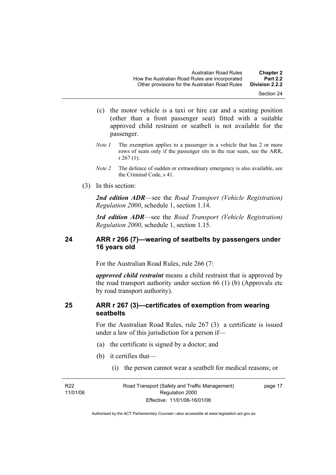- (c) the motor vehicle is a taxi or hire car and a seating position (other than a front passenger seat) fitted with a suitable approved child restraint or seatbelt is not available for the passenger.
- *Note 1* The exemption applies to a passenger in a vehicle that has 2 or more rows of seats only if the passenger sits in the rear seats, see the ARR, r 267 (1).
- *Note 2* The defence of sudden or extraordinary emergency is also available, see the Criminal Code, s 41.
- (3) In this section:

*2nd edition ADR*—see the *Road Transport (Vehicle Registration) Regulation 2000*, schedule 1, section 1.14.

*3rd edition ADR*—see the *Road Transport (Vehicle Registration) Regulation 2000*, schedule 1, section 1.15.

#### **24 ARR r 266 (7)—wearing of seatbelts by passengers under 16 years old**

For the Australian Road Rules, rule 266 (7:

*approved child restraint* means a child restraint that is approved by the road transport authority under section 66 (1) (b) (Approvals etc by road transport authority).

#### **25 ARR r 267 (3)—certificates of exemption from wearing seatbelts**

For the Australian Road Rules, rule 267 (3) a certificate is issued under a law of this jurisdiction for a person if—

- (a) the certificate is signed by a doctor; and
- (b) it certifies that—
	- (i) the person cannot wear a seatbelt for medical reasons; or

R22 11/01/06 Road Transport (Safety and Traffic Management) Regulation 2000 Effective: 11/01/06-16/01/06

page 17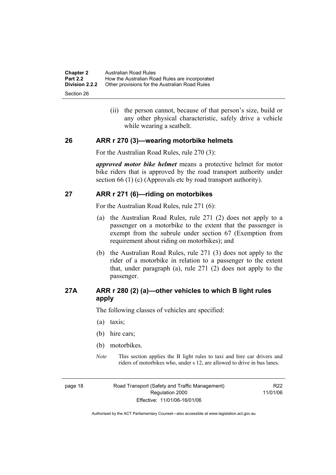| <b>Chapter 2</b>                    | Australian Road Rules                          |
|-------------------------------------|------------------------------------------------|
| <b>Part 2.2</b>                     | How the Australian Road Rules are incorporated |
| <b>Division 2.2.2</b><br>Section 26 | Other provisions for the Australian Road Rules |

 (ii) the person cannot, because of that person's size, build or any other physical characteristic, safely drive a vehicle while wearing a seatbelt.

#### **26 ARR r 270 (3)—wearing motorbike helmets**

For the Australian Road Rules, rule 270 (3):

*approved motor bike helmet* means a protective helmet for motor bike riders that is approved by the road transport authority under section 66 (1) (c) (Approvals etc by road transport authority).

#### **27 ARR r 271 (6)—riding on motorbikes**

For the Australian Road Rules, rule 271 (6):

- (a) the Australian Road Rules, rule 271 (2) does not apply to a passenger on a motorbike to the extent that the passenger is exempt from the subrule under section 67 (Exemption from requirement about riding on motorbikes); and
- (b) the Australian Road Rules, rule 271 (3) does not apply to the rider of a motorbike in relation to a passenger to the extent that, under paragraph (a), rule 271 (2) does not apply to the passenger.

#### **27A ARR r 280 (2) (a)—other vehicles to which B light rules apply**

The following classes of vehicles are specified:

- (a) taxis;
- (b) hire cars;
- (b) motorbikes.
- *Note* This section applies the B light rules to taxi and hire car drivers and riders of motorbikes who, under s 12, are allowed to drive in bus lanes.

page 18 Road Transport (Safety and Traffic Management) Regulation 2000 Effective: 11/01/06-16/01/06

R22 11/01/06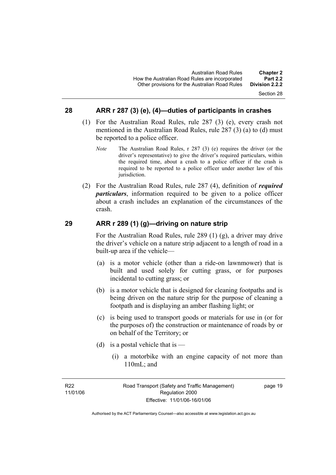#### Section 28

#### **28 ARR r 287 (3) (e), (4)—duties of participants in crashes**

- (1) For the Australian Road Rules, rule 287 (3) (e), every crash not mentioned in the Australian Road Rules, rule 287 (3) (a) to (d) must be reported to a police officer.
	- *Note* The Australian Road Rules, r 287 (3) (e) requires the driver (or the driver's representative) to give the driver's required particulars, within the required time, about a crash to a police officer if the crash is required to be reported to a police officer under another law of this jurisdiction.
- (2) For the Australian Road Rules, rule 287 (4), definition of *required particulars*, information required to be given to a police officer about a crash includes an explanation of the circumstances of the crash.

#### **29 ARR r 289 (1) (g)—driving on nature strip**

For the Australian Road Rules, rule 289 (1) (g), a driver may drive the driver's vehicle on a nature strip adjacent to a length of road in a built-up area if the vehicle—

- (a) is a motor vehicle (other than a ride-on lawnmower) that is built and used solely for cutting grass, or for purposes incidental to cutting grass; or
- (b) is a motor vehicle that is designed for cleaning footpaths and is being driven on the nature strip for the purpose of cleaning a footpath and is displaying an amber flashing light; or
- (c) is being used to transport goods or materials for use in (or for the purposes of) the construction or maintenance of roads by or on behalf of the Territory; or
- (d) is a postal vehicle that is
	- (i) a motorbike with an engine capacity of not more than 110mL; and

page 19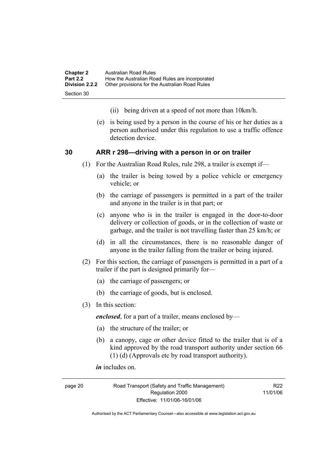| <b>Chapter 2</b> | Australian Road Rules                          |
|------------------|------------------------------------------------|
| <b>Part 2.2</b>  | How the Australian Road Rules are incorporated |
| Division 2.2.2   | Other provisions for the Australian Road Rules |
| Section 30       |                                                |

- (ii) being driven at a speed of not more than 10km/h.
- (e) is being used by a person in the course of his or her duties as a person authorised under this regulation to use a traffic offence detection device.

#### **30 ARR r 298—driving with a person in or on trailer**

- (1) For the Australian Road Rules, rule 298, a trailer is exempt if—
	- (a) the trailer is being towed by a police vehicle or emergency vehicle; or
	- (b) the carriage of passengers is permitted in a part of the trailer and anyone in the trailer is in that part; or
	- (c) anyone who is in the trailer is engaged in the door-to-door delivery or collection of goods, or in the collection of waste or garbage, and the trailer is not travelling faster than 25 km/h; or
	- (d) in all the circumstances, there is no reasonable danger of anyone in the trailer falling from the trailer or being injured.
- (2) For this section, the carriage of passengers is permitted in a part of a trailer if the part is designed primarily for—
	- (a) the carriage of passengers; or
	- (b) the carriage of goods, but is enclosed.
- (3) In this section:

*enclosed*, for a part of a trailer, means enclosed by—

- (a) the structure of the trailer; or
- (b) a canopy, cage or other device fitted to the trailer that is of a kind approved by the road transport authority under section 66 (1) (d) (Approvals etc by road transport authority).

*in* includes on.

page 20 Road Transport (Safety and Traffic Management) Regulation 2000 Effective: 11/01/06-16/01/06

R<sub>22</sub> 11/01/06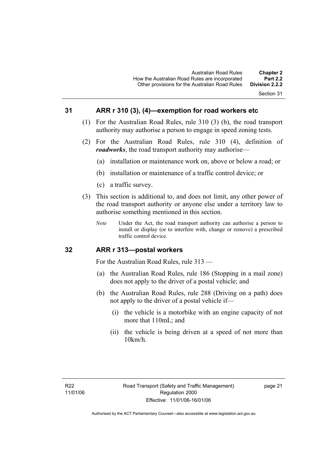#### **31 ARR r 310 (3), (4)—exemption for road workers etc**

- (1) For the Australian Road Rules, rule 310 (3) (b), the road transport authority may authorise a person to engage in speed zoning tests.
- (2) For the Australian Road Rules, rule 310 (4), definition of *roadworks*, the road transport authority may authorise—
	- (a) installation or maintenance work on, above or below a road; or
	- (b) installation or maintenance of a traffic control device; or
	- (c) a traffic survey.
- (3) This section is additional to, and does not limit, any other power of the road transport authority or anyone else under a territory law to authorise something mentioned in this section.
	- *Note* Under the Act, the road transport authority can authorise a person to install or display (or to interfere with, change or remove) a prescribed traffic control device.

#### **32 ARR r 313—postal workers**

For the Australian Road Rules, rule 313 —

- (a) the Australian Road Rules, rule 186 (Stopping in a mail zone) does not apply to the driver of a postal vehicle; and
- (b) the Australian Road Rules, rule 288 (Driving on a path) does not apply to the driver of a postal vehicle if—
	- (i) the vehicle is a motorbike with an engine capacity of not more that 110mL; and
	- (ii) the vehicle is being driven at a speed of not more than 10km/h.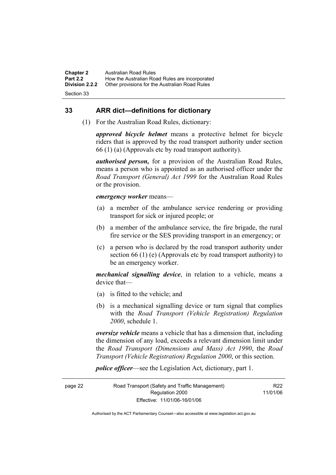**Chapter 2** Australian Road Rules<br>**Part 2.2** How the Australian Ro **Part 2.2 How the Australian Road Rules are incorporated Division 2.2.2** Other provisions for the Australian Road Rules **Other provisions for the Australian Road Rules** 

Section 33

#### **33 ARR dict—definitions for dictionary**

(1) For the Australian Road Rules, dictionary:

*approved bicycle helmet* means a protective helmet for bicycle riders that is approved by the road transport authority under section 66 (1) (a) (Approvals etc by road transport authority).

*authorised person,* for a provision of the Australian Road Rules, means a person who is appointed as an authorised officer under the *Road Transport (General) Act 1999* for the Australian Road Rules or the provision.

#### *emergency worker* means—

- (a) a member of the ambulance service rendering or providing transport for sick or injured people; or
- (b) a member of the ambulance service, the fire brigade, the rural fire service or the SES providing transport in an emergency; or
- (c) a person who is declared by the road transport authority under section 66 (1) (e) (Approvals etc by road transport authority) to be an emergency worker.

*mechanical signalling device*, in relation to a vehicle, means a device that—

- (a) is fitted to the vehicle; and
- (b) is a mechanical signalling device or turn signal that complies with the *Road Transport (Vehicle Registration) Regulation 2000*, schedule 1.

*oversize vehicle* means a vehicle that has a dimension that, including the dimension of any load, exceeds a relevant dimension limit under the *Road Transport (Dimensions and Mass) Act 1990*, the *Road Transport (Vehicle Registration) Regulation 2000*, or this section.

*police officer*—see the Legislation Act, dictionary, part 1.

page 22 Road Transport (Safety and Traffic Management) Regulation 2000 Effective: 11/01/06-16/01/06 R22 11/01/06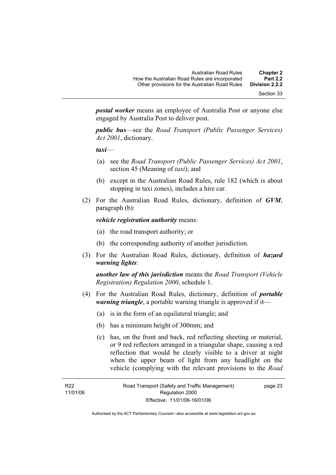Section 33

*postal worker* means an employee of Australia Post or anyone else engaged by Australia Post to deliver post.

*public bus*—see the *Road Transport (Public Passenger Services) Act 2001*, dictionary.

*taxi*—

- (a) see the *Road Transport (Public Passenger Services) Act 2001*, section 45 (Meaning of *taxi*); and
- (b) except in the Australian Road Rules, rule 182 (which is about stopping in taxi zones), includes a hire car.
- (2) For the Australian Road Rules, dictionary, definition of *GVM*, paragraph (b):

#### *vehicle registration authority* means:

- (a) the road transport authority; or
- (b) the corresponding authority of another jurisdiction.
- (3) For the Australian Road Rules, dictionary, definition of *hazard warning lights*:

*another law of this jurisdiction* means the *Road Transport (Vehicle Registration) Regulation 2000*, schedule 1.

- (4) For the Australian Road Rules, dictionary, definition of *portable warning triangle*, a portable warning triangle is approved if it—
	- (a) is in the form of an equilateral triangle; and
	- (b) has a minimum height of 300mm; and
	- (c) has, on the front and back, red reflecting sheeting or material, or 9 red reflectors arranged in a triangular shape, causing a red reflection that would be clearly visible to a driver at night when the upper beam of light from any headlight on the vehicle (complying with the relevant provisions to the *Road*

page 23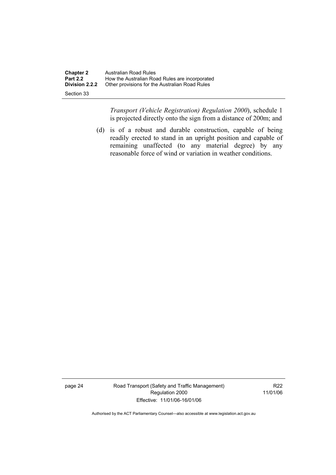| <b>Chapter 2</b><br><b>Part 2.2</b> | Australian Road Rules<br>How the Australian Road Rules are incorporated |
|-------------------------------------|-------------------------------------------------------------------------|
| Division 2.2.2                      | Other provisions for the Australian Road Rules                          |
| Section 33                          |                                                                         |

*Transport (Vehicle Registration) Regulation 2000*), schedule 1 is projected directly onto the sign from a distance of 200m; and

 (d) is of a robust and durable construction, capable of being readily erected to stand in an upright position and capable of remaining unaffected (to any material degree) by any reasonable force of wind or variation in weather conditions.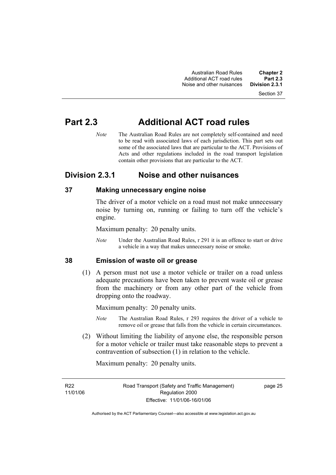Section 37

### **Part 2.3 Additional ACT road rules**

*Note* The Australian Road Rules are not completely self-contained and need to be read with associated laws of each jurisdiction. This part sets out some of the associated laws that are particular to the ACT. Provisions of Acts and other regulations included in the road transport legislation contain other provisions that are particular to the ACT.

### **Division 2.3.1 Noise and other nuisances**

#### **37 Making unnecessary engine noise**

The driver of a motor vehicle on a road must not make unnecessary noise by turning on, running or failing to turn off the vehicle's engine.

Maximum penalty: 20 penalty units.

*Note* Under the Australian Road Rules, r 291 it is an offence to start or drive a vehicle in a way that makes unnecessary noise or smoke.

#### **38 Emission of waste oil or grease**

 (1) A person must not use a motor vehicle or trailer on a road unless adequate precautions have been taken to prevent waste oil or grease from the machinery or from any other part of the vehicle from dropping onto the roadway.

Maximum penalty: 20 penalty units.

- *Note* The Australian Road Rules, r 293 requires the driver of a vehicle to remove oil or grease that falls from the vehicle in certain circumstances.
- (2) Without limiting the liability of anyone else, the responsible person for a motor vehicle or trailer must take reasonable steps to prevent a contravention of subsection (1) in relation to the vehicle.

Maximum penalty: 20 penalty units.

R22 11/01/06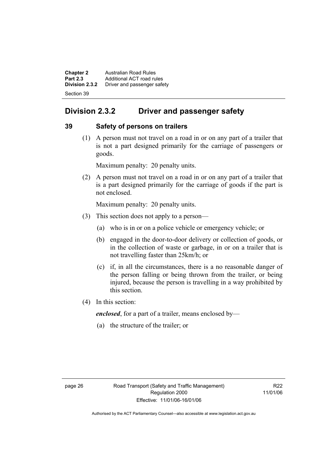**Chapter 2 Australian Road Rules**<br>**Part 2.3 Additional ACT road rules Part 2.3** Additional ACT road rules<br>**Division 2.3.2** Driver and passenger safe **Division 2.3.2** Driver and passenger safety Section 39

### **Division 2.3.2 Driver and passenger safety**

#### **39 Safety of persons on trailers**

 (1) A person must not travel on a road in or on any part of a trailer that is not a part designed primarily for the carriage of passengers or goods.

Maximum penalty: 20 penalty units.

 (2) A person must not travel on a road in or on any part of a trailer that is a part designed primarily for the carriage of goods if the part is not enclosed.

Maximum penalty: 20 penalty units.

- (3) This section does not apply to a person—
	- (a) who is in or on a police vehicle or emergency vehicle; or
	- (b) engaged in the door-to-door delivery or collection of goods, or in the collection of waste or garbage, in or on a trailer that is not travelling faster than 25km/h; or
	- (c) if, in all the circumstances, there is a no reasonable danger of the person falling or being thrown from the trailer, or being injured, because the person is travelling in a way prohibited by this section.
- (4) In this section:

*enclosed*, for a part of a trailer, means enclosed by—

(a) the structure of the trailer; or

R22 11/01/06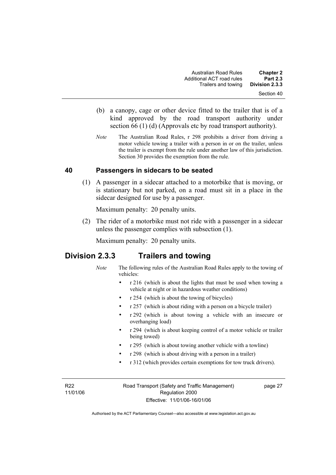- (b) a canopy, cage or other device fitted to the trailer that is of a kind approved by the road transport authority under section 66 (1) (d) (Approvals etc by road transport authority).
- *Note* The Australian Road Rules, r 298 prohibits a driver from driving a motor vehicle towing a trailer with a person in or on the trailer, unless the trailer is exempt from the rule under another law of this jurisdiction. Section 30 provides the exemption from the rule.

# **40 Passengers in sidecars to be seated**

 (1) A passenger in a sidecar attached to a motorbike that is moving, or is stationary but not parked, on a road must sit in a place in the sidecar designed for use by a passenger.

Maximum penalty: 20 penalty units.

 (2) The rider of a motorbike must not ride with a passenger in a sidecar unless the passenger complies with subsection (1).

Maximum penalty: 20 penalty units.

# **Division 2.3.3 Trailers and towing**

- *Note* The following rules of the Australian Road Rules apply to the towing of vehicles:
	- r 216 (which is about the lights that must be used when towing a vehicle at night or in hazardous weather conditions)
	- r 254 (which is about the towing of bicycles)
	- r 257 (which is about riding with a person on a bicycle trailer)
	- r 292 (which is about towing a vehicle with an insecure or overhanging load)
	- r 294 (which is about keeping control of a motor vehicle or trailer being towed)
	- r 295 (which is about towing another vehicle with a towline)
	- r 298 (which is about driving with a person in a trailer)
	- r 312 (which provides certain exemptions for tow truck drivers).

R22 11/01/06 Road Transport (Safety and Traffic Management) Regulation 2000 Effective: 11/01/06-16/01/06

page 27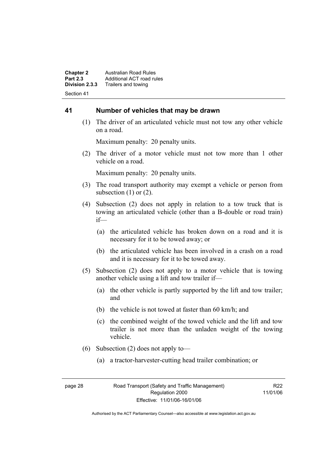**Chapter 2 Australian Road Rules**<br>**Part 2.3 Additional ACT road rules Part 2.3** Additional ACT road rules<br>**Division 2.3.3** Trailers and towing **Division 2.3.3** Trailers and towing Section 41

#### **41 Number of vehicles that may be drawn**

 (1) The driver of an articulated vehicle must not tow any other vehicle on a road.

Maximum penalty: 20 penalty units.

 (2) The driver of a motor vehicle must not tow more than 1 other vehicle on a road.

Maximum penalty: 20 penalty units.

- (3) The road transport authority may exempt a vehicle or person from subsection  $(1)$  or  $(2)$ .
- (4) Subsection (2) does not apply in relation to a tow truck that is towing an articulated vehicle (other than a B-double or road train) if—
	- (a) the articulated vehicle has broken down on a road and it is necessary for it to be towed away; or
	- (b) the articulated vehicle has been involved in a crash on a road and it is necessary for it to be towed away.
- (5) Subsection (2) does not apply to a motor vehicle that is towing another vehicle using a lift and tow trailer if—
	- (a) the other vehicle is partly supported by the lift and tow trailer; and
	- (b) the vehicle is not towed at faster than 60 km/h; and
	- (c) the combined weight of the towed vehicle and the lift and tow trailer is not more than the unladen weight of the towing vehicle.
- (6) Subsection (2) does not apply to—
	- (a) a tractor-harvester-cutting head trailer combination; or

R22 11/01/06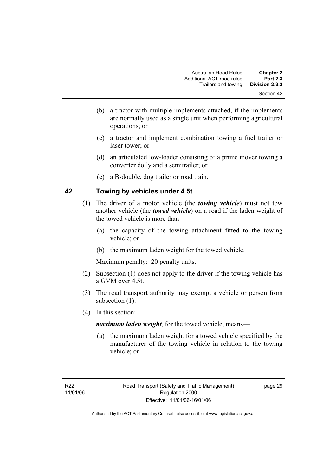- (b) a tractor with multiple implements attached, if the implements are normally used as a single unit when performing agricultural operations; or
- (c) a tractor and implement combination towing a fuel trailer or laser tower; or
- (d) an articulated low-loader consisting of a prime mover towing a converter dolly and a semitrailer; or
- (e) a B-double, dog trailer or road train.

# **42 Towing by vehicles under 4.5t**

- (1) The driver of a motor vehicle (the *towing vehicle*) must not tow another vehicle (the *towed vehicle*) on a road if the laden weight of the towed vehicle is more than—
	- (a) the capacity of the towing attachment fitted to the towing vehicle; or
	- (b) the maximum laden weight for the towed vehicle.

Maximum penalty: 20 penalty units.

- (2) Subsection (1) does not apply to the driver if the towing vehicle has a GVM over 4.5t.
- (3) The road transport authority may exempt a vehicle or person from subsection  $(1)$ .
- (4) In this section:

*maximum laden weight*, for the towed vehicle, means—

 (a) the maximum laden weight for a towed vehicle specified by the manufacturer of the towing vehicle in relation to the towing vehicle; or

page 29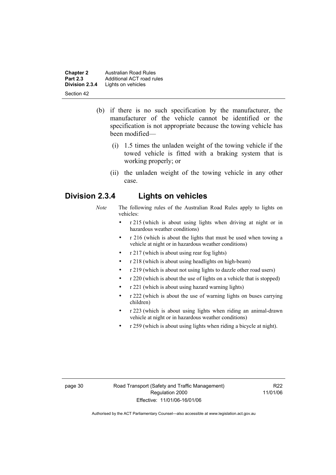**Chapter 2 Australian Road Rules**<br>**Part 2.3 Additional ACT road rules Part 2.3** Additional ACT road rules<br>**Division 2.3.4** Lights on vehicles Lights on vehicles Section 42

- (b) if there is no such specification by the manufacturer, the manufacturer of the vehicle cannot be identified or the specification is not appropriate because the towing vehicle has been modified—
	- (i) 1.5 times the unladen weight of the towing vehicle if the towed vehicle is fitted with a braking system that is working properly; or
	- (ii) the unladen weight of the towing vehicle in any other case.

# **Division 2.3.4 Lights on vehicles**

- *Note* The following rules of the Australian Road Rules apply to lights on vehicles:
	- r 215 (which is about using lights when driving at night or in hazardous weather conditions)
	- r 216 (which is about the lights that must be used when towing a vehicle at night or in hazardous weather conditions)
	- r 217 (which is about using rear fog lights)
	- r 218 (which is about using headlights on high-beam)
	- r 219 (which is about not using lights to dazzle other road users)
	- r 220 (which is about the use of lights on a vehicle that is stopped)
	- r 221 (which is about using hazard warning lights)
	- r 222 (which is about the use of warning lights on buses carrying children)
	- r 223 (which is about using lights when riding an animal-drawn vehicle at night or in hazardous weather conditions)
	- r 259 (which is about using lights when riding a bicycle at night).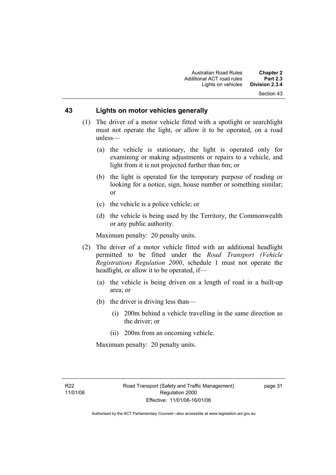### **43 Lights on motor vehicles generally**

- (1) The driver of a motor vehicle fitted with a spotlight or searchlight must not operate the light, or allow it to be operated, on a road unless—
	- (a) the vehicle is stationary, the light is operated only for examining or making adjustments or repairs to a vehicle, and light from it is not projected further than 6m; or
	- (b) the light is operated for the temporary purpose of reading or looking for a notice, sign, house number or something similar; or
	- (c) the vehicle is a police vehicle; or
	- (d) the vehicle is being used by the Territory, the Commonwealth or any public authority.

Maximum penalty: 20 penalty units.

- (2) The driver of a motor vehicle fitted with an additional headlight permitted to be fitted under the *Road Transport (Vehicle Registration) Regulation 2000*, schedule 1 must not operate the headlight, or allow it to be operated, if—
	- (a) the vehicle is being driven on a length of road in a built-up area; or
	- (b) the driver is driving less than—
		- (i) 200m behind a vehicle travelling in the same direction as the driver; or
		- (ii) 200m from an oncoming vehicle.

Maximum penalty: 20 penalty units.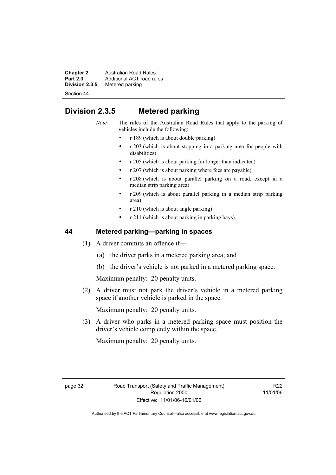**Chapter 2** Australian Road Rules<br>**Part 2.3** Additional ACT road rules **Part 2.3** Additional ACT road rules<br>**Division 2.3.5** Metered parking **Metered parking** 

Section 44

# **Division 2.3.5 Metered parking**

*Note* The rules of the Australian Road Rules that apply to the parking of vehicles include the following:

- r 189 (which is about double parking)
- r 203 (which is about stopping in a parking area for people with disabilities)
- r 205 (which is about parking for longer than indicated)
- r 207 (which is about parking where fees are payable)
- r 208 (which is about parallel parking on a road, except in a median strip parking area)
- r 209 (which is about parallel parking in a median strip parking area)
- r 210 (which is about angle parking)
- r 211 (which is about parking in parking bays).

# **44 Metered parking—parking in spaces**

- (1) A driver commits an offence if—
	- (a) the driver parks in a metered parking area; and
	- (b) the driver's vehicle is not parked in a metered parking space.

Maximum penalty: 20 penalty units.

 (2) A driver must not park the driver's vehicle in a metered parking space if another vehicle is parked in the space.

Maximum penalty: 20 penalty units.

 (3) A driver who parks in a metered parking space must position the driver's vehicle completely within the space.

Maximum penalty: 20 penalty units.

R22 11/01/06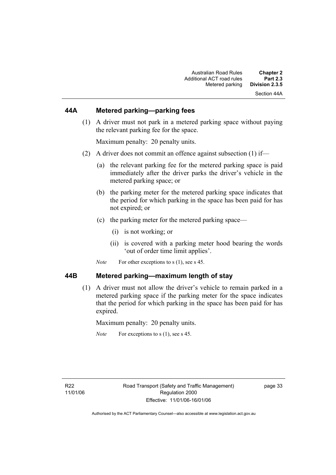# **44A Metered parking—parking fees**

 (1) A driver must not park in a metered parking space without paying the relevant parking fee for the space.

Maximum penalty: 20 penalty units.

- (2) A driver does not commit an offence against subsection (1) if—
	- (a) the relevant parking fee for the metered parking space is paid immediately after the driver parks the driver's vehicle in the metered parking space; or
	- (b) the parking meter for the metered parking space indicates that the period for which parking in the space has been paid for has not expired; or
	- (c) the parking meter for the metered parking space—
		- (i) is not working; or
		- (ii) is covered with a parking meter hood bearing the words 'out of order time limit applies'.
	- *Note* For other exceptions to s (1), see s 45.

#### **44B Metered parking—maximum length of stay**

 (1) A driver must not allow the driver's vehicle to remain parked in a metered parking space if the parking meter for the space indicates that the period for which parking in the space has been paid for has expired.

Maximum penalty: 20 penalty units.

*Note* For exceptions to s (1), see s 45.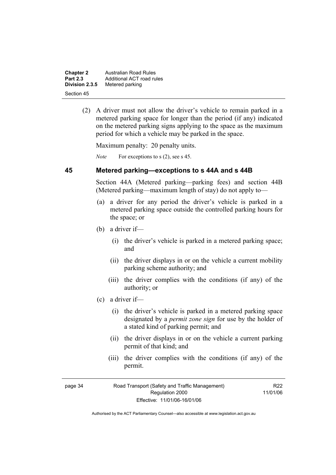| <b>Chapter 2</b> | Australian Road Rules     |
|------------------|---------------------------|
| <b>Part 2.3</b>  | Additional ACT road rules |
| Division 2.3.5   | Metered parking           |
| Section 45       |                           |

 (2) A driver must not allow the driver's vehicle to remain parked in a metered parking space for longer than the period (if any) indicated on the metered parking signs applying to the space as the maximum period for which a vehicle may be parked in the space.

Maximum penalty: 20 penalty units.

*Note* For exceptions to s (2), see s 45.

#### **45 Metered parking—exceptions to s 44A and s 44B**

Section 44A (Metered parking—parking fees) and section 44B (Metered parking—maximum length of stay) do not apply to—

- (a) a driver for any period the driver's vehicle is parked in a metered parking space outside the controlled parking hours for the space; or
- (b) a driver if—
	- (i) the driver's vehicle is parked in a metered parking space; and
	- (ii) the driver displays in or on the vehicle a current mobility parking scheme authority; and
	- (iii) the driver complies with the conditions (if any) of the authority; or
- (c) a driver if—
	- (i) the driver's vehicle is parked in a metered parking space designated by a *permit zone sign* for use by the holder of a stated kind of parking permit; and
	- (ii) the driver displays in or on the vehicle a current parking permit of that kind; and
	- (iii) the driver complies with the conditions (if any) of the permit.

R22 11/01/06

| page 34 | Road Transport (Safety and Traffic Management) |  |
|---------|------------------------------------------------|--|
|         | Regulation 2000                                |  |
|         | Effective: 11/01/06-16/01/06                   |  |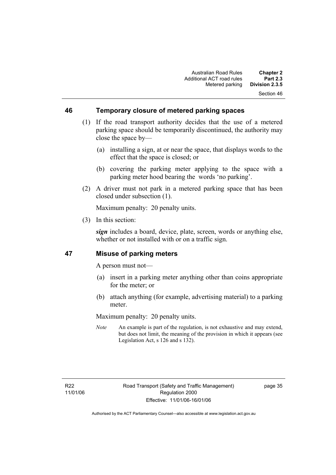#### **46 Temporary closure of metered parking spaces**

- (1) If the road transport authority decides that the use of a metered parking space should be temporarily discontinued, the authority may close the space by—
	- (a) installing a sign, at or near the space, that displays words to the effect that the space is closed; or
	- (b) covering the parking meter applying to the space with a parking meter hood bearing the words 'no parking'.
- (2) A driver must not park in a metered parking space that has been closed under subsection (1).

Maximum penalty: 20 penalty units.

(3) In this section:

*sign* includes a board, device, plate, screen, words or anything else, whether or not installed with or on a traffic sign.

### **47 Misuse of parking meters**

A person must not—

- (a) insert in a parking meter anything other than coins appropriate for the meter; or
- (b) attach anything (for example, advertising material) to a parking meter.

Maximum penalty: 20 penalty units.

*Note* An example is part of the regulation, is not exhaustive and may extend, but does not limit, the meaning of the provision in which it appears (see Legislation Act, s 126 and s 132).

page 35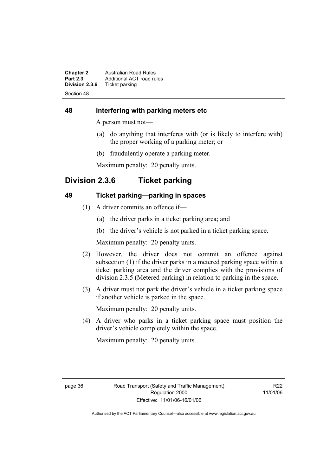**Chapter 2** Australian Road Rules<br>**Part 2.3** Additional ACT road rules **Part 2.3** Additional ACT road rules<br>**Division 2.3.6** Ticket parking **Ticket parking** Section 48

# **48 Interfering with parking meters etc**

A person must not—

- (a) do anything that interferes with (or is likely to interfere with) the proper working of a parking meter; or
- (b) fraudulently operate a parking meter.

Maximum penalty: 20 penalty units.

# **Division 2.3.6 Ticket parking**

# **49 Ticket parking—parking in spaces**

- (1) A driver commits an offence if—
	- (a) the driver parks in a ticket parking area; and
	- (b) the driver's vehicle is not parked in a ticket parking space.

Maximum penalty: 20 penalty units.

- (2) However, the driver does not commit an offence against subsection (1) if the driver parks in a metered parking space within a ticket parking area and the driver complies with the provisions of division 2.3.5 (Metered parking) in relation to parking in the space.
- (3) A driver must not park the driver's vehicle in a ticket parking space if another vehicle is parked in the space.

Maximum penalty: 20 penalty units.

 (4) A driver who parks in a ticket parking space must position the driver's vehicle completely within the space.

Maximum penalty: 20 penalty units.

R22 11/01/06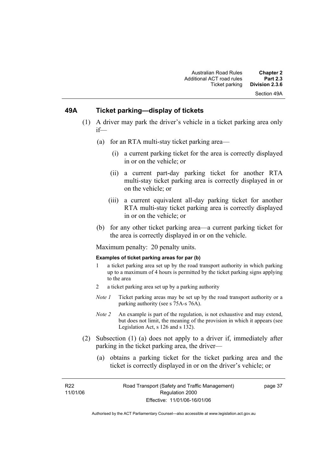# **49A Ticket parking—display of tickets**

- (1) A driver may park the driver's vehicle in a ticket parking area only if—
	- (a) for an RTA multi-stay ticket parking area—
		- (i) a current parking ticket for the area is correctly displayed in or on the vehicle; or
		- (ii) a current part-day parking ticket for another RTA multi-stay ticket parking area is correctly displayed in or on the vehicle; or
		- (iii) a current equivalent all-day parking ticket for another RTA multi-stay ticket parking area is correctly displayed in or on the vehicle; or
	- (b) for any other ticket parking area—a current parking ticket for the area is correctly displayed in or on the vehicle.

Maximum penalty: 20 penalty units.

#### **Examples of ticket parking areas for par (b)**

- 1 a ticket parking area set up by the road transport authority in which parking up to a maximum of 4 hours is permitted by the ticket parking signs applying to the area
- 2 a ticket parking area set up by a parking authority
- *Note 1* Ticket parking areas may be set up by the road transport authority or a parking authority (see s 75A-s 76A).
- *Note 2* An example is part of the regulation, is not exhaustive and may extend, but does not limit, the meaning of the provision in which it appears (see Legislation Act, s 126 and s 132).
- (2) Subsection (1) (a) does not apply to a driver if, immediately after parking in the ticket parking area, the driver—
	- (a) obtains a parking ticket for the ticket parking area and the ticket is correctly displayed in or on the driver's vehicle; or

R22 11/01/06

page 37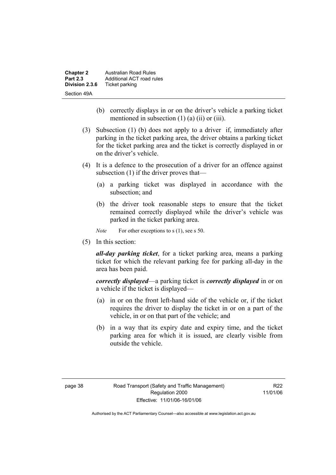| <b>Chapter 2</b> | <b>Australian Road Rules</b> |
|------------------|------------------------------|
| <b>Part 2.3</b>  | Additional ACT road rules    |
| Division 2.3.6   | Ticket parking               |
| Section 49A      |                              |

- (b) correctly displays in or on the driver's vehicle a parking ticket mentioned in subsection  $(1)$   $(a)$   $(ii)$  or  $(iii)$ .
- (3) Subsection (1) (b) does not apply to a driver if, immediately after parking in the ticket parking area, the driver obtains a parking ticket for the ticket parking area and the ticket is correctly displayed in or on the driver's vehicle.
- (4) It is a defence to the prosecution of a driver for an offence against subsection (1) if the driver proves that—
	- (a) a parking ticket was displayed in accordance with the subsection; and
	- (b) the driver took reasonable steps to ensure that the ticket remained correctly displayed while the driver's vehicle was parked in the ticket parking area.

*Note* For other exceptions to s (1), see s 50.

(5) In this section:

*all-day parking ticket*, for a ticket parking area, means a parking ticket for which the relevant parking fee for parking all-day in the area has been paid.

*correctly displayed*—a parking ticket is *correctly displayed* in or on a vehicle if the ticket is displayed—

- (a) in or on the front left-hand side of the vehicle or, if the ticket requires the driver to display the ticket in or on a part of the vehicle, in or on that part of the vehicle; and
- (b) in a way that its expiry date and expiry time, and the ticket parking area for which it is issued, are clearly visible from outside the vehicle.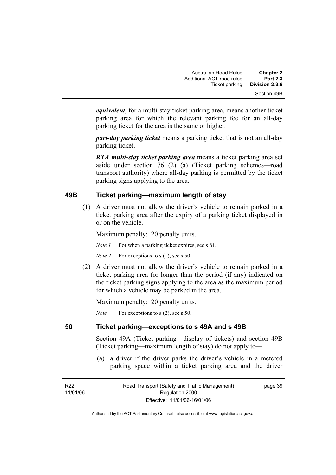*equivalent*, for a multi-stay ticket parking area, means another ticket parking area for which the relevant parking fee for an all-day parking ticket for the area is the same or higher.

*part-day parking ticket* means a parking ticket that is not an all-day parking ticket.

*RTA multi-stay ticket parking area* means a ticket parking area set aside under section 76 (2) (a) (Ticket parking schemes—road transport authority) where all-day parking is permitted by the ticket parking signs applying to the area.

# **49B Ticket parking—maximum length of stay**

 (1) A driver must not allow the driver's vehicle to remain parked in a ticket parking area after the expiry of a parking ticket displayed in or on the vehicle.

Maximum penalty: 20 penalty units.

*Note 1* For when a parking ticket expires, see s 81.

*Note 2* For exceptions to s (1), see s 50.

 (2) A driver must not allow the driver's vehicle to remain parked in a ticket parking area for longer than the period (if any) indicated on the ticket parking signs applying to the area as the maximum period for which a vehicle may be parked in the area.

Maximum penalty: 20 penalty units.

*Note* For exceptions to s (2), see s 50.

# **50 Ticket parking—exceptions to s 49A and s 49B**

Section 49A (Ticket parking—display of tickets) and section 49B (Ticket parking—maximum length of stay) do not apply to—

 (a) a driver if the driver parks the driver's vehicle in a metered parking space within a ticket parking area and the driver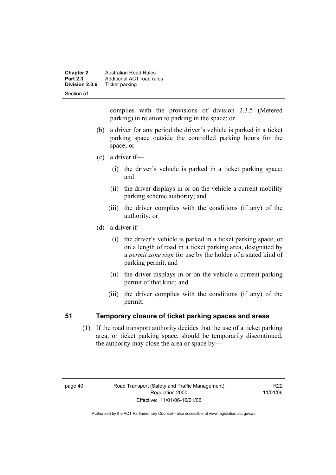| <b>Chapter 2</b><br><b>Part 2.3</b> | <b>Australian Road Rules</b><br>Additional ACT road rules |
|-------------------------------------|-----------------------------------------------------------|
| Division 2.3.6                      | Ticket parking                                            |
| Section 51                          |                                                           |

complies with the provisions of division 2.3.5 (Metered parking) in relation to parking in the space; or

- (b) a driver for any period the driver's vehicle is parked in a ticket parking space outside the controlled parking hours for the space; or
- (c) a driver if—
	- (i) the driver's vehicle is parked in a ticket parking space; and
	- (ii) the driver displays in or on the vehicle a current mobility parking scheme authority; and
	- (iii) the driver complies with the conditions (if any) of the authority; or
- (d) a driver if—
	- (i) the driver's vehicle is parked in a ticket parking space, or on a length of road in a ticket parking area, designated by a *permit zone sign* for use by the holder of a stated kind of parking permit; and
	- (ii) the driver displays in or on the vehicle a current parking permit of that kind; and
	- (iii) the driver complies with the conditions (if any) of the permit.

# **51 Temporary closure of ticket parking spaces and areas**

 (1) If the road transport authority decides that the use of a ticket parking area, or ticket parking space, should be temporarily discontinued, the authority may close the area or space by—

R22 11/01/06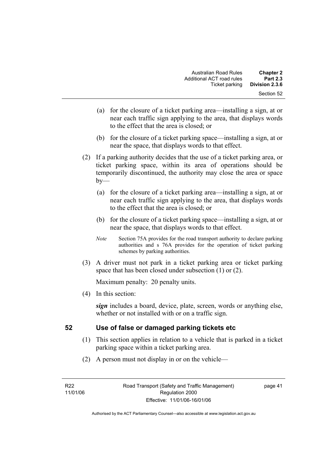- (a) for the closure of a ticket parking area—installing a sign, at or near each traffic sign applying to the area, that displays words to the effect that the area is closed; or
- (b) for the closure of a ticket parking space—installing a sign, at or near the space, that displays words to that effect.
- (2) If a parking authority decides that the use of a ticket parking area, or ticket parking space, within its area of operations should be temporarily discontinued, the authority may close the area or space  $by-$ 
	- (a) for the closure of a ticket parking area—installing a sign, at or near each traffic sign applying to the area, that displays words to the effect that the area is closed; or
	- (b) for the closure of a ticket parking space—installing a sign, at or near the space, that displays words to that effect.
	- *Note* Section 75A provides for the road transport authority to declare parking authorities and s 76A provides for the operation of ticket parking schemes by parking authorities.
- (3) A driver must not park in a ticket parking area or ticket parking space that has been closed under subsection (1) or (2).

(4) In this section:

*sign* includes a board, device, plate, screen, words or anything else, whether or not installed with or on a traffic sign.

# **52 Use of false or damaged parking tickets etc**

- (1) This section applies in relation to a vehicle that is parked in a ticket parking space within a ticket parking area.
- (2) A person must not display in or on the vehicle—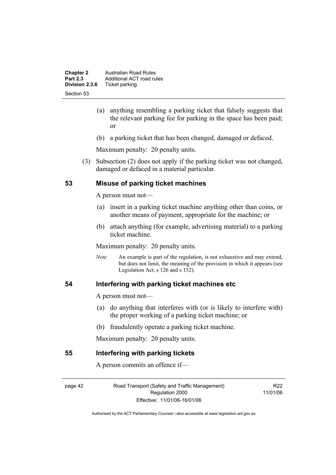| <b>Chapter 2</b><br><b>Part 2.3</b> | <b>Australian Road Rules</b><br>Additional ACT road rules |
|-------------------------------------|-----------------------------------------------------------|
| Division 2.3.6                      | Ticket parking                                            |
| Section 53                          |                                                           |

- (a) anything resembling a parking ticket that falsely suggests that the relevant parking fee for parking in the space has been paid; or
- (b) a parking ticket that has been changed, damaged or defaced.

 (3) Subsection (2) does not apply if the parking ticket was not changed, damaged or defaced in a material particular.

# **53 Misuse of parking ticket machines**

A person must not—

- (a) insert in a parking ticket machine anything other than coins, or another means of payment, appropriate for the machine; or
- (b) attach anything (for example, advertising material) to a parking ticket machine.

Maximum penalty: 20 penalty units.

*Note* An example is part of the regulation, is not exhaustive and may extend, but does not limit, the meaning of the provision in which it appears (see Legislation Act, s 126 and s 132).

#### **54 Interfering with parking ticket machines etc**

A person must not—

- (a) do anything that interferes with (or is likely to interfere with) the proper working of a parking ticket machine; or
- (b) fraudulently operate a parking ticket machine.

Maximum penalty: 20 penalty units.

#### **55 Interfering with parking tickets**

A person commits an offence if—

page 42 Road Transport (Safety and Traffic Management) Regulation 2000 Effective: 11/01/06-16/01/06

R22 11/01/06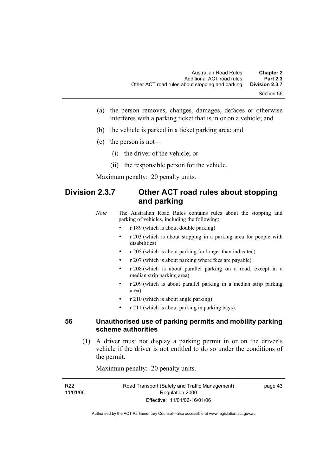- (a) the person removes, changes, damages, defaces or otherwise interferes with a parking ticket that is in or on a vehicle; and
- (b) the vehicle is parked in a ticket parking area; and
- (c) the person is not—
	- (i) the driver of the vehicle; or
	- (ii) the responsible person for the vehicle.

# **Division 2.3.7 Other ACT road rules about stopping and parking**

*Note* The Australian Road Rules contains rules about the stopping and parking of vehicles, including the following:

- r 189 (which is about double parking)
- r 203 (which is about stopping in a parking area for people with disabilities)
- r 205 (which is about parking for longer than indicated)
- r 207 (which is about parking where fees are payable)
- r 208 (which is about parallel parking on a road, except in a median strip parking area)
- r 209 (which is about parallel parking in a median strip parking area)
- r 210 (which is about angle parking)
- r 211 (which is about parking in parking bays).

#### **56 Unauthorised use of parking permits and mobility parking scheme authorities**

 (1) A driver must not display a parking permit in or on the driver's vehicle if the driver is not entitled to do so under the conditions of the permit.

Maximum penalty: 20 penalty units.

| R <sub>22</sub> | Road Transport (Safety and Traffic Management) | page 43 |
|-----------------|------------------------------------------------|---------|
| 11/01/06        | Regulation 2000                                |         |
|                 | Effective: 11/01/06-16/01/06                   |         |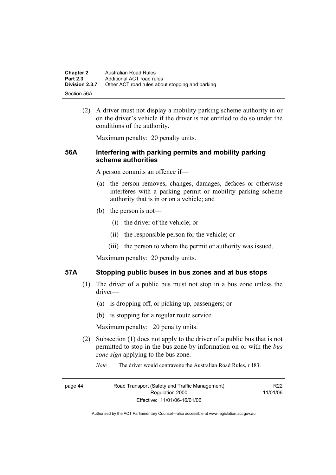| <b>Chapter 2</b> | Australian Road Rules                           |
|------------------|-------------------------------------------------|
| <b>Part 2.3</b>  | Additional ACT road rules                       |
| Division 2.3.7   | Other ACT road rules about stopping and parking |
| -Section 56A     |                                                 |

 (2) A driver must not display a mobility parking scheme authority in or on the driver's vehicle if the driver is not entitled to do so under the conditions of the authority.

Maximum penalty: 20 penalty units.

### **56A Interfering with parking permits and mobility parking scheme authorities**

A person commits an offence if—

- (a) the person removes, changes, damages, defaces or otherwise interferes with a parking permit or mobility parking scheme authority that is in or on a vehicle; and
- (b) the person is not—
	- (i) the driver of the vehicle; or
	- (ii) the responsible person for the vehicle; or
	- (iii) the person to whom the permit or authority was issued.

Maximum penalty: 20 penalty units.

#### **57A Stopping public buses in bus zones and at bus stops**

- (1) The driver of a public bus must not stop in a bus zone unless the driver—
	- (a) is dropping off, or picking up, passengers; or
	- (b) is stopping for a regular route service.

Maximum penalty: 20 penalty units.

- (2) Subsection (1) does not apply to the driver of a public bus that is not permitted to stop in the bus zone by information on or with the *bus zone sign* applying to the bus zone.
	- *Note* The driver would contravene the Australian Road Rules, r 183.

page 44 Road Transport (Safety and Traffic Management) Regulation 2000 Effective: 11/01/06-16/01/06

R<sub>22</sub> 11/01/06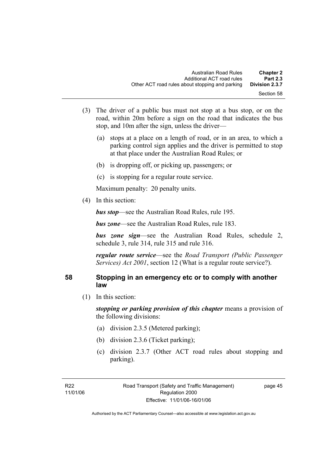- (3) The driver of a public bus must not stop at a bus stop, or on the road, within 20m before a sign on the road that indicates the bus stop, and 10m after the sign, unless the driver—
	- (a) stops at a place on a length of road, or in an area, to which a parking control sign applies and the driver is permitted to stop at that place under the Australian Road Rules; or
	- (b) is dropping off, or picking up, passengers; or
	- (c) is stopping for a regular route service.

(4) In this section:

*bus stop*—see the Australian Road Rules, rule 195.

*bus zone*—see the Australian Road Rules, rule 183.

*bus zone sign*—see the Australian Road Rules, schedule 2, schedule 3, rule 314, rule 315 and rule 316.

*regular route service*—see the *Road Transport (Public Passenger Services) Act 2001*, section 12 (What is a regular route service?).

# **58 Stopping in an emergency etc or to comply with another law**

(1) In this section:

*stopping or parking provision of this chapter* means a provision of the following divisions:

- (a) division 2.3.5 (Metered parking);
- (b) division 2.3.6 (Ticket parking);
- (c) division 2.3.7 (Other ACT road rules about stopping and parking).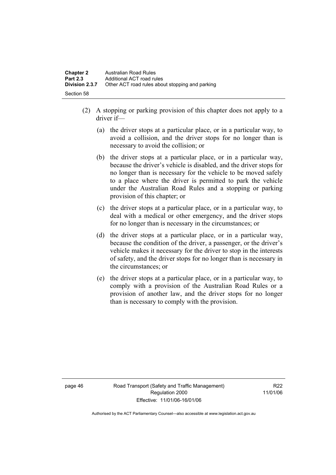- (2) A stopping or parking provision of this chapter does not apply to a driver if—
	- (a) the driver stops at a particular place, or in a particular way, to avoid a collision, and the driver stops for no longer than is necessary to avoid the collision; or
	- (b) the driver stops at a particular place, or in a particular way, because the driver's vehicle is disabled, and the driver stops for no longer than is necessary for the vehicle to be moved safely to a place where the driver is permitted to park the vehicle under the Australian Road Rules and a stopping or parking provision of this chapter; or
	- (c) the driver stops at a particular place, or in a particular way, to deal with a medical or other emergency, and the driver stops for no longer than is necessary in the circumstances; or
	- (d) the driver stops at a particular place, or in a particular way, because the condition of the driver, a passenger, or the driver's vehicle makes it necessary for the driver to stop in the interests of safety, and the driver stops for no longer than is necessary in the circumstances; or
	- (e) the driver stops at a particular place, or in a particular way, to comply with a provision of the Australian Road Rules or a provision of another law, and the driver stops for no longer than is necessary to comply with the provision.

page 46 Road Transport (Safety and Traffic Management) Regulation 2000 Effective: 11/01/06-16/01/06

R22 11/01/06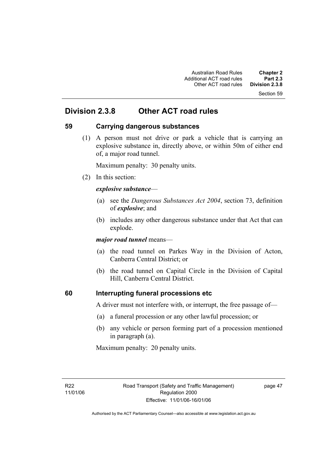Section 59

# **Division 2.3.8 Other ACT road rules**

# **59 Carrying dangerous substances**

 (1) A person must not drive or park a vehicle that is carrying an explosive substance in, directly above, or within 50m of either end of, a major road tunnel.

Maximum penalty: 30 penalty units.

(2) In this section:

#### *explosive substance*—

- (a) see the *Dangerous Substances Act 2004*, section 73, definition of *explosive*; and
- (b) includes any other dangerous substance under that Act that can explode.

*major road tunnel* means—

- (a) the road tunnel on Parkes Way in the Division of Acton, Canberra Central District; or
- (b) the road tunnel on Capital Circle in the Division of Capital Hill, Canberra Central District.

# **60 Interrupting funeral processions etc**

A driver must not interfere with, or interrupt, the free passage of—

- (a) a funeral procession or any other lawful procession; or
- (b) any vehicle or person forming part of a procession mentioned in paragraph (a).

Maximum penalty: 20 penalty units.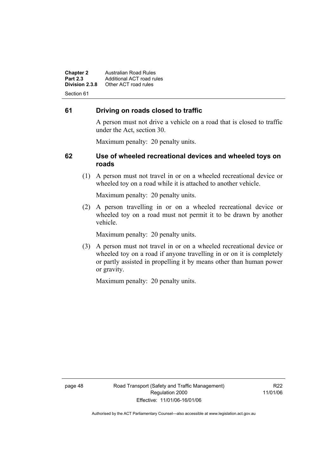**Chapter 2 Australian Road Rules**<br>**Part 2.3 Additional ACT road rules Part 2.3 Additional ACT road rules**<br>**Division 2.3.8** Other ACT road rules **Division 2.3.8** Other ACT road rules Section 61

# **61 Driving on roads closed to traffic**

A person must not drive a vehicle on a road that is closed to traffic under the Act, section 30.

Maximum penalty: 20 penalty units.

### **62 Use of wheeled recreational devices and wheeled toys on roads**

 (1) A person must not travel in or on a wheeled recreational device or wheeled toy on a road while it is attached to another vehicle.

Maximum penalty: 20 penalty units.

 (2) A person travelling in or on a wheeled recreational device or wheeled toy on a road must not permit it to be drawn by another vehicle.

Maximum penalty: 20 penalty units.

 (3) A person must not travel in or on a wheeled recreational device or wheeled toy on a road if anyone travelling in or on it is completely or partly assisted in propelling it by means other than human power or gravity.

Maximum penalty: 20 penalty units.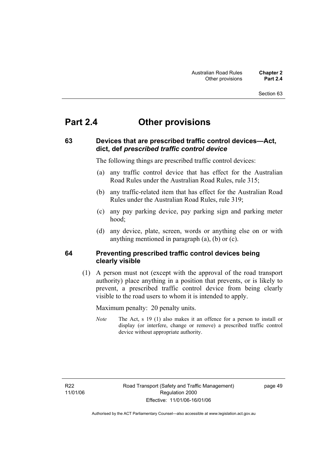#### Section 63

# **Part 2.4 Other provisions**

# **63 Devices that are prescribed traffic control devices—Act, dict, def** *prescribed traffic control device*

The following things are prescribed traffic control devices:

- (a) any traffic control device that has effect for the Australian Road Rules under the Australian Road Rules, rule 315;
- (b) any traffic-related item that has effect for the Australian Road Rules under the Australian Road Rules, rule 319;
- (c) any pay parking device, pay parking sign and parking meter hood;
- (d) any device, plate, screen, words or anything else on or with anything mentioned in paragraph (a), (b) or (c).

### **64 Preventing prescribed traffic control devices being clearly visible**

 (1) A person must not (except with the approval of the road transport authority) place anything in a position that prevents, or is likely to prevent, a prescribed traffic control device from being clearly visible to the road users to whom it is intended to apply.

Maximum penalty: 20 penalty units.

*Note* The Act, s 19 (1) also makes it an offence for a person to install or display (or interfere, change or remove) a prescribed traffic control device without appropriate authority.

page 49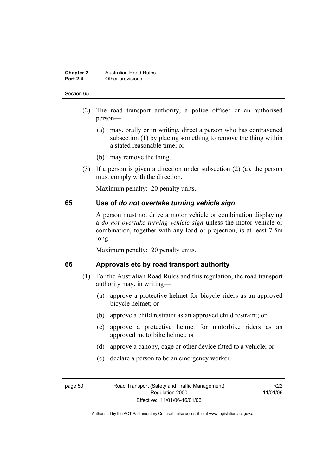#### **Chapter 2 Australian Road Rules**<br>**Part 2.4 Other provisions Other provisions**

#### Section 65

- (2) The road transport authority, a police officer or an authorised person—
	- (a) may, orally or in writing, direct a person who has contravened subsection (1) by placing something to remove the thing within a stated reasonable time; or
	- (b) may remove the thing.
- (3) If a person is given a direction under subsection (2) (a), the person must comply with the direction.

Maximum penalty: 20 penalty units.

#### **65 Use of** *do not overtake turning vehicle sign*

A person must not drive a motor vehicle or combination displaying a *do not overtake turning vehicle sign* unless the motor vehicle or combination, together with any load or projection, is at least 7.5m long.

Maximum penalty: 20 penalty units.

#### **66 Approvals etc by road transport authority**

- (1) For the Australian Road Rules and this regulation, the road transport authority may, in writing—
	- (a) approve a protective helmet for bicycle riders as an approved bicycle helmet; or
	- (b) approve a child restraint as an approved child restraint; or
	- (c) approve a protective helmet for motorbike riders as an approved motorbike helmet; or
	- (d) approve a canopy, cage or other device fitted to a vehicle; or
	- (e) declare a person to be an emergency worker.

R<sub>22</sub> 11/01/06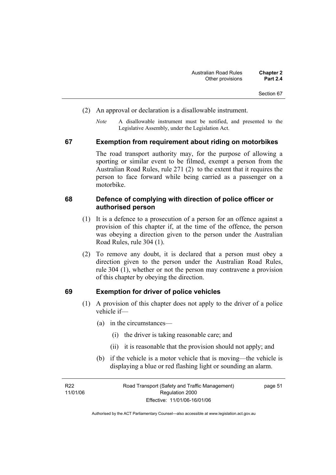- (2) An approval or declaration is a disallowable instrument.
	- *Note* A disallowable instrument must be notified, and presented to the Legislative Assembly, under the Legislation Act.

#### **67 Exemption from requirement about riding on motorbikes**

The road transport authority may, for the purpose of allowing a sporting or similar event to be filmed, exempt a person from the Australian Road Rules, rule 271 (2) to the extent that it requires the person to face forward while being carried as a passenger on a motorbike.

#### **68 Defence of complying with direction of police officer or authorised person**

- (1) It is a defence to a prosecution of a person for an offence against a provision of this chapter if, at the time of the offence, the person was obeying a direction given to the person under the Australian Road Rules, rule 304 (1).
- (2) To remove any doubt, it is declared that a person must obey a direction given to the person under the Australian Road Rules, rule 304 (1), whether or not the person may contravene a provision of this chapter by obeying the direction.

#### **69 Exemption for driver of police vehicles**

- (1) A provision of this chapter does not apply to the driver of a police vehicle if—
	- (a) in the circumstances—
		- (i) the driver is taking reasonable care; and
		- (ii) it is reasonable that the provision should not apply; and
	- (b) if the vehicle is a motor vehicle that is moving—the vehicle is displaying a blue or red flashing light or sounding an alarm.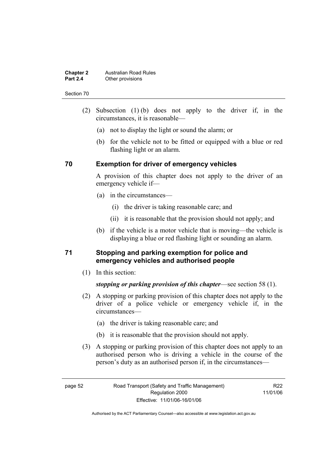#### **Chapter 2 Australian Road Rules**<br>**Part 2.4 Other provisions Other provisions**

#### Section 70

- (2) Subsection (1) (b) does not apply to the driver if, in the circumstances, it is reasonable—
	- (a) not to display the light or sound the alarm; or
	- (b) for the vehicle not to be fitted or equipped with a blue or red flashing light or an alarm.

#### **70 Exemption for driver of emergency vehicles**

A provision of this chapter does not apply to the driver of an emergency vehicle if—

- (a) in the circumstances—
	- (i) the driver is taking reasonable care; and
	- (ii) it is reasonable that the provision should not apply; and
- (b) if the vehicle is a motor vehicle that is moving—the vehicle is displaying a blue or red flashing light or sounding an alarm.

# **71 Stopping and parking exemption for police and emergency vehicles and authorised people**

(1) In this section:

*stopping or parking provision of this chapter*—see section 58 (1).

- (2) A stopping or parking provision of this chapter does not apply to the driver of a police vehicle or emergency vehicle if, in the circumstances—
	- (a) the driver is taking reasonable care; and
	- (b) it is reasonable that the provision should not apply.
- (3) A stopping or parking provision of this chapter does not apply to an authorised person who is driving a vehicle in the course of the person's duty as an authorised person if, in the circumstances—

R22 11/01/06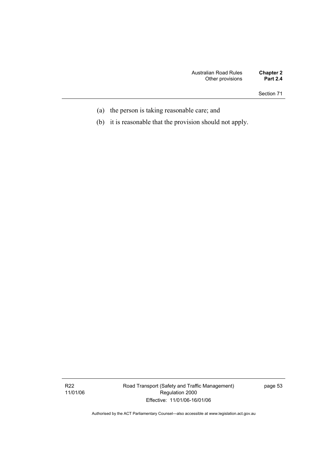Section 71

- (a) the person is taking reasonable care; and
- (b) it is reasonable that the provision should not apply.

Road Transport (Safety and Traffic Management) Regulation 2000 Effective: 11/01/06-16/01/06

page 53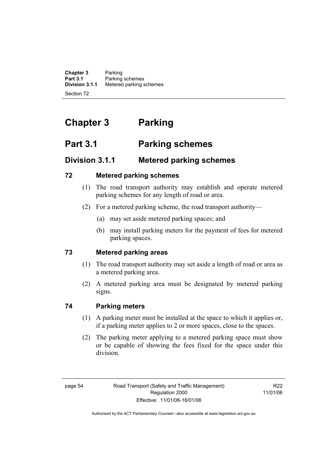**Chapter 3** Parking<br>**Part 3.1** Parking **Part 3.1** Parking schemes<br>**Division 3.1.1** Metered parking s **Division 3.1.1** Metered parking schemes Section 72

# **Chapter 3 Parking**

# **Part 3.1 Parking schemes**

# **Division 3.1.1 Metered parking schemes**

# **72 Metered parking schemes**

- (1) The road transport authority may establish and operate metered parking schemes for any length of road or area.
- (2) For a metered parking scheme, the road transport authority—
	- (a) may set aside metered parking spaces; and
	- (b) may install parking meters for the payment of fees for metered parking spaces.

# **73 Metered parking areas**

- (1) The road transport authority may set aside a length of road or area as a metered parking area.
- (2) A metered parking area must be designated by metered parking signs.

# **74 Parking meters**

- (1) A parking meter must be installed at the space to which it applies or, if a parking meter applies to 2 or more spaces, close to the spaces.
- (2) The parking meter applying to a metered parking space must show or be capable of showing the fees fixed for the space under this division.

R22 11/01/06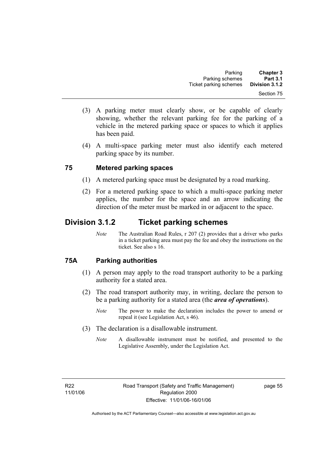- (3) A parking meter must clearly show, or be capable of clearly showing, whether the relevant parking fee for the parking of a vehicle in the metered parking space or spaces to which it applies has been paid.
- (4) A multi-space parking meter must also identify each metered parking space by its number.

# **75 Metered parking spaces**

- (1) A metered parking space must be designated by a road marking.
- (2) For a metered parking space to which a multi-space parking meter applies, the number for the space and an arrow indicating the direction of the meter must be marked in or adjacent to the space.

# **Division 3.1.2 Ticket parking schemes**

*Note* The Australian Road Rules, r 207 (2) provides that a driver who parks in a ticket parking area must pay the fee and obey the instructions on the ticket. See also s 16.

# **75A Parking authorities**

- (1) A person may apply to the road transport authority to be a parking authority for a stated area.
- (2) The road transport authority may, in writing, declare the person to be a parking authority for a stated area (the *area of operations*).
	- *Note* The power to make the declaration includes the power to amend or repeal it (see Legislation Act, s 46).
- (3) The declaration is a disallowable instrument.
	- *Note* A disallowable instrument must be notified, and presented to the Legislative Assembly, under the Legislation Act.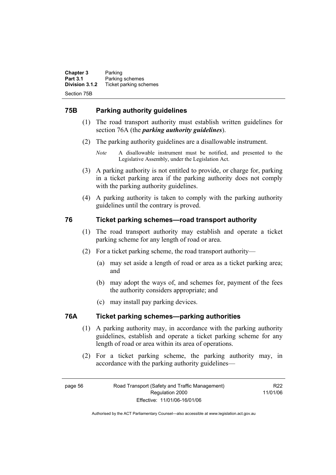**Chapter 3** Parking<br>**Part 3.1** Parking **Part 3.1 Parking schemes**<br>**Division 3.1.2** Ticket parking sch **Division 3.1.2** Ticket parking schemes Section 75B

# **75B Parking authority guidelines**

- (1) The road transport authority must establish written guidelines for section 76A (the *parking authority guidelines*).
- (2) The parking authority guidelines are a disallowable instrument.
	- *Note* A disallowable instrument must be notified, and presented to the Legislative Assembly, under the Legislation Act.
- (3) A parking authority is not entitled to provide, or charge for, parking in a ticket parking area if the parking authority does not comply with the parking authority guidelines.
- (4) A parking authority is taken to comply with the parking authority guidelines until the contrary is proved.

# **76 Ticket parking schemes—road transport authority**

- (1) The road transport authority may establish and operate a ticket parking scheme for any length of road or area.
- (2) For a ticket parking scheme, the road transport authority—
	- (a) may set aside a length of road or area as a ticket parking area; and
	- (b) may adopt the ways of, and schemes for, payment of the fees the authority considers appropriate; and
	- (c) may install pay parking devices.

# **76A Ticket parking schemes—parking authorities**

- (1) A parking authority may, in accordance with the parking authority guidelines, establish and operate a ticket parking scheme for any length of road or area within its area of operations.
- (2) For a ticket parking scheme, the parking authority may, in accordance with the parking authority guidelines—

R22 11/01/06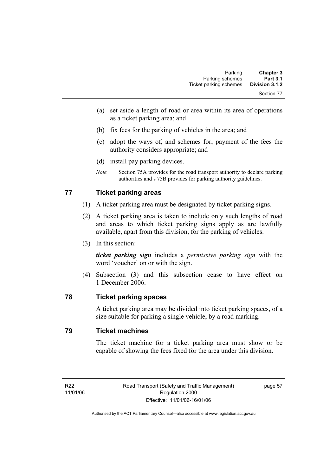- (a) set aside a length of road or area within its area of operations as a ticket parking area; and
- (b) fix fees for the parking of vehicles in the area; and
- (c) adopt the ways of, and schemes for, payment of the fees the authority considers appropriate; and
- (d) install pay parking devices.
- *Note* Section 75A provides for the road transport authority to declare parking authorities and s 75B provides for parking authority guidelines.

# **77 Ticket parking areas**

- (1) A ticket parking area must be designated by ticket parking signs.
- (2) A ticket parking area is taken to include only such lengths of road and areas to which ticket parking signs apply as are lawfully available, apart from this division, for the parking of vehicles.
- (3) In this section:

*ticket parking sign* includes a *permissive parking sign* with the word 'voucher' on or with the sign.

 (4) Subsection (3) and this subsection cease to have effect on 1 December 2006.

# **78 Ticket parking spaces**

A ticket parking area may be divided into ticket parking spaces, of a size suitable for parking a single vehicle, by a road marking.

### **79 Ticket machines**

The ticket machine for a ticket parking area must show or be capable of showing the fees fixed for the area under this division.

page 57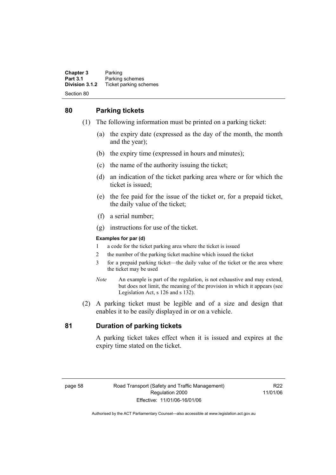**Chapter 3** Parking<br>**Part 3.1** Parking **Part 3.1 Parking schemes**<br>**Division 3.1.2** Ticket parking sch **Division 3.1.2** Ticket parking schemes Section 80

# **80 Parking tickets**

- (1) The following information must be printed on a parking ticket:
	- (a) the expiry date (expressed as the day of the month, the month and the year);
	- (b) the expiry time (expressed in hours and minutes);
	- (c) the name of the authority issuing the ticket;
	- (d) an indication of the ticket parking area where or for which the ticket is issued;
	- (e) the fee paid for the issue of the ticket or, for a prepaid ticket, the daily value of the ticket;
	- (f) a serial number;
	- (g) instructions for use of the ticket.

#### **Examples for par (d)**

- 1 a code for the ticket parking area where the ticket is issued
- 2 the number of the parking ticket machine which issued the ticket
- 3 for a prepaid parking ticket—the daily value of the ticket or the area where the ticket may be used
- *Note* An example is part of the regulation, is not exhaustive and may extend, but does not limit, the meaning of the provision in which it appears (see Legislation Act, s 126 and s 132).
- (2) A parking ticket must be legible and of a size and design that enables it to be easily displayed in or on a vehicle.

# **81 Duration of parking tickets**

A parking ticket takes effect when it is issued and expires at the expiry time stated on the ticket.

R22 11/01/06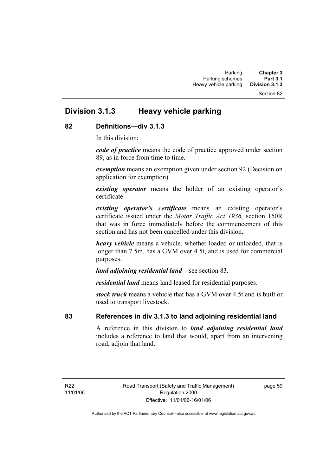#### Section 82

# **Division 3.1.3 Heavy vehicle parking**

#### **82 Definitions—div 3.1.3**

In this division:

*code of practice* means the code of practice approved under section 89, as in force from time to time.

*exemption* means an exemption given under section 92 (Decision on application for exemption).

*existing operator* means the holder of an existing operator's certificate.

*existing operator's certificate* means an existing operator's certificate issued under the *Motor Traffic Act 1936,* section 150R that was in force immediately before the commencement of this section and has not been cancelled under this division.

*heavy vehicle* means a vehicle, whether loaded or unloaded, that is longer than 7.5m, has a GVM over 4.5t, and is used for commercial purposes.

*land adjoining residential land*—see section 83.

*residential land* means land leased for residential purposes.

*stock truck* means a vehicle that has a GVM over 4.5t and is built or used to transport livestock.

# **83 References in div 3.1.3 to land adjoining residential land**

A reference in this division to *land adjoining residential land* includes a reference to land that would, apart from an intervening road, adjoin that land.

page 59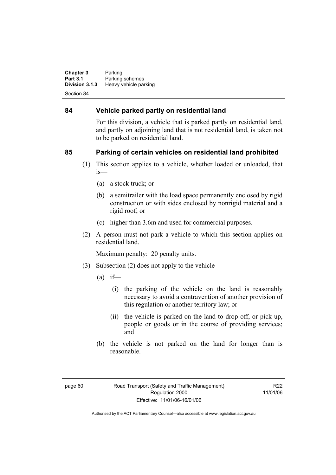**Chapter 3** Parking<br>**Part 3.1** Parking **Part 3.1** Parking schemes<br>**Division 3.1.3** Heavy vehicle part **Heavy vehicle parking** Section 84

#### **84 Vehicle parked partly on residential land**

For this division, a vehicle that is parked partly on residential land, and partly on adjoining land that is not residential land, is taken not to be parked on residential land.

# **85 Parking of certain vehicles on residential land prohibited**

- (1) This section applies to a vehicle, whether loaded or unloaded, that is—
	- (a) a stock truck; or
	- (b) a semitrailer with the load space permanently enclosed by rigid construction or with sides enclosed by nonrigid material and a rigid roof; or
	- (c) higher than 3.6m and used for commercial purposes.
- (2) A person must not park a vehicle to which this section applies on residential land.

Maximum penalty: 20 penalty units.

- (3) Subsection (2) does not apply to the vehicle—
	- $(a)$  if—
		- (i) the parking of the vehicle on the land is reasonably necessary to avoid a contravention of another provision of this regulation or another territory law; or
		- (ii) the vehicle is parked on the land to drop off, or pick up, people or goods or in the course of providing services; and
	- (b) the vehicle is not parked on the land for longer than is reasonable.

R22 11/01/06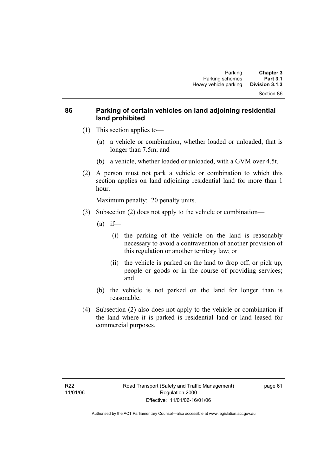# **86 Parking of certain vehicles on land adjoining residential land prohibited**

- (1) This section applies to—
	- (a) a vehicle or combination, whether loaded or unloaded, that is longer than 7.5m; and
	- (b) a vehicle, whether loaded or unloaded, with a GVM over 4.5t.
- (2) A person must not park a vehicle or combination to which this section applies on land adjoining residential land for more than 1 hour.

Maximum penalty: 20 penalty units.

- (3) Subsection (2) does not apply to the vehicle or combination—
	- $(a)$  if—
		- (i) the parking of the vehicle on the land is reasonably necessary to avoid a contravention of another provision of this regulation or another territory law; or
		- (ii) the vehicle is parked on the land to drop off, or pick up, people or goods or in the course of providing services; and
	- (b) the vehicle is not parked on the land for longer than is reasonable.
- (4) Subsection (2) also does not apply to the vehicle or combination if the land where it is parked is residential land or land leased for commercial purposes.

page 61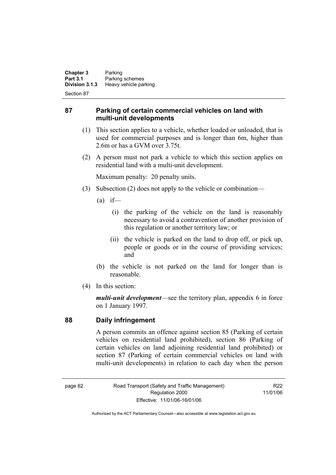**Chapter 3** Parking<br>**Part 3.1** Parking **Part 3.1 Parking schemes**<br>**Division 3.1.3 Heavy vehicle part Division 3.1.3** Heavy vehicle parking

Section 87

### **87 Parking of certain commercial vehicles on land with multi-unit developments**

- (1) This section applies to a vehicle, whether loaded or unloaded, that is used for commercial purposes and is longer than 6m, higher than 2.6m or has a GVM over 3.75t.
- (2) A person must not park a vehicle to which this section applies on residential land with a multi-unit development.

Maximum penalty: 20 penalty units.

- (3) Subsection (2) does not apply to the vehicle or combination—
	- $(a)$  if—
		- (i) the parking of the vehicle on the land is reasonably necessary to avoid a contravention of another provision of this regulation or another territory law; or
		- (ii) the vehicle is parked on the land to drop off, or pick up, people or goods or in the course of providing services; and
	- (b) the vehicle is not parked on the land for longer than is reasonable.
- (4) In this section:

*multi-unit development*—see the territory plan, appendix 6 in force on 1 January 1997.

#### **88 Daily infringement**

A person commits an offence against section 85 (Parking of certain vehicles on residential land prohibited), section 86 (Parking of certain vehicles on land adjoining residential land prohibited) or section 87 (Parking of certain commercial vehicles on land with multi-unit developments) in relation to each day when the person

page 62 Road Transport (Safety and Traffic Management) Regulation 2000 Effective: 11/01/06-16/01/06

R22 11/01/06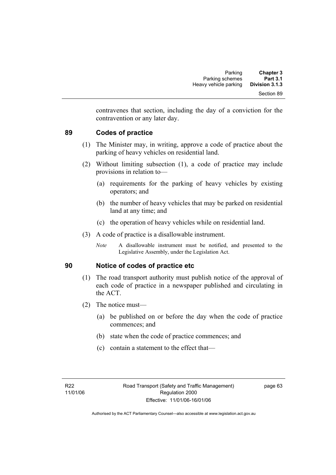contravenes that section, including the day of a conviction for the contravention or any later day.

### **89 Codes of practice**

- (1) The Minister may, in writing, approve a code of practice about the parking of heavy vehicles on residential land.
- (2) Without limiting subsection (1), a code of practice may include provisions in relation to—
	- (a) requirements for the parking of heavy vehicles by existing operators; and
	- (b) the number of heavy vehicles that may be parked on residential land at any time; and
	- (c) the operation of heavy vehicles while on residential land.
- (3) A code of practice is a disallowable instrument.
	- *Note* A disallowable instrument must be notified, and presented to the Legislative Assembly, under the Legislation Act.

### **90 Notice of codes of practice etc**

- (1) The road transport authority must publish notice of the approval of each code of practice in a newspaper published and circulating in the ACT.
- (2) The notice must—
	- (a) be published on or before the day when the code of practice commences; and
	- (b) state when the code of practice commences; and
	- (c) contain a statement to the effect that—

page 63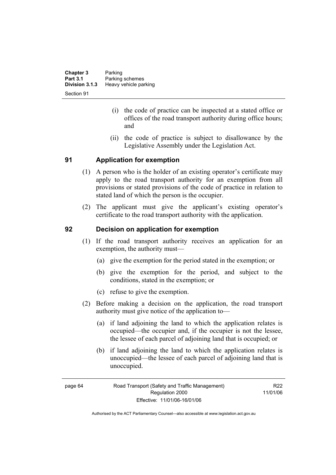| <b>Chapter 3</b> | Parking               |
|------------------|-----------------------|
| <b>Part 3.1</b>  | Parking schemes       |
| Division 3.1.3   | Heavy vehicle parking |
| Section 91       |                       |

- (i) the code of practice can be inspected at a stated office or offices of the road transport authority during office hours; and
- (ii) the code of practice is subject to disallowance by the Legislative Assembly under the Legislation Act.

### **91 Application for exemption**

- (1) A person who is the holder of an existing operator's certificate may apply to the road transport authority for an exemption from all provisions or stated provisions of the code of practice in relation to stated land of which the person is the occupier.
- (2) The applicant must give the applicant's existing operator's certificate to the road transport authority with the application.

#### **92 Decision on application for exemption**

- (1) If the road transport authority receives an application for an exemption, the authority must—
	- (a) give the exemption for the period stated in the exemption; or
	- (b) give the exemption for the period, and subject to the conditions, stated in the exemption; or
	- (c) refuse to give the exemption.
- (2) Before making a decision on the application, the road transport authority must give notice of the application to—
	- (a) if land adjoining the land to which the application relates is occupied—the occupier and, if the occupier is not the lessee, the lessee of each parcel of adjoining land that is occupied; or
	- (b) if land adjoining the land to which the application relates is unoccupied—the lessee of each parcel of adjoining land that is unoccupied.

R22 11/01/06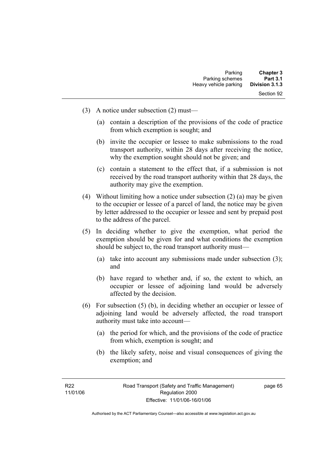- (3) A notice under subsection (2) must—
	- (a) contain a description of the provisions of the code of practice from which exemption is sought; and
	- (b) invite the occupier or lessee to make submissions to the road transport authority, within 28 days after receiving the notice, why the exemption sought should not be given; and
	- (c) contain a statement to the effect that, if a submission is not received by the road transport authority within that 28 days, the authority may give the exemption.
- (4) Without limiting how a notice under subsection (2) (a) may be given to the occupier or lessee of a parcel of land, the notice may be given by letter addressed to the occupier or lessee and sent by prepaid post to the address of the parcel.
- (5) In deciding whether to give the exemption, what period the exemption should be given for and what conditions the exemption should be subject to, the road transport authority must—
	- (a) take into account any submissions made under subsection (3); and
	- (b) have regard to whether and, if so, the extent to which, an occupier or lessee of adjoining land would be adversely affected by the decision.
- (6) For subsection (5) (b), in deciding whether an occupier or lessee of adjoining land would be adversely affected, the road transport authority must take into account—
	- (a) the period for which, and the provisions of the code of practice from which, exemption is sought; and
	- (b) the likely safety, noise and visual consequences of giving the exemption; and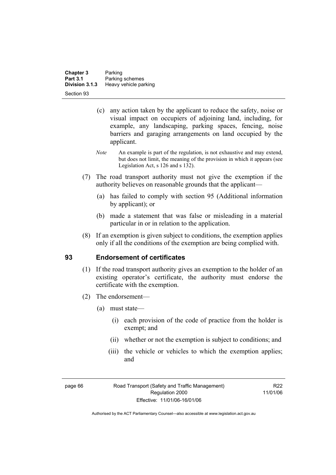| <b>Chapter 3</b><br><b>Part 3.1</b> | Parking                                  |
|-------------------------------------|------------------------------------------|
| Division 3.1.3                      | Parking schemes<br>Heavy vehicle parking |
| Section 93                          |                                          |

- (c) any action taken by the applicant to reduce the safety, noise or visual impact on occupiers of adjoining land, including, for example, any landscaping, parking spaces, fencing, noise barriers and garaging arrangements on land occupied by the applicant.
- *Note* An example is part of the regulation, is not exhaustive and may extend, but does not limit, the meaning of the provision in which it appears (see Legislation Act, s 126 and s 132).
- (7) The road transport authority must not give the exemption if the authority believes on reasonable grounds that the applicant—
	- (a) has failed to comply with section 95 (Additional information by applicant); or
	- (b) made a statement that was false or misleading in a material particular in or in relation to the application.
- (8) If an exemption is given subject to conditions, the exemption applies only if all the conditions of the exemption are being complied with.

### **93 Endorsement of certificates**

- (1) If the road transport authority gives an exemption to the holder of an existing operator's certificate, the authority must endorse the certificate with the exemption.
- (2) The endorsement—
	- (a) must state—
		- (i) each provision of the code of practice from the holder is exempt; and
		- (ii) whether or not the exemption is subject to conditions; and
		- (iii) the vehicle or vehicles to which the exemption applies; and

page 66 Road Transport (Safety and Traffic Management) Regulation 2000 Effective: 11/01/06-16/01/06

R22 11/01/06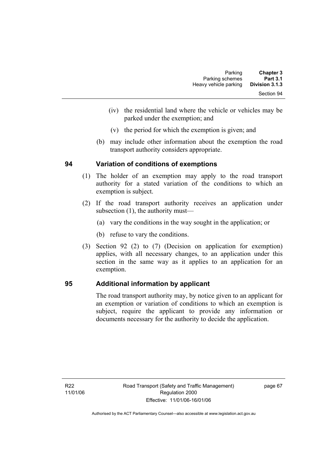| <b>Chapter 3</b> | Parking               |
|------------------|-----------------------|
| <b>Part 3.1</b>  | Parking schemes       |
| Division 3.1.3   | Heavy vehicle parking |
| Section 94       |                       |

- (iv) the residential land where the vehicle or vehicles may be parked under the exemption; and
- (v) the period for which the exemption is given; and
- (b) may include other information about the exemption the road transport authority considers appropriate.

### **94 Variation of conditions of exemptions**

- (1) The holder of an exemption may apply to the road transport authority for a stated variation of the conditions to which an exemption is subject.
- (2) If the road transport authority receives an application under subsection (1), the authority must—
	- (a) vary the conditions in the way sought in the application; or
	- (b) refuse to vary the conditions.
- (3) Section 92 (2) to (7) (Decision on application for exemption) applies, with all necessary changes, to an application under this section in the same way as it applies to an application for an exemption.

### **95 Additional information by applicant**

The road transport authority may, by notice given to an applicant for an exemption or variation of conditions to which an exemption is subject, require the applicant to provide any information or documents necessary for the authority to decide the application.

page 67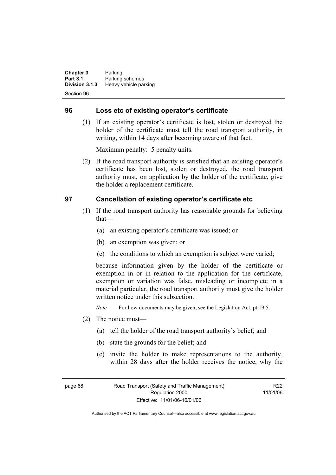**Chapter 3** Parking **Part 3.1 Parking schemes**<br>**Division 3.1.3 Heavy vehicle part Division 3.1.3** Heavy vehicle parking Section 96

#### **96 Loss etc of existing operator's certificate**

 (1) If an existing operator's certificate is lost, stolen or destroyed the holder of the certificate must tell the road transport authority, in writing, within 14 days after becoming aware of that fact.

Maximum penalty: 5 penalty units.

 (2) If the road transport authority is satisfied that an existing operator's certificate has been lost, stolen or destroyed, the road transport authority must, on application by the holder of the certificate, give the holder a replacement certificate.

### **97 Cancellation of existing operator's certificate etc**

- (1) If the road transport authority has reasonable grounds for believing that—
	- (a) an existing operator's certificate was issued; or
	- (b) an exemption was given; or
	- (c) the conditions to which an exemption is subject were varied;

because information given by the holder of the certificate or exemption in or in relation to the application for the certificate, exemption or variation was false, misleading or incomplete in a material particular, the road transport authority must give the holder written notice under this subsection.

*Note* For how documents may be given, see the Legislation Act, pt 19.5.

- (2) The notice must—
	- (a) tell the holder of the road transport authority's belief; and
	- (b) state the grounds for the belief; and
	- (c) invite the holder to make representations to the authority, within 28 days after the holder receives the notice, why the

page 68 Road Transport (Safety and Traffic Management) Regulation 2000 Effective: 11/01/06-16/01/06

R22 11/01/06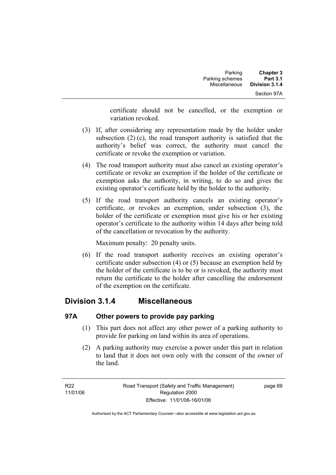certificate should not be cancelled, or the exemption or variation revoked.

- (3) If, after considering any representation made by the holder under subsection (2) (c), the road transport authority is satisfied that the authority's belief was correct, the authority must cancel the certificate or revoke the exemption or variation.
- (4) The road transport authority must also cancel an existing operator's certificate or revoke an exemption if the holder of the certificate or exemption asks the authority, in writing, to do so and gives the existing operator's certificate held by the holder to the authority.
- (5) If the road transport authority cancels an existing operator's certificate, or revokes an exemption, under subsection (3), the holder of the certificate or exemption must give his or her existing operator's certificate to the authority within 14 days after being told of the cancellation or revocation by the authority.

Maximum penalty: 20 penalty units.

 (6) If the road transport authority receives an existing operator's certificate under subsection (4) or (5) because an exemption held by the holder of the certificate is to be or is revoked, the authority must return the certificate to the holder after cancelling the endorsement of the exemption on the certificate.

### **Division 3.1.4 Miscellaneous**

### **97A Other powers to provide pay parking**

- (1) This part does not affect any other power of a parking authority to provide for parking on land within its area of operations.
- (2) A parking authority may exercise a power under this part in relation to land that it does not own only with the consent of the owner of the land.

page 69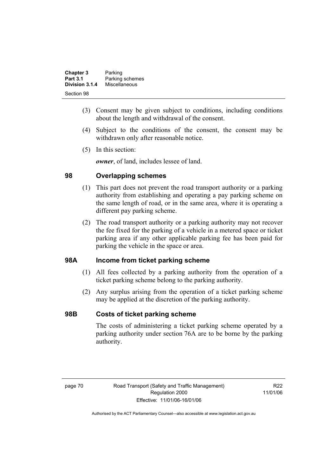| <b>Chapter 3</b> | Parking         |
|------------------|-----------------|
| <b>Part 3.1</b>  | Parking schemes |
| Division 3.1.4   | Miscellaneous   |
| Section 98       |                 |

- (3) Consent may be given subject to conditions, including conditions about the length and withdrawal of the consent.
- (4) Subject to the conditions of the consent, the consent may be withdrawn only after reasonable notice.
- (5) In this section:

*owner*, of land, includes lessee of land.

### **98 Overlapping schemes**

- (1) This part does not prevent the road transport authority or a parking authority from establishing and operating a pay parking scheme on the same length of road, or in the same area, where it is operating a different pay parking scheme.
- (2) The road transport authority or a parking authority may not recover the fee fixed for the parking of a vehicle in a metered space or ticket parking area if any other applicable parking fee has been paid for parking the vehicle in the space or area.

### **98A Income from ticket parking scheme**

- (1) All fees collected by a parking authority from the operation of a ticket parking scheme belong to the parking authority.
- (2) Any surplus arising from the operation of a ticket parking scheme may be applied at the discretion of the parking authority.

### **98B Costs of ticket parking scheme**

The costs of administering a ticket parking scheme operated by a parking authority under section 76A are to be borne by the parking authority.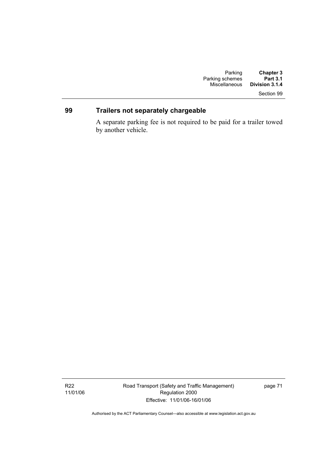## Section 99

### **99 Trailers not separately chargeable**

A separate parking fee is not required to be paid for a trailer towed by another vehicle.

Road Transport (Safety and Traffic Management) Regulation 2000 Effective: 11/01/06-16/01/06

page 71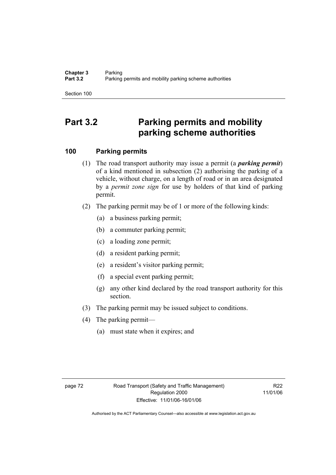Section 100

# **Part 3.2 Parking permits and mobility parking scheme authorities**

### **100 Parking permits**

- (1) The road transport authority may issue a permit (a *parking permit*) of a kind mentioned in subsection (2) authorising the parking of a vehicle, without charge, on a length of road or in an area designated by a *permit zone sign* for use by holders of that kind of parking permit.
- (2) The parking permit may be of 1 or more of the following kinds:
	- (a) a business parking permit;
	- (b) a commuter parking permit;
	- (c) a loading zone permit;
	- (d) a resident parking permit;
	- (e) a resident's visitor parking permit;
	- (f) a special event parking permit;
	- (g) any other kind declared by the road transport authority for this section.
- (3) The parking permit may be issued subject to conditions.
- (4) The parking permit—
	- (a) must state when it expires; and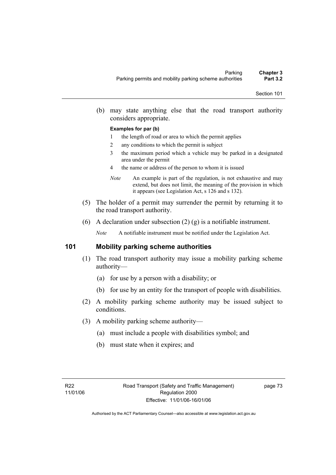(b) may state anything else that the road transport authority considers appropriate.

#### **Examples for par (b)**

- 1 the length of road or area to which the permit applies
- 2 any conditions to which the permit is subject
- 3 the maximum period which a vehicle may be parked in a designated area under the permit
- 4 the name or address of the person to whom it is issued
- *Note* An example is part of the regulation, is not exhaustive and may extend, but does not limit, the meaning of the provision in which it appears (see Legislation Act, s 126 and s 132).
- (5) The holder of a permit may surrender the permit by returning it to the road transport authority.
- (6) A declaration under subsection (2) (g) is a notifiable instrument.

*Note* A notifiable instrument must be notified under the Legislation Act.

### **101 Mobility parking scheme authorities**

- (1) The road transport authority may issue a mobility parking scheme authority—
	- (a) for use by a person with a disability; or
	- (b) for use by an entity for the transport of people with disabilities.
- (2) A mobility parking scheme authority may be issued subject to conditions.
- (3) A mobility parking scheme authority—
	- (a) must include a people with disabilities symbol; and
	- (b) must state when it expires; and

page 73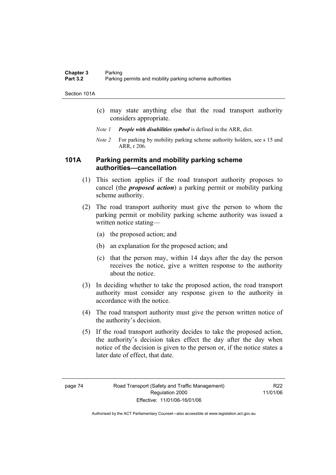Section 101A

- (c) may state anything else that the road transport authority considers appropriate.
- *Note 1 People with disabilities symbol* is defined in the ARR, dict.
- *Note 2* For parking by mobility parking scheme authority holders, see s 15 and ARR, r 206.

### **101A Parking permits and mobility parking scheme authorities—cancellation**

- (1) This section applies if the road transport authority proposes to cancel (the *proposed action*) a parking permit or mobility parking scheme authority.
- (2) The road transport authority must give the person to whom the parking permit or mobility parking scheme authority was issued a written notice stating—
	- (a) the proposed action; and
	- (b) an explanation for the proposed action; and
	- (c) that the person may, within 14 days after the day the person receives the notice, give a written response to the authority about the notice.
- (3) In deciding whether to take the proposed action, the road transport authority must consider any response given to the authority in accordance with the notice.
- (4) The road transport authority must give the person written notice of the authority's decision.
- (5) If the road transport authority decides to take the proposed action, the authority's decision takes effect the day after the day when notice of the decision is given to the person or, if the notice states a later date of effect, that date.

R22 11/01/06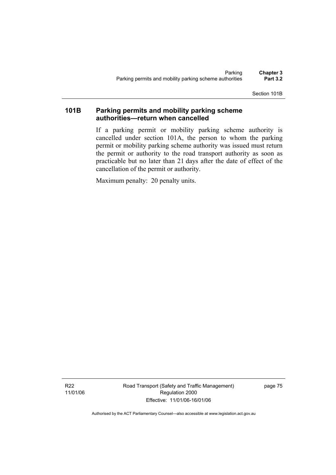Section 101B

### **101B Parking permits and mobility parking scheme authorities—return when cancelled**

If a parking permit or mobility parking scheme authority is cancelled under section 101A, the person to whom the parking permit or mobility parking scheme authority was issued must return the permit or authority to the road transport authority as soon as practicable but no later than 21 days after the date of effect of the cancellation of the permit or authority.

Maximum penalty: 20 penalty units.

R22 11/01/06 Road Transport (Safety and Traffic Management) Regulation 2000 Effective: 11/01/06-16/01/06

page 75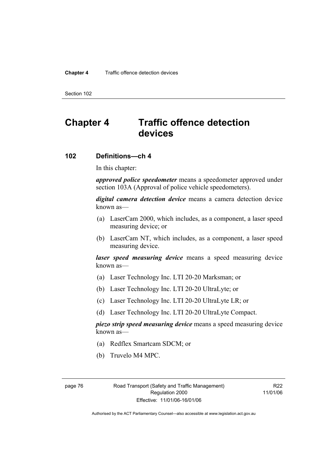#### **Chapter 4** Traffic offence detection devices

Section 102

# **Chapter 4 Traffic offence detection devices**

### **102 Definitions—ch 4**

In this chapter:

*approved police speedometer* means a speedometer approved under section 103A (Approval of police vehicle speedometers).

*digital camera detection device* means a camera detection device known as—

- (a) LaserCam 2000, which includes, as a component, a laser speed measuring device; or
- (b) LaserCam NT, which includes, as a component, a laser speed measuring device.

*laser speed measuring device* means a speed measuring device known as—

- (a) Laser Technology Inc. LTI 20-20 Marksman; or
- (b) Laser Technology Inc. LTI 20-20 UltraLyte; or
- (c) Laser Technology Inc. LTI 20-20 UltraLyte LR; or
- (d) Laser Technology Inc. LTI 20-20 UltraLyte Compact.

*piezo strip speed measuring device* means a speed measuring device known as—

- (a) Redflex Smartcam SDCM; or
- (b) Truvelo M4 MPC.

page 76 Road Transport (Safety and Traffic Management) Regulation 2000 Effective: 11/01/06-16/01/06

R22 11/01/06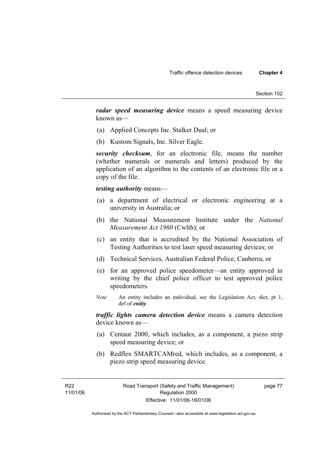*radar speed measuring device* means a speed measuring device known as—

- (a) Applied Concepts Inc. Stalker Dual; or
- (b) Kustom Signals, Inc. Silver Eagle.

*security checksum*, for an electronic file, means the number (whether numerals or numerals and letters) produced by the application of an algorithm to the contents of an electronic file or a copy of the file.

#### *testing authority* means—

- (a) a department of electrical or electronic engineering at a university in Australia; or
- (b) the National Measurement Institute under the *National Measurement Act 1960* (Cwlth); or
- (c) an entity that is accredited by the National Association of Testing Authorities to test laser speed measuring devices; or
- (d) Technical Services, Australian Federal Police, Canberra; or
- (e) for an approved police speedometer—an entity approved in writing by the chief police officer to test approved police speedometers.
- *Note* An entity includes an individual, see the Legislation Act, dict, pt 1, def of *entity*.

*traffic lights camera detection device* means a camera detection device known as—

- (a) Centaur 2000, which includes, as a component, a piezo strip speed measuring device; or
- (b) Redflex SMARTCAMred, which includes, as a component, a piezo strip speed measuring device.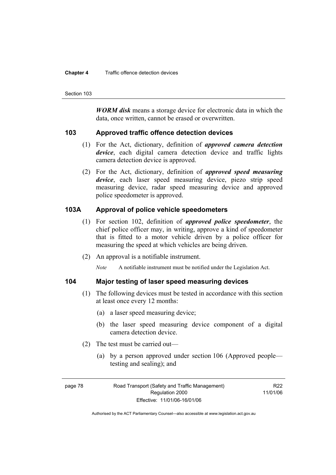#### **Chapter 4** Traffic offence detection devices

Section 103

*WORM disk* means a storage device for electronic data in which the data, once written, cannot be erased or overwritten.

#### **103 Approved traffic offence detection devices**

- (1) For the Act, dictionary, definition of *approved camera detection device*, each digital camera detection device and traffic lights camera detection device is approved.
- (2) For the Act, dictionary, definition of *approved speed measuring device*, each laser speed measuring device, piezo strip speed measuring device, radar speed measuring device and approved police speedometer is approved.

### **103A Approval of police vehicle speedometers**

- (1) For section 102, definition of *approved police speedometer*, the chief police officer may, in writing, approve a kind of speedometer that is fitted to a motor vehicle driven by a police officer for measuring the speed at which vehicles are being driven.
- (2) An approval is a notifiable instrument.

*Note* A notifiable instrument must be notified under the Legislation Act.

### **104 Major testing of laser speed measuring devices**

- (1) The following devices must be tested in accordance with this section at least once every 12 months:
	- (a) a laser speed measuring device;
	- (b) the laser speed measuring device component of a digital camera detection device.
- (2) The test must be carried out—
	- (a) by a person approved under section 106 (Approved people testing and sealing); and

R<sub>22</sub> 11/01/06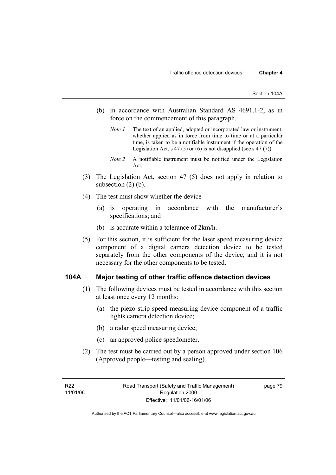- (b) in accordance with Australian Standard AS 4691.1-2, as in force on the commencement of this paragraph.
	- *Note 1* The text of an applied, adopted or incorporated law or instrument, whether applied as in force from time to time or at a particular time, is taken to be a notifiable instrument if the operation of the Legislation Act, s 47 (5) or (6) is not disapplied (see s 47 (7)).
	- *Note 2* A notifiable instrument must be notified under the Legislation Act.
- (3) The Legislation Act, section 47 (5) does not apply in relation to subsection  $(2)$  (b).
- (4) The test must show whether the device—
	- (a) is operating in accordance with the manufacturer's specifications; and
	- (b) is accurate within a tolerance of 2km/h.
- (5) For this section, it is sufficient for the laser speed measuring device component of a digital camera detection device to be tested separately from the other components of the device, and it is not necessary for the other components to be tested.

#### **104A Major testing of other traffic offence detection devices**

- (1) The following devices must be tested in accordance with this section at least once every 12 months:
	- (a) the piezo strip speed measuring device component of a traffic lights camera detection device;
	- (b) a radar speed measuring device;
	- (c) an approved police speedometer.
- (2) The test must be carried out by a person approved under section 106 (Approved people—testing and sealing).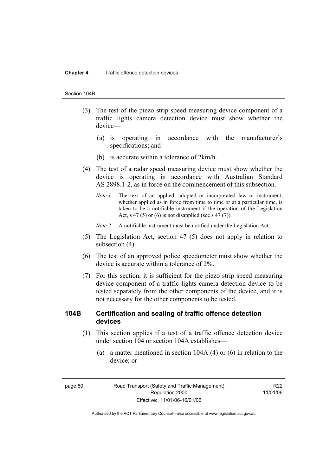#### **Chapter 4** Traffic offence detection devices

#### Section 104B

- (3) The test of the piezo strip speed measuring device component of a traffic lights camera detection device must show whether the device—
	- (a) is operating in accordance with the manufacturer's specifications; and
	- (b) is accurate within a tolerance of 2km/h.
- (4) The test of a radar speed measuring device must show whether the device is operating in accordance with Australian Standard AS 2898.1-2, as in force on the commencement of this subsection.
	- *Note 1* The text of an applied, adopted or incorporated law or instrument, whether applied as in force from time to time or at a particular time, is taken to be a notifiable instrument if the operation of the Legislation Act, s 47 (5) or (6) is not disapplied (see s 47 (7)).
	- *Note 2* A notifiable instrument must be notified under the Legislation Act.
- (5) The Legislation Act, section 47 (5) does not apply in relation to subsection (4).
- (6) The test of an approved police speedometer must show whether the device is accurate within a tolerance of 2%.
- (7) For this section, it is sufficient for the piezo strip speed measuring device component of a traffic lights camera detection device to be tested separately from the other components of the device, and it is not necessary for the other components to be tested.

### **104B Certification and sealing of traffic offence detection devices**

- (1) This section applies if a test of a traffic offence detection device under section 104 or section 104A establishes—
	- (a) a matter mentioned in section 104A (4) or (6) in relation to the device; or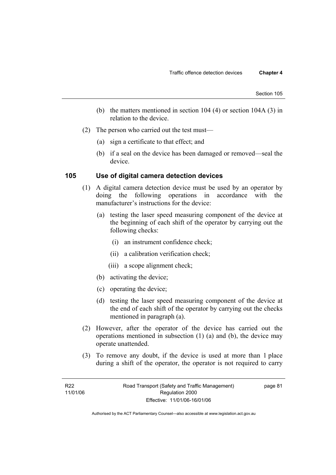- (b) the matters mentioned in section 104 (4) or section 104A (3) in relation to the device.
- (2) The person who carried out the test must—
	- (a) sign a certificate to that effect; and
	- (b) if a seal on the device has been damaged or removed—seal the device.

#### **105 Use of digital camera detection devices**

- (1) A digital camera detection device must be used by an operator by doing the following operations in accordance with the manufacturer's instructions for the device:
	- (a) testing the laser speed measuring component of the device at the beginning of each shift of the operator by carrying out the following checks:
		- (i) an instrument confidence check;
		- (ii) a calibration verification check;
		- (iii) a scope alignment check;
	- (b) activating the device;
	- (c) operating the device;
	- (d) testing the laser speed measuring component of the device at the end of each shift of the operator by carrying out the checks mentioned in paragraph (a).
- (2) However, after the operator of the device has carried out the operations mentioned in subsection (1) (a) and (b), the device may operate unattended.
- (3) To remove any doubt, if the device is used at more than 1 place during a shift of the operator, the operator is not required to carry

page 81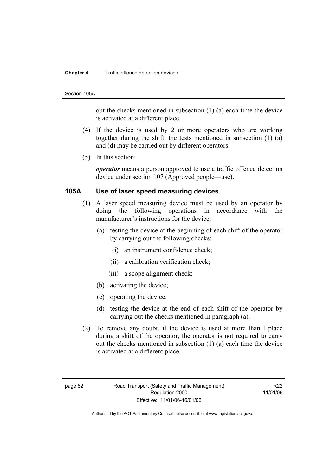#### **Chapter 4** Traffic offence detection devices

#### Section 105A

out the checks mentioned in subsection (1) (a) each time the device is activated at a different place.

- (4) If the device is used by 2 or more operators who are working together during the shift, the tests mentioned in subsection (1) (a) and (d) may be carried out by different operators.
- (5) In this section:

*operator* means a person approved to use a traffic offence detection device under section 107 (Approved people—use).

#### **105A Use of laser speed measuring devices**

- (1) A laser speed measuring device must be used by an operator by doing the following operations in accordance with the manufacturer's instructions for the device:
	- (a) testing the device at the beginning of each shift of the operator by carrying out the following checks:
		- (i) an instrument confidence check;
		- (ii) a calibration verification check;
		- (iii) a scope alignment check;
	- (b) activating the device;
	- (c) operating the device;
	- (d) testing the device at the end of each shift of the operator by carrying out the checks mentioned in paragraph (a).
- (2) To remove any doubt, if the device is used at more than 1 place during a shift of the operator, the operator is not required to carry out the checks mentioned in subsection (1) (a) each time the device is activated at a different place.

R<sub>22</sub> 11/01/06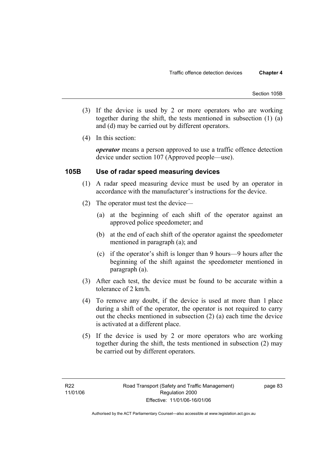- (3) If the device is used by 2 or more operators who are working together during the shift, the tests mentioned in subsection (1) (a) and (d) may be carried out by different operators.
- (4) In this section:

*operator* means a person approved to use a traffic offence detection device under section 107 (Approved people—use).

### **105B Use of radar speed measuring devices**

- (1) A radar speed measuring device must be used by an operator in accordance with the manufacturer's instructions for the device.
- (2) The operator must test the device—
	- (a) at the beginning of each shift of the operator against an approved police speedometer; and
	- (b) at the end of each shift of the operator against the speedometer mentioned in paragraph (a); and
	- (c) if the operator's shift is longer than 9 hours—9 hours after the beginning of the shift against the speedometer mentioned in paragraph (a).
- (3) After each test, the device must be found to be accurate within a tolerance of 2 km/h.
- (4) To remove any doubt, if the device is used at more than 1 place during a shift of the operator, the operator is not required to carry out the checks mentioned in subsection (2) (a) each time the device is activated at a different place.
- (5) If the device is used by 2 or more operators who are working together during the shift, the tests mentioned in subsection (2) may be carried out by different operators.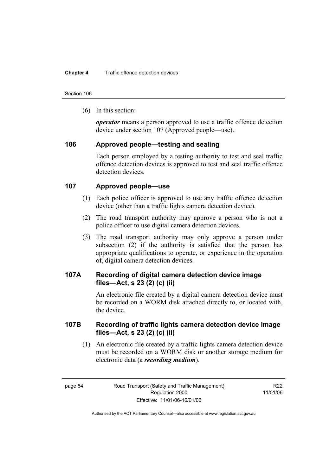Section 106

(6) In this section:

*operator* means a person approved to use a traffic offence detection device under section 107 (Approved people—use).

### **106 Approved people—testing and sealing**

Each person employed by a testing authority to test and seal traffic offence detection devices is approved to test and seal traffic offence detection devices.

### **107 Approved people—use**

- (1) Each police officer is approved to use any traffic offence detection device (other than a traffic lights camera detection device).
- (2) The road transport authority may approve a person who is not a police officer to use digital camera detection devices.
- (3) The road transport authority may only approve a person under subsection (2) if the authority is satisfied that the person has appropriate qualifications to operate, or experience in the operation of, digital camera detection devices.

### **107A Recording of digital camera detection device image files—Act, s 23 (2) (c) (ii)**

An electronic file created by a digital camera detection device must be recorded on a WORM disk attached directly to, or located with, the device.

### **107B Recording of traffic lights camera detection device image files—Act, s 23 (2) (c) (ii)**

 (1) An electronic file created by a traffic lights camera detection device must be recorded on a WORM disk or another storage medium for electronic data (a *recording medium*).

R<sub>22</sub> 11/01/06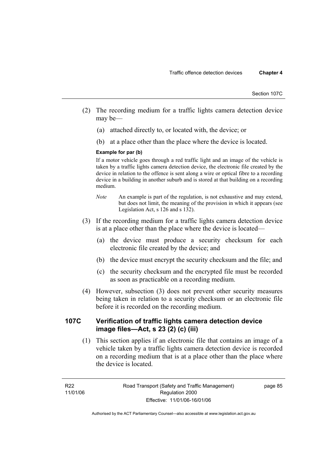- (2) The recording medium for a traffic lights camera detection device may be—
	- (a) attached directly to, or located with, the device; or
	- (b) at a place other than the place where the device is located.

#### **Example for par (b)**

If a motor vehicle goes through a red traffic light and an image of the vehicle is taken by a traffic lights camera detection device, the electronic file created by the device in relation to the offence is sent along a wire or optical fibre to a recording device in a building in another suburb and is stored at that building on a recording medium.

- *Note* An example is part of the regulation, is not exhaustive and may extend, but does not limit, the meaning of the provision in which it appears (see Legislation Act, s 126 and s 132).
- (3) If the recording medium for a traffic lights camera detection device is at a place other than the place where the device is located—
	- (a) the device must produce a security checksum for each electronic file created by the device; and
	- (b) the device must encrypt the security checksum and the file; and
	- (c) the security checksum and the encrypted file must be recorded as soon as practicable on a recording medium.
- (4) However, subsection (3) does not prevent other security measures being taken in relation to a security checksum or an electronic file before it is recorded on the recording medium.

### **107C Verification of traffic lights camera detection device image files—Act, s 23 (2) (c) (iii)**

 (1) This section applies if an electronic file that contains an image of a vehicle taken by a traffic lights camera detection device is recorded on a recording medium that is at a place other than the place where the device is located.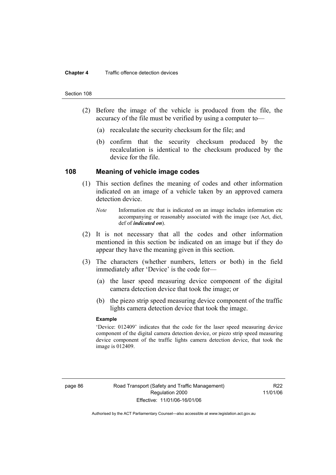#### Section 108

- (2) Before the image of the vehicle is produced from the file, the accuracy of the file must be verified by using a computer to—
	- (a) recalculate the security checksum for the file; and
	- (b) confirm that the security checksum produced by the recalculation is identical to the checksum produced by the device for the file.

#### **108 Meaning of vehicle image codes**

- (1) This section defines the meaning of codes and other information indicated on an image of a vehicle taken by an approved camera detection device.
	- *Note* Information etc that is indicated on an image includes information etc accompanying or reasonably associated with the image (see Act, dict, def of *indicated on*).
- (2) It is not necessary that all the codes and other information mentioned in this section be indicated on an image but if they do appear they have the meaning given in this section.
- (3) The characters (whether numbers, letters or both) in the field immediately after 'Device' is the code for—
	- (a) the laser speed measuring device component of the digital camera detection device that took the image; or
	- (b) the piezo strip speed measuring device component of the traffic lights camera detection device that took the image.

#### **Example**

'Device: 012409' indicates that the code for the laser speed measuring device component of the digital camera detection device, or piezo strip speed measuring device component of the traffic lights camera detection device, that took the image is 012409.

R<sub>22</sub> 11/01/06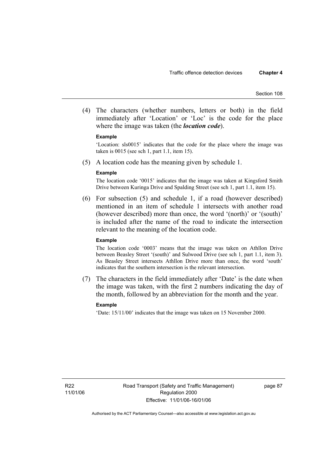(4) The characters (whether numbers, letters or both) in the field immediately after 'Location' or 'Loc' is the code for the place where the image was taken (the *location code*).

#### **Example**

'Location: sls0015' indicates that the code for the place where the image was taken is 0015 (see sch 1, part 1.1, item 15).

(5) A location code has the meaning given by schedule 1.

#### **Example**

The location code '0015' indicates that the image was taken at Kingsford Smith Drive between Kuringa Drive and Spalding Street (see sch 1, part 1.1, item 15).

 (6) For subsection (5) and schedule 1, if a road (however described) mentioned in an item of schedule 1 intersects with another road (however described) more than once, the word '(north)' or '(south)' is included after the name of the road to indicate the intersection relevant to the meaning of the location code.

#### **Example**

The location code '0003' means that the image was taken on Athllon Drive between Beasley Street '(south)' and Sulwood Drive (see sch 1, part 1.1, item 3). As Beasley Street intersects Athllon Drive more than once, the word 'south' indicates that the southern intersection is the relevant intersection.

 (7) The characters in the field immediately after 'Date' is the date when the image was taken, with the first 2 numbers indicating the day of the month, followed by an abbreviation for the month and the year.

#### **Example**

'Date: 15/11/00' indicates that the image was taken on 15 November 2000.

page 87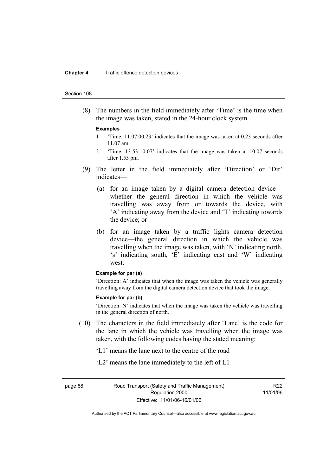#### **Chapter 4** Traffic offence detection devices

#### Section 108

 (8) The numbers in the field immediately after 'Time' is the time when the image was taken, stated in the 24-hour clock system.

#### **Examples**

- 1 'Time: 11.07.00.23' indicates that the image was taken at 0.23 seconds after 11.07 am.
- 2 'Time: 13:53:10:07' indicates that the image was taken at 10.07 seconds after 1.53 pm.
- (9) The letter in the field immediately after 'Direction' or 'Dir' indicates—
	- (a) for an image taken by a digital camera detection device whether the general direction in which the vehicle was travelling was away from or towards the device, with 'A' indicating away from the device and 'T' indicating towards the device; or
	- (b) for an image taken by a traffic lights camera detection device—the general direction in which the vehicle was travelling when the image was taken, with 'N' indicating north, 's' indicating south, 'E' indicating east and 'W' indicating west.

#### **Example for par (a)**

'Direction: A' indicates that when the image was taken the vehicle was generally travelling away from the digital camera detection device that took the image.

#### **Example for par (b)**

'Direction: N' indicates that when the image was taken the vehicle was travelling in the general direction of north.

- (10) The characters in the field immediately after 'Lane' is the code for the lane in which the vehicle was travelling when the image was taken, with the following codes having the stated meaning:
	- 'L1' means the lane next to the centre of the road
	- 'L2' means the lane immediately to the left of L1

page 88 Road Transport (Safety and Traffic Management) Regulation 2000 Effective: 11/01/06-16/01/06

R<sub>22</sub> 11/01/06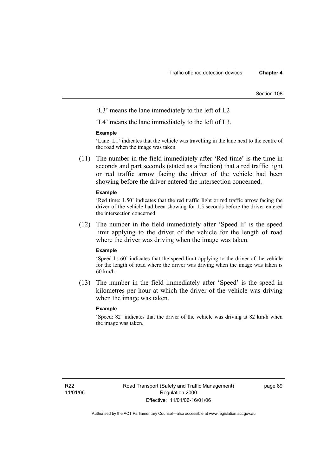Section 108

'L3' means the lane immediately to the left of L2

'L4' means the lane immediately to the left of L3.

#### **Example**

'Lane: L1' indicates that the vehicle was travelling in the lane next to the centre of the road when the image was taken.

 (11) The number in the field immediately after 'Red time' is the time in seconds and part seconds (stated as a fraction) that a red traffic light or red traffic arrow facing the driver of the vehicle had been showing before the driver entered the intersection concerned.

#### **Example**

'Red time: 1.50' indicates that the red traffic light or red traffic arrow facing the driver of the vehicle had been showing for 1.5 seconds before the driver entered the intersection concerned.

 (12) The number in the field immediately after 'Speed li' is the speed limit applying to the driver of the vehicle for the length of road where the driver was driving when the image was taken.

#### **Example**

'Speed li: 60' indicates that the speed limit applying to the driver of the vehicle for the length of road where the driver was driving when the image was taken is 60 km/h.

 (13) The number in the field immediately after 'Speed' is the speed in kilometres per hour at which the driver of the vehicle was driving when the image was taken.

#### **Example**

'Speed: 82' indicates that the driver of the vehicle was driving at 82 km/h when the image was taken.

page 89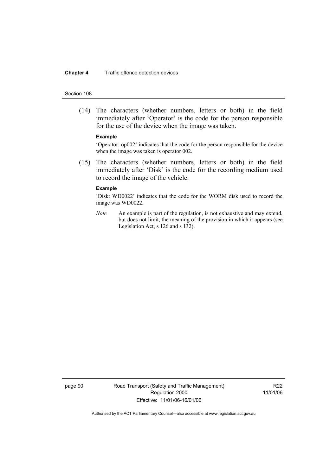#### **Chapter 4** Traffic offence detection devices

#### Section 108

 (14) The characters (whether numbers, letters or both) in the field immediately after 'Operator' is the code for the person responsible for the use of the device when the image was taken.

#### **Example**

'Operator: op002' indicates that the code for the person responsible for the device when the image was taken is operator 002.

 (15) The characters (whether numbers, letters or both) in the field immediately after 'Disk' is the code for the recording medium used to record the image of the vehicle.

#### **Example**

'Disk: WD0022' indicates that the code for the WORM disk used to record the image was WD0022.

*Note* An example is part of the regulation, is not exhaustive and may extend, but does not limit, the meaning of the provision in which it appears (see Legislation Act, s 126 and s 132).

page 90 Road Transport (Safety and Traffic Management) Regulation 2000 Effective: 11/01/06-16/01/06

R22 11/01/06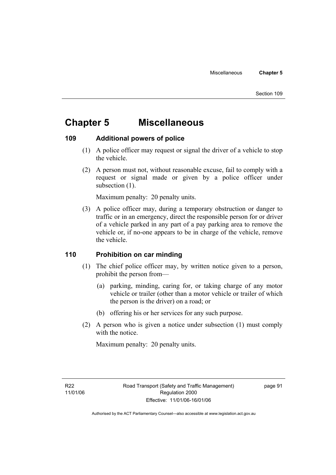# **Chapter 5 Miscellaneous**

### **109 Additional powers of police**

- (1) A police officer may request or signal the driver of a vehicle to stop the vehicle.
- (2) A person must not, without reasonable excuse, fail to comply with a request or signal made or given by a police officer under subsection  $(1)$ .

Maximum penalty: 20 penalty units.

 (3) A police officer may, during a temporary obstruction or danger to traffic or in an emergency, direct the responsible person for or driver of a vehicle parked in any part of a pay parking area to remove the vehicle or, if no-one appears to be in charge of the vehicle, remove the vehicle.

### **110 Prohibition on car minding**

- (1) The chief police officer may, by written notice given to a person, prohibit the person from—
	- (a) parking, minding, caring for, or taking charge of any motor vehicle or trailer (other than a motor vehicle or trailer of which the person is the driver) on a road; or
	- (b) offering his or her services for any such purpose.
- (2) A person who is given a notice under subsection (1) must comply with the notice.

Maximum penalty: 20 penalty units.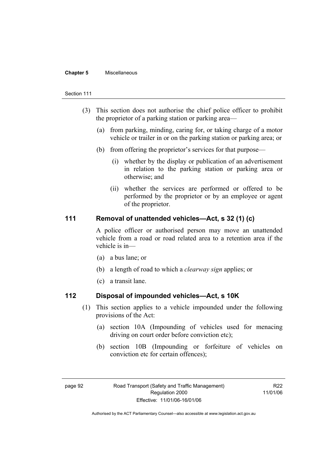#### **Chapter 5** Miscellaneous

#### Section 111

- (3) This section does not authorise the chief police officer to prohibit the proprietor of a parking station or parking area—
	- (a) from parking, minding, caring for, or taking charge of a motor vehicle or trailer in or on the parking station or parking area; or
	- (b) from offering the proprietor's services for that purpose—
		- (i) whether by the display or publication of an advertisement in relation to the parking station or parking area or otherwise; and
		- (ii) whether the services are performed or offered to be performed by the proprietor or by an employee or agent of the proprietor.

### **111 Removal of unattended vehicles—Act, s 32 (1) (c)**

A police officer or authorised person may move an unattended vehicle from a road or road related area to a retention area if the vehicle is in—

- (a) a bus lane; or
- (b) a length of road to which a *clearway sign* applies; or
- (c) a transit lane.

#### **112 Disposal of impounded vehicles—Act, s 10K**

- (1) This section applies to a vehicle impounded under the following provisions of the Act:
	- (a) section 10A (Impounding of vehicles used for menacing driving on court order before conviction etc);
	- (b) section 10B (Impounding or forfeiture of vehicles on conviction etc for certain offences);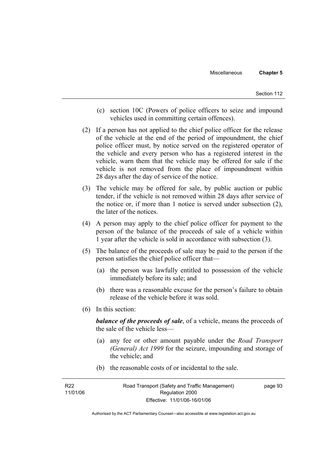- (c) section 10C (Powers of police officers to seize and impound vehicles used in committing certain offences).
- (2) If a person has not applied to the chief police officer for the release of the vehicle at the end of the period of impoundment, the chief police officer must, by notice served on the registered operator of the vehicle and every person who has a registered interest in the vehicle, warn them that the vehicle may be offered for sale if the vehicle is not removed from the place of impoundment within 28 days after the day of service of the notice.
- (3) The vehicle may be offered for sale, by public auction or public tender, if the vehicle is not removed within 28 days after service of the notice or, if more than 1 notice is served under subsection (2), the later of the notices.
- (4) A person may apply to the chief police officer for payment to the person of the balance of the proceeds of sale of a vehicle within 1 year after the vehicle is sold in accordance with subsection (3).
- (5) The balance of the proceeds of sale may be paid to the person if the person satisfies the chief police officer that—
	- (a) the person was lawfully entitled to possession of the vehicle immediately before its sale; and
	- (b) there was a reasonable excuse for the person's failure to obtain release of the vehicle before it was sold.
- (6) In this section:

*balance of the proceeds of sale*, of a vehicle, means the proceeds of the sale of the vehicle less—

- (a) any fee or other amount payable under the *Road Transport (General) Act 1999* for the seizure, impounding and storage of the vehicle; and
- (b) the reasonable costs of or incidental to the sale.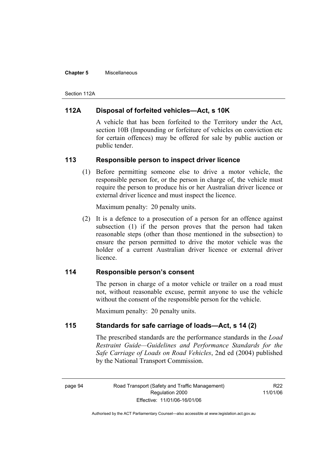#### **Chapter 5** Miscellaneous

Section 112A

### **112A Disposal of forfeited vehicles—Act, s 10K**

A vehicle that has been forfeited to the Territory under the Act, section 10B (Impounding or forfeiture of vehicles on conviction etc for certain offences) may be offered for sale by public auction or public tender.

### **113 Responsible person to inspect driver licence**

 (1) Before permitting someone else to drive a motor vehicle, the responsible person for, or the person in charge of, the vehicle must require the person to produce his or her Australian driver licence or external driver licence and must inspect the licence.

Maximum penalty: 20 penalty units.

 (2) It is a defence to a prosecution of a person for an offence against subsection (1) if the person proves that the person had taken reasonable steps (other than those mentioned in the subsection) to ensure the person permitted to drive the motor vehicle was the holder of a current Australian driver licence or external driver licence.

### **114 Responsible person's consent**

The person in charge of a motor vehicle or trailer on a road must not, without reasonable excuse, permit anyone to use the vehicle without the consent of the responsible person for the vehicle.

Maximum penalty: 20 penalty units.

### **115 Standards for safe carriage of loads—Act, s 14 (2)**

The prescribed standards are the performance standards in the *Load Restraint Guide—Guidelines and Performance Standards for the Safe Carriage of Loads on Road Vehicles*, 2nd ed (2004) published by the National Transport Commission.

R<sub>22</sub> 11/01/06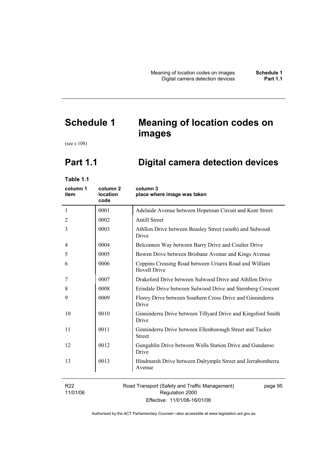# **Schedule 1 Meaning of location codes on images**

(see s 108)

# **Part 1.1 Digital camera detection devices**

**Table 1.1** 

| column 1<br>item            | column <sub>2</sub><br><b>location</b><br>code | column 3<br>place where image was taken                                       |
|-----------------------------|------------------------------------------------|-------------------------------------------------------------------------------|
| $\mathbf{1}$                | 0001                                           | Adelaide Avenue between Hopetoun Circuit and Kent Street                      |
| 2                           | 0002                                           | <b>Antill Street</b>                                                          |
| 3                           | 0003                                           | Athllon Drive between Beasley Street (south) and Sulwood<br>Drive             |
| 4                           | 0004                                           | Belconnen Way between Barry Drive and Coulter Drive                           |
| 5                           | 0005                                           | Bowen Drive between Brisbane Avenue and Kings Avenue                          |
| 6                           | 0006                                           | Coppins Crossing Road between Uriarra Road and William<br><b>Hovell Drive</b> |
| 7                           | 0007                                           | Drakeford Drive between Sulwood Drive and Athllon Drive                       |
| 8                           | 0008                                           | Erindale Drive between Sulwood Drive and Sternberg Crescent                   |
| 9                           | 0009                                           | Florey Drive between Southern Cross Drive and Ginninderra<br>Drive            |
| 10                          | 0010                                           | Ginninderra Drive between Tillyard Drive and Kingsford Smith<br>Drive         |
| 11                          | 0011                                           | Ginninderra Drive between Ellenborough Street and Tucker<br><b>Street</b>     |
| 12                          | 0012                                           | Gungahlin Drive between Wells Station Drive and Gundaroo<br>Drive             |
| 13                          | 0013                                           | Hindmarsh Drive between Dalrymple Street and Jerrabomberra<br>Avenue          |
| R <sub>22</sub><br>11/01/06 |                                                | Road Transport (Safety and Traffic Management)<br>page 95<br>Regulation 2000  |

Effective: 11/01/06-16/01/06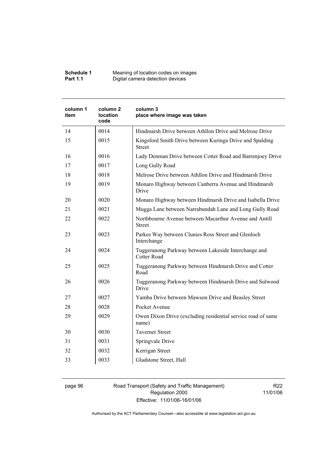| Schedule 1      | Meaning of location codes on images |
|-----------------|-------------------------------------|
| <b>Part 1.1</b> | Digital camera detection devices    |

| column 1<br>item | column <sub>2</sub><br><b>location</b><br>code | column 3<br>place where image was taken                                    |
|------------------|------------------------------------------------|----------------------------------------------------------------------------|
| 14               | 0014                                           | Hindmarsh Drive between Athllon Drive and Melrose Drive                    |
| 15               | 0015                                           | Kingsford Smith Drive between Kuringa Drive and Spalding<br><b>Street</b>  |
| 16               | 0016                                           | Lady Denman Drive between Cotter Road and Barrenjoey Drive                 |
| 17               | 0017                                           | Long Gully Road                                                            |
| 18               | 0018                                           | Melrose Drive between Athllon Drive and Hindmarsh Drive                    |
| 19               | 0019                                           | Monaro Highway between Canberra Avenue and Hindmarsh<br>Drive              |
| 20               | 0020                                           | Monaro Highway between Hindmarsh Drive and Isabella Drive                  |
| 21               | 0021                                           | Mugga Lane between Narrabundah Lane and Long Gully Road                    |
| 22               | 0022                                           | Northbourne Avenue between Macarthur Avenue and Antill<br><b>Street</b>    |
| 23               | 0023                                           | Parkes Way between Clunies Ross Street and Glenloch<br>Interchange         |
| 24               | 0024                                           | Tuggeranong Parkway between Lakeside Interchange and<br><b>Cotter Road</b> |
| 25               | 0025                                           | Tuggeranong Parkway between Hindmarsh Drive and Cotter<br>Road             |
| 26               | 0026                                           | Tuggeranong Parkway between Hindmarsh Drive and Sulwood<br>Drive           |
| 27               | 0027                                           | Yamba Drive between Mawson Drive and Beasley Street                        |
| 28               | 0028                                           | Pocket Avenue                                                              |
| 29               | 0029                                           | Owen Dixon Drive (excluding residential service road of same<br>name)      |
| 30               | 0030                                           | <b>Taverner Street</b>                                                     |
| 31               | 0031                                           | Springvale Drive                                                           |
| 32               | 0032                                           | Kerrigan Street                                                            |
| 33               | 0033                                           | Gladstone Street, Hall                                                     |

page 96 Road Transport (Safety and Traffic Management) Regulation 2000 Effective: 11/01/06-16/01/06

R22 11/01/06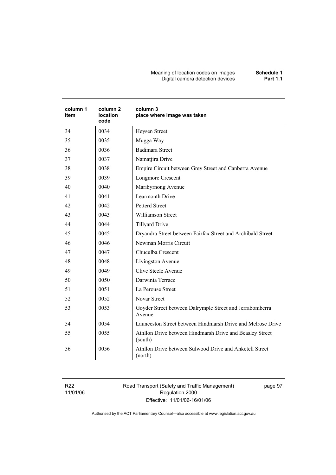#### Meaning of location codes on images **Schedule 1**  Digital camera detection devices **Part 1.1**

| column 1<br>item | column <sub>2</sub><br>location<br>code | column 3<br>place where image was taken                             |
|------------------|-----------------------------------------|---------------------------------------------------------------------|
| 34               | 0034                                    | Heysen Street                                                       |
| 35               | 0035                                    | Mugga Way                                                           |
| 36               | 0036                                    | <b>Badimara Street</b>                                              |
| 37               | 0037                                    | Namatjira Drive                                                     |
| 38               | 0038                                    | Empire Circuit between Grey Street and Canberra Avenue              |
| 39               | 0039                                    | Longmore Crescent                                                   |
| 40               | 0040                                    | Maribyrnong Avenue                                                  |
| 41               | 0041                                    | Learmonth Drive                                                     |
| 42               | 0042                                    | <b>Petterd Street</b>                                               |
| 43               | 0043                                    | <b>Williamson Street</b>                                            |
| 44               | 0044                                    | <b>Tillyard Drive</b>                                               |
| 45               | 0045                                    | Dryandra Street between Fairfax Street and Archibald Street         |
| 46               | 0046                                    | Newman Morris Circuit                                               |
| 47               | 0047                                    | Chuculba Crescent                                                   |
| 48               | 0048                                    | Livingston Avenue                                                   |
| 49               | 0049                                    | Clive Steele Avenue                                                 |
| 50               | 0050                                    | Darwinia Terrace                                                    |
| 51               | 0051                                    | La Perouse Street                                                   |
| 52               | 0052                                    | <b>Novar Street</b>                                                 |
| 53               | 0053                                    | Goyder Street between Dalrymple Street and Jerrabomberra<br>Avenue  |
| 54               | 0054                                    | Launceston Street between Hindmarsh Drive and Melrose Drive         |
| 55               | 0055                                    | Athllon Drive between Hindmarsh Drive and Beasley Street<br>(south) |
| 56               | 0056                                    | Athllon Drive between Sulwood Drive and Anketell Street<br>(north)  |

R22 11/01/06 Road Transport (Safety and Traffic Management) Regulation 2000 Effective: 11/01/06-16/01/06

page 97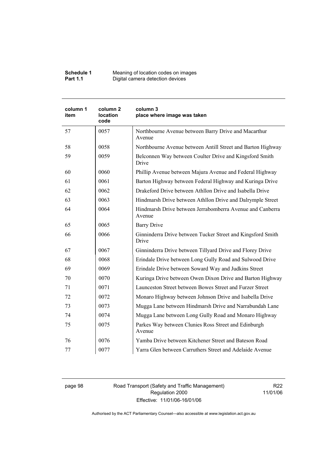| Schedule 1      | Meaning of location codes on images |
|-----------------|-------------------------------------|
| <b>Part 1.1</b> | Digital camera detection devices    |

| column 1<br>item | column <sub>2</sub><br>location<br>code | column 3<br>place where image was taken                              |
|------------------|-----------------------------------------|----------------------------------------------------------------------|
| 57               | 0057                                    | Northbourne Avenue between Barry Drive and Macarthur<br>Avenue       |
| 58               | 0058                                    | Northbourne Avenue between Antill Street and Barton Highway          |
| 59               | 0059                                    | Belconnen Way between Coulter Drive and Kingsford Smith<br>Drive     |
| 60               | 0060                                    | Phillip Avenue between Majura Avenue and Federal Highway             |
| 61               | 0061                                    | Barton Highway between Federal Highway and Kuringa Drive             |
| 62               | 0062                                    | Drakeford Drive between Athllon Drive and Isabella Drive             |
| 63               | 0063                                    | Hindmarsh Drive between Athllon Drive and Dalrymple Street           |
| 64               | 0064                                    | Hindmarsh Drive between Jerrabomberra Avenue and Canberra<br>Avenue  |
| 65               | 0065                                    | <b>Barry Drive</b>                                                   |
| 66               | 0066                                    | Ginninderra Drive between Tucker Street and Kingsford Smith<br>Drive |
| 67               | 0067                                    | Ginninderra Drive between Tillyard Drive and Florey Drive            |
| 68               | 0068                                    | Erindale Drive between Long Gully Road and Sulwood Drive             |
| 69               | 0069                                    | Erindale Drive between Soward Way and Judkins Street                 |
| 70               | 0070                                    | Kuringa Drive between Owen Dixon Drive and Barton Highway            |
| 71               | 0071                                    | Launceston Street between Bowes Street and Furzer Street             |
| 72               | 0072                                    | Monaro Highway between Johnson Drive and Isabella Drive              |
| 73               | 0073                                    | Mugga Lane between Hindmarsh Drive and Narrabundah Lane              |
| 74               | 0074                                    | Mugga Lane between Long Gully Road and Monaro Highway                |
| 75               | 0075                                    | Parkes Way between Clunies Ross Street and Edinburgh<br>Avenue       |
| 76               | 0076                                    | Yamba Drive between Kitchener Street and Bateson Road                |
| 77               | 0077                                    | Yarra Glen between Carruthers Street and Adelaide Avenue             |

page 98 Road Transport (Safety and Traffic Management) Regulation 2000 Effective: 11/01/06-16/01/06

R22 11/01/06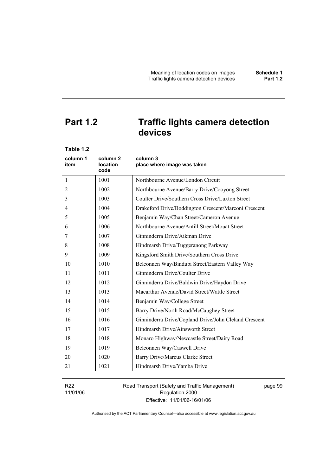# **Part 1.2 Traffic lights camera detection**

**devices** 

| column 1<br>column 2<br>column 3<br>location<br>place where image was taken<br>item<br>code<br>1001<br>Northbourne Avenue/London Circuit<br>1<br>1002<br>Northbourne Avenue/Barry Drive/Cooyong Street<br>2<br>1003<br>Coulter Drive/Southern Cross Drive/Luxton Street<br>3<br>1004<br>Drakeford Drive/Boddington Crescent/Marconi Crescent<br>4<br>1005<br>Benjamin Way/Chan Street/Cameron Avenue<br>5<br>1006<br>Northbourne Avenue/Antill Street/Mouat Street<br>6<br>1007<br>Ginninderra Drive/Aikman Drive<br>7<br>1008 |  |
|--------------------------------------------------------------------------------------------------------------------------------------------------------------------------------------------------------------------------------------------------------------------------------------------------------------------------------------------------------------------------------------------------------------------------------------------------------------------------------------------------------------------------------|--|
|                                                                                                                                                                                                                                                                                                                                                                                                                                                                                                                                |  |
|                                                                                                                                                                                                                                                                                                                                                                                                                                                                                                                                |  |
|                                                                                                                                                                                                                                                                                                                                                                                                                                                                                                                                |  |
|                                                                                                                                                                                                                                                                                                                                                                                                                                                                                                                                |  |
|                                                                                                                                                                                                                                                                                                                                                                                                                                                                                                                                |  |
|                                                                                                                                                                                                                                                                                                                                                                                                                                                                                                                                |  |
|                                                                                                                                                                                                                                                                                                                                                                                                                                                                                                                                |  |
|                                                                                                                                                                                                                                                                                                                                                                                                                                                                                                                                |  |
| 8<br>Hindmarsh Drive/Tuggeranong Parkway                                                                                                                                                                                                                                                                                                                                                                                                                                                                                       |  |
| 1009<br>Kingsford Smith Drive/Southern Cross Drive<br>9                                                                                                                                                                                                                                                                                                                                                                                                                                                                        |  |
| 1010<br>10<br>Belconnen Way/Bindubi Street/Eastern Valley Way                                                                                                                                                                                                                                                                                                                                                                                                                                                                  |  |
| Ginninderra Drive/Coulter Drive<br>11<br>1011                                                                                                                                                                                                                                                                                                                                                                                                                                                                                  |  |
| 1012<br>12<br>Ginninderra Drive/Baldwin Drive/Haydon Drive                                                                                                                                                                                                                                                                                                                                                                                                                                                                     |  |
| 1013<br>Macarthur Avenue/David Street/Wattle Street<br>13                                                                                                                                                                                                                                                                                                                                                                                                                                                                      |  |
| 1014<br>14<br>Benjamin Way/College Street                                                                                                                                                                                                                                                                                                                                                                                                                                                                                      |  |
| 15<br>1015<br>Barry Drive/North Road/McCaughey Street                                                                                                                                                                                                                                                                                                                                                                                                                                                                          |  |
| 1016<br>Ginninderra Drive/Copland Drive/John Cleland Crescent<br>16                                                                                                                                                                                                                                                                                                                                                                                                                                                            |  |
| Hindmarsh Drive/Ainsworth Street<br>17<br>1017                                                                                                                                                                                                                                                                                                                                                                                                                                                                                 |  |
| 18<br>1018<br>Monaro Highway/Newcastle Street/Dairy Road                                                                                                                                                                                                                                                                                                                                                                                                                                                                       |  |
| 19<br>1019<br>Belconnen Way/Caswell Drive                                                                                                                                                                                                                                                                                                                                                                                                                                                                                      |  |
| 1020<br>Barry Drive/Marcus Clarke Street<br>20                                                                                                                                                                                                                                                                                                                                                                                                                                                                                 |  |
| 1021<br>21<br>Hindmarsh Drive/Yamba Drive                                                                                                                                                                                                                                                                                                                                                                                                                                                                                      |  |

R22 11/01/06 Road Transport (Safety and Traffic Management) Regulation 2000 Effective: 11/01/06-16/01/06

page 99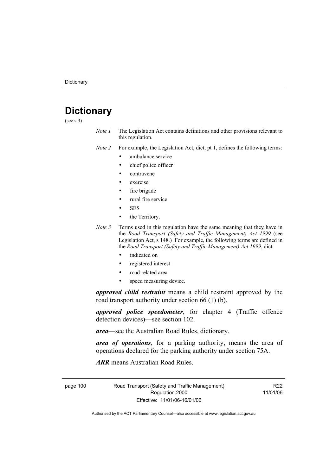## **Dictionary**

(see s 3)

*Note 1* The Legislation Act contains definitions and other provisions relevant to this regulation.

*Note 2* For example, the Legislation Act, dict, pt 1, defines the following terms:

- ambulance service
	- chief police officer
- contravene
- exercise
- fire brigade
- rural fire service
- SES
- the Territory.
- *Note 3* Terms used in this regulation have the same meaning that they have in the *Road Transport (Safety and Traffic Management) Act 1999* (see Legislation Act, s 148.) For example, the following terms are defined in the *Road Transport (Safety and Traffic Management) Act 1999*, dict:
	- indicated on
	- registered interest
	- road related area
	- speed measuring device.

*approved child restraint* means a child restraint approved by the road transport authority under section 66 (1) (b).

*approved police speedometer*, for chapter 4 (Traffic offence detection devices)—see section 102.

*area*—see the Australian Road Rules, dictionary.

*area of operations*, for a parking authority, means the area of operations declared for the parking authority under section 75A.

*ARR* means Australian Road Rules.

page 100 Road Transport (Safety and Traffic Management) Regulation 2000 Effective: 11/01/06-16/01/06

R22 11/01/06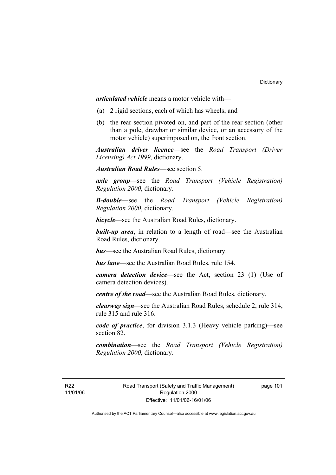*articulated vehicle* means a motor vehicle with—

- (a) 2 rigid sections, each of which has wheels; and
- (b) the rear section pivoted on, and part of the rear section (other than a pole, drawbar or similar device, or an accessory of the motor vehicle) superimposed on, the front section.

*Australian driver licence*—see the *Road Transport (Driver Licensing) Act 1999*, dictionary.

*Australian Road Rules*—see section 5.

*axle group*—see the *Road Transport (Vehicle Registration) Regulation 2000*, dictionary.

*B-double*—see the *Road Transport (Vehicle Registration) Regulation 2000*, dictionary.

*bicycle*—see the Australian Road Rules, dictionary.

**built-up area**, in relation to a length of road—see the Australian Road Rules, dictionary.

*bus*—see the Australian Road Rules, dictionary.

*bus lane*—see the Australian Road Rules, rule 154.

*camera detection device*—see the Act, section 23 (1) (Use of camera detection devices).

*centre of the road*—see the Australian Road Rules, dictionary.

*clearway sign*—see the Australian Road Rules, schedule 2, rule 314, rule 315 and rule 316.

*code of practice*, for division 3.1.3 (Heavy vehicle parking)—see section 82.

*combination*—see the *Road Transport (Vehicle Registration) Regulation 2000*, dictionary.

R22 11/01/06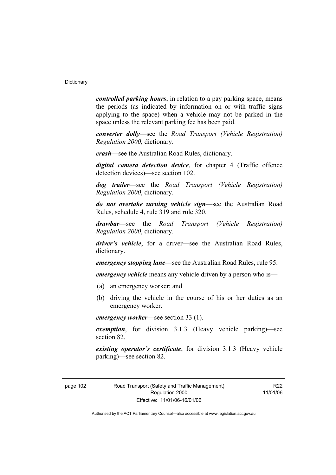*controlled parking hours*, in relation to a pay parking space, means the periods (as indicated by information on or with traffic signs applying to the space) when a vehicle may not be parked in the space unless the relevant parking fee has been paid.

*converter dolly*—see the *Road Transport (Vehicle Registration) Regulation 2000*, dictionary.

*crash*—see the Australian Road Rules, dictionary.

*digital camera detection device*, for chapter 4 (Traffic offence detection devices)—see section 102.

*dog trailer*—see the *Road Transport (Vehicle Registration) Regulation 2000*, dictionary.

*do not overtake turning vehicle sign*—see the Australian Road Rules, schedule 4, rule 319 and rule 320.

*drawbar*—see the *Road Transport (Vehicle Registration) Regulation 2000*, dictionary.

*driver's vehicle*, for a driver*—*see the Australian Road Rules, dictionary.

*emergency stopping lane*—see the Australian Road Rules, rule 95.

*emergency vehicle* means any vehicle driven by a person who is—

- (a) an emergency worker; and
- (b) driving the vehicle in the course of his or her duties as an emergency worker.

*emergency worker*—see section 33 (1).

*exemption*, for division 3.1.3 (Heavy vehicle parking)—see section 82.

*existing operator's certificate*, for division 3.1.3 (Heavy vehicle parking)—see section 82.

R<sub>22</sub> 11/01/06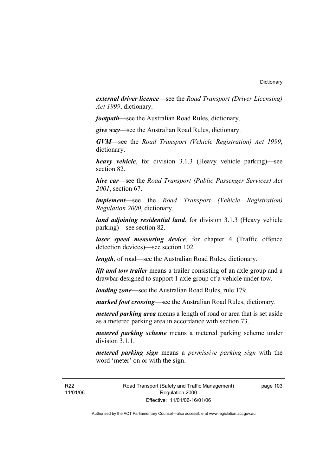*external driver licence*—see the *Road Transport (Driver Licensing) Act 1999*, dictionary.

*footpath*—see the Australian Road Rules, dictionary.

*give way*—see the Australian Road Rules, dictionary.

*GVM*—see the *Road Transport (Vehicle Registration) Act 1999*, dictionary.

*heavy vehicle*, for division 3.1.3 (Heavy vehicle parking)—see section 82.

*hire car*—see the *Road Transport (Public Passenger Services) Act 2001*, section 67.

*implement*—see the *Road Transport (Vehicle Registration) Regulation 2000*, dictionary.

*land adjoining residential land*, for division 3.1.3 (Heavy vehicle parking)—see section 82.

*laser speed measuring device*, for chapter 4 (Traffic offence detection devices)—see section 102.

*length*, of road—see the Australian Road Rules, dictionary.

*lift and tow trailer* means a trailer consisting of an axle group and a drawbar designed to support 1 axle group of a vehicle under tow.

*loading zone*—see the Australian Road Rules, rule 179.

*marked foot crossing*—see the Australian Road Rules, dictionary.

*metered parking area* means a length of road or area that is set aside as a metered parking area in accordance with section 73.

*metered parking scheme* means a metered parking scheme under division 3.1.1

*metered parking sign* means a *permissive parking sign* with the word 'meter' on or with the sign.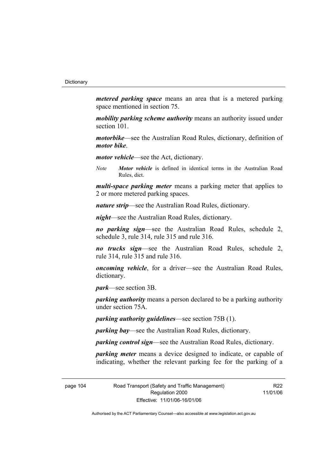*metered parking space* means an area that is a metered parking space mentioned in section 75.

*mobility parking scheme authority* means an authority issued under section 101.

*motorbike*—see the Australian Road Rules, dictionary, definition of *motor bike*.

*motor vehicle*—see the Act, dictionary.

*Note Motor vehicle* is defined in identical terms in the Australian Road Rules, dict.

*multi-space parking meter* means a parking meter that applies to 2 or more metered parking spaces.

*nature strip*—see the Australian Road Rules, dictionary.

*night*—see the Australian Road Rules, dictionary.

*no parking sign*—see the Australian Road Rules, schedule 2, schedule 3, rule 314, rule 315 and rule 316.

*no trucks sign*—see the Australian Road Rules, schedule 2, rule 314, rule 315 and rule 316.

*oncoming vehicle*, for a driver—see the Australian Road Rules, dictionary.

*park*—see section 3B.

*parking authority* means a person declared to be a parking authority under section 75A.

*parking authority guidelines*—see section 75B (1).

*parking bay*—see the Australian Road Rules, dictionary.

*parking control sign*—see the Australian Road Rules, dictionary.

*parking meter* means a device designed to indicate, or capable of indicating, whether the relevant parking fee for the parking of a

page 104 Road Transport (Safety and Traffic Management) Regulation 2000 Effective: 11/01/06-16/01/06

R<sub>22</sub> 11/01/06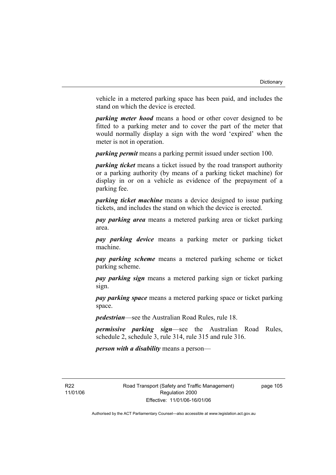vehicle in a metered parking space has been paid, and includes the stand on which the device is erected.

*parking meter hood* means a hood or other cover designed to be fitted to a parking meter and to cover the part of the meter that would normally display a sign with the word 'expired' when the meter is not in operation.

*parking permit* means a parking permit issued under section 100.

*parking ticket* means a ticket issued by the road transport authority or a parking authority (by means of a parking ticket machine) for display in or on a vehicle as evidence of the prepayment of a parking fee.

*parking ticket machine* means a device designed to issue parking tickets, and includes the stand on which the device is erected.

*pay parking area* means a metered parking area or ticket parking area.

*pay parking device* means a parking meter or parking ticket machine.

*pay parking scheme* means a metered parking scheme or ticket parking scheme.

*pay parking sign* means a metered parking sign or ticket parking sign.

*pay parking space* means a metered parking space or ticket parking space.

*pedestrian*—see the Australian Road Rules, rule 18.

*permissive parking sign*—see the Australian Road Rules, schedule 2, schedule 3, rule 314, rule 315 and rule 316.

*person with a disability* means a person—

R<sub>22</sub> 11/01/06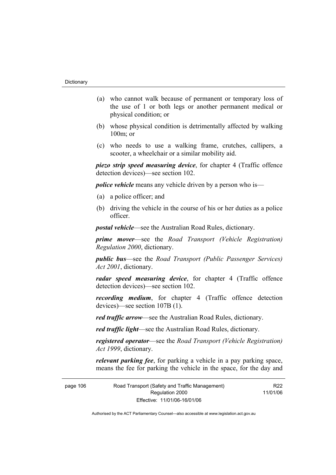- (a) who cannot walk because of permanent or temporary loss of the use of 1 or both legs or another permanent medical or physical condition; or
- (b) whose physical condition is detrimentally affected by walking 100m; or
- (c) who needs to use a walking frame, crutches, callipers, a scooter, a wheelchair or a similar mobility aid.

*piezo strip speed measuring device*, for chapter 4 (Traffic offence detection devices)—see section 102.

*police vehicle* means any vehicle driven by a person who is—

- (a) a police officer; and
- (b) driving the vehicle in the course of his or her duties as a police officer.

*postal vehicle*—see the Australian Road Rules, dictionary.

*prime mover*—see the *Road Transport (Vehicle Registration) Regulation 2000*, dictionary.

*public bus*—see the *Road Transport (Public Passenger Services) Act 2001*, dictionary.

*radar speed measuring device*, for chapter 4 (Traffic offence detection devices)—see section 102.

*recording medium*, for chapter 4 (Traffic offence detection devices)—see section 107B (1).

*red traffic arrow*—see the Australian Road Rules, dictionary.

*red traffic light*—see the Australian Road Rules, dictionary.

*registered operator*—see the *Road Transport (Vehicle Registration) Act 1999*, dictionary.

*relevant parking fee*, for parking a vehicle in a pay parking space, means the fee for parking the vehicle in the space, for the day and

R<sub>22</sub>

page 106 Road Transport (Safety and Traffic Management) Regulation 2000 Effective: 11/01/06-16/01/06 11/01/06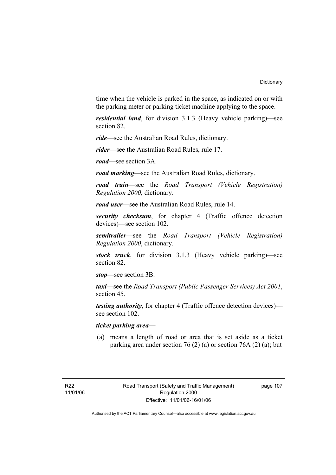time when the vehicle is parked in the space, as indicated on or with the parking meter or parking ticket machine applying to the space.

*residential land*, for division 3.1.3 (Heavy vehicle parking)—see section 82.

*ride*—see the Australian Road Rules, dictionary.

*rider*—see the Australian Road Rules, rule 17.

*road*—see section 3A.

*road marking*—see the Australian Road Rules, dictionary.

*road train*—see the *Road Transport (Vehicle Registration) Regulation 2000*, dictionary.

*road user*—see the Australian Road Rules, rule 14.

*security checksum*, for chapter 4 (Traffic offence detection devices)—see section 102.

*semitrailer*—see the *Road Transport (Vehicle Registration) Regulation 2000*, dictionary.

*stock truck*, for division 3.1.3 (Heavy vehicle parking)—see section 82.

*stop*—see section 3B.

*taxi*—see the *Road Transport (Public Passenger Services) Act 2001*, section 45.

*testing authority*, for chapter 4 (Traffic offence detection devices) see section 102.

## *ticket parking area*—

 (a) means a length of road or area that is set aside as a ticket parking area under section 76 (2) (a) or section 76A (2) (a); but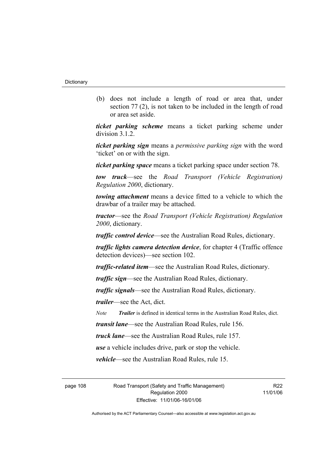(b) does not include a length of road or area that, under section 77 (2), is not taken to be included in the length of road or area set aside.

*ticket parking scheme* means a ticket parking scheme under division 3.1.2.

*ticket parking sign* means a *permissive parking sign* with the word 'ticket' on or with the sign.

*ticket parking space* means a ticket parking space under section 78.

*tow truck*—see the *Road Transport (Vehicle Registration) Regulation 2000*, dictionary.

*towing attachment* means a device fitted to a vehicle to which the drawbar of a trailer may be attached.

*tractor*—see the *Road Transport (Vehicle Registration) Regulation 2000*, dictionary.

*traffic control device*—see the Australian Road Rules, dictionary.

*traffic lights camera detection device*, for chapter 4 (Traffic offence detection devices)—see section 102.

*traffic-related item*—see the Australian Road Rules, dictionary.

*traffic sign*—see the Australian Road Rules, dictionary.

*traffic signals*—see the Australian Road Rules, dictionary.

*trailer*—see the Act, dict.

*Note Trailer* is defined in identical terms in the Australian Road Rules, dict.

*transit lane*—see the Australian Road Rules, rule 156.

*truck lane*—see the Australian Road Rules, rule 157.

*use* a vehicle includes drive, park or stop the vehicle.

*vehicle*—see the Australian Road Rules, rule 15.

page 108 Road Transport (Safety and Traffic Management) Regulation 2000 Effective: 11/01/06-16/01/06

R<sub>22</sub> 11/01/06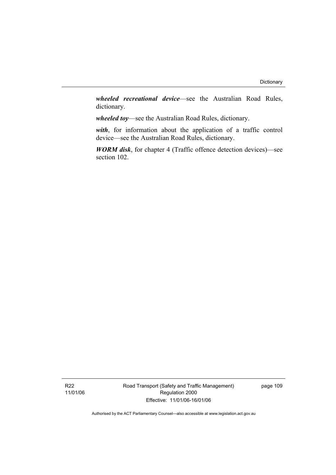*wheeled recreational device*—see the Australian Road Rules, dictionary.

*wheeled toy*—see the Australian Road Rules, dictionary.

*with*, for information about the application of a traffic control device—see the Australian Road Rules, dictionary.

*WORM disk*, for chapter 4 (Traffic offence detection devices)—see section 102.

Road Transport (Safety and Traffic Management) Regulation 2000 Effective: 11/01/06-16/01/06

page 109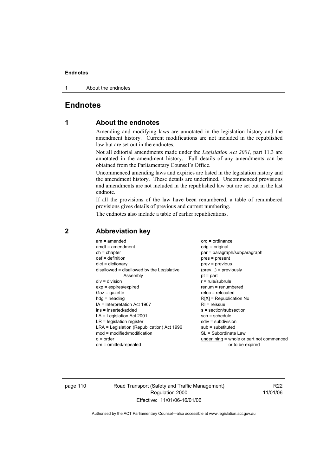1 About the endnotes

## **Endnotes**

## **1 About the endnotes**

Amending and modifying laws are annotated in the legislation history and the amendment history. Current modifications are not included in the republished law but are set out in the endnotes.

Not all editorial amendments made under the *Legislation Act 2001*, part 11.3 are annotated in the amendment history. Full details of any amendments can be obtained from the Parliamentary Counsel's Office.

Uncommenced amending laws and expiries are listed in the legislation history and the amendment history. These details are underlined. Uncommenced provisions and amendments are not included in the republished law but are set out in the last endnote.

If all the provisions of the law have been renumbered, a table of renumbered provisions gives details of previous and current numbering.

The endnotes also include a table of earlier republications.

| $am = amended$                             | $ord = ordinance$                         |
|--------------------------------------------|-------------------------------------------|
| $amdt = amendment$                         | $orig = original$                         |
| $ch = chapter$                             | par = paragraph/subparagraph              |
| $def = definition$                         | $pres = present$                          |
| $dict = dictionary$                        | $prev = previous$                         |
| disallowed = disallowed by the Legislative | $(\text{prev}) = \text{previously}$       |
| Assembly                                   | $pt = part$                               |
| $div = division$                           | $r = rule/subrule$                        |
| $exp = expires/expired$                    | renum = renumbered                        |
| $Gaz = gazette$                            | $reloc = relocated$                       |
| $hdg = heading$                            | $R[X]$ = Republication No                 |
| $IA = Interpretation Act 1967$             | $RI =$ reissue                            |
| ins = inserted/added                       | s = section/subsection                    |
| $LA =$ Legislation Act 2001                | $sch = schedule$                          |
| $LR =$ legislation register                | $sdiv = subdivision$                      |
| LRA = Legislation (Republication) Act 1996 | $sub =$ substituted                       |
| $mod = modified/modification$              | SL = Subordinate Law                      |
| $o = order$                                | underlining = whole or part not commenced |
| om = omitted/repealed                      | or to be expired                          |
|                                            |                                           |

## **2 Abbreviation key**

page 110 Road Transport (Safety and Traffic Management) Regulation 2000 Effective: 11/01/06-16/01/06

R22 11/01/06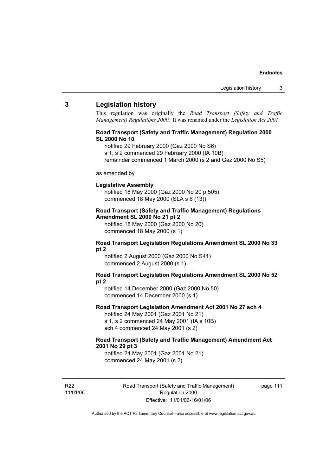## **3 Legislation history**

This regulation was originally the *Road Transport (Safety and Traffic Management) Regulations 2000*. It was renamed under the *Legislation Act 2001*.

## **Road Transport (Safety and Traffic Management) Regulation 2000 SL 2000 No 10**

- notified 29 February 2000 (Gaz 2000 No S6)
- s 1, s 2 commenced 29 February 2000 (IA 10B)
- remainder commenced 1 March 2000 (s 2 and Gaz 2000 No S5)

#### as amended by

#### **Legislative Assembly**

notified 18 May 2000 (Gaz 2000 No 20 p 505) commenced 18 May 2000 (SLA s 6 (13))

#### **Road Transport (Safety and Traffic Management) Regulations Amendment SL 2000 No 21 pt 2**

notified 18 May 2000 (Gaz 2000 No 20) commenced 18 May 2000 (s 1)

### **Road Transport Legislation Regulations Amendment SL 2000 No 33 pt 2**

notified 2 August 2000 (Gaz 2000 No S41) commenced 2 August 2000 (s 1)

#### **Road Transport Legislation Regulations Amendment SL 2000 No 52 pt 2**

notified 14 December 2000 (Gaz 2000 No 50) commenced 14 December 2000 (s 1)

## **Road Transport Legislation Amendment Act 2001 No 27 sch 4**

notified 24 May 2001 (Gaz 2001 No 21) s 1, s 2 commenced 24 May 2001 (IA s 10B) sch 4 commenced 24 May 2001 (s 2)

## **Road Transport (Safety and Traffic Management) Amendment Act 2001 No 29 pt 3**

notified 24 May 2001 (Gaz 2001 No 21) commenced 24 May 2001 (s 2)

R22 11/01/06 Road Transport (Safety and Traffic Management) Regulation 2000 Effective: 11/01/06-16/01/06

page 111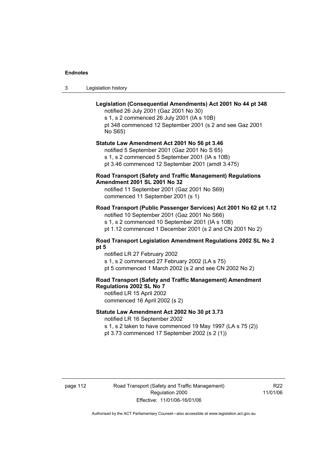| -3 | Legislation history |  |
|----|---------------------|--|
|----|---------------------|--|

## **Legislation (Consequential Amendments) Act 2001 No 44 pt 348**

notified 26 July 2001 (Gaz 2001 No 30) s 1, s 2 commenced 26 July 2001 (IA s 10B) pt 348 commenced 12 September 2001 (s 2 and see Gaz 2001 No S65)

## **Statute Law Amendment Act 2001 No 56 pt 3.46**

notified 5 September 2001 (Gaz 2001 No S 65) s 1, s 2 commenced 5 September 2001 (IA s 10B) pt 3.46 commenced 12 September 2001 (amdt 3.475)

## **Road Transport (Safety and Traffic Management) Regulations Amendment 2001 SL 2001 No 32**

notified 11 September 2001 (Gaz 2001 No S69) commenced 11 September 2001 (s 1)

## **Road Transport (Public Passenger Services) Act 2001 No 62 pt 1.12**

notified 10 September 2001 (Gaz 2001 No S66) s 1, s 2 commenced 10 September 2001 (IA s 10B)

pt 1.12 commenced 1 December 2001 (s 2 and CN 2001 No 2)

## **Road Transport Legislation Amendment Regulations 2002 SL No 2 pt 5**

notified LR 27 February 2002 s 1, s 2 commenced 27 February 2002 (LA s 75) pt 5 commenced 1 March 2002 (s 2 and see CN 2002 No 2)

## **Road Transport (Safety and Traffic Management) Amendment Regulations 2002 SL No 7**

notified LR 15 April 2002 commenced 16 April 2002 (s 2)

## **Statute Law Amendment Act 2002 No 30 pt 3.73**

notified LR 16 September 2002

s 1, s 2 taken to have commenced 19 May 1997 (LA s 75 (2)) pt 3.73 commenced 17 September 2002 (s 2 (1))

page 112 Road Transport (Safety and Traffic Management) Regulation 2000 Effective: 11/01/06-16/01/06

R<sub>22</sub> 11/01/06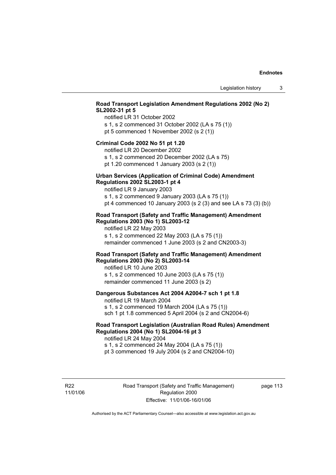## **Road Transport Legislation Amendment Regulations 2002 (No 2) SL2002-31 pt 5**

notified LR 31 October 2002 s 1, s 2 commenced 31 October 2002 (LA s 75 (1)) pt 5 commenced 1 November 2002 (s 2 (1))

#### **Criminal Code 2002 No 51 pt 1.20**

notified LR 20 December 2002

s 1, s 2 commenced 20 December 2002 (LA s 75) pt 1.20 commenced 1 January 2003 (s 2 (1))

#### **Urban Services (Application of Criminal Code) Amendment Regulations 2002 SL2003-1 pt 4**

notified LR 9 January 2003

s 1, s 2 commenced 9 January 2003 (LA s 75 (1)) pt 4 commenced 10 January 2003 (s 2 (3) and see LA s 73 (3) (b))

## **Road Transport (Safety and Traffic Management) Amendment Regulations 2003 (No 1) SL2003-12**

notified LR 22 May 2003 s 1, s 2 commenced 22 May 2003 (LA s 75 (1)) remainder commenced 1 June 2003 (s 2 and CN2003-3)

## **Road Transport (Safety and Traffic Management) Amendment Regulations 2003 (No 2) SL2003-14**

notified LR 10 June 2003 s 1, s 2 commenced 10 June 2003 (LA s 75 (1)) remainder commenced 11 June 2003 (s 2)

## **Dangerous Substances Act 2004 A2004-7 sch 1 pt 1.8**

notified LR 19 March 2004 s 1, s 2 commenced 19 March 2004 (LA s 75 (1)) sch 1 pt 1.8 commenced 5 April 2004 (s 2 and CN2004-6)

## **Road Transport Legislation (Australian Road Rules) Amendment Regulations 2004 (No 1) SL2004-16 pt 3**

notified LR 24 May 2004 s 1, s 2 commenced 24 May 2004 (LA s 75 (1)) pt 3 commenced 19 July 2004 (s 2 and CN2004-10)

R22 11/01/06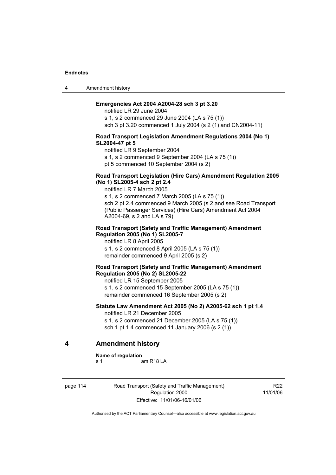4 Amendment history

## **Emergencies Act 2004 A2004-28 sch 3 pt 3.20**

notified LR 29 June 2004 s 1, s 2 commenced 29 June 2004 (LA s 75 (1)) sch 3 pt 3.20 commenced 1 July 2004 (s 2 (1) and CN2004-11)

#### **Road Transport Legislation Amendment Regulations 2004 (No 1) SL2004-47 pt 5**

notified LR 9 September 2004 s 1, s 2 commenced 9 September 2004 (LA s 75 (1))

pt 5 commenced 10 September 2004 (s 2)

## **Road Transport Legislation (Hire Cars) Amendment Regulation 2005 (No 1) SL2005-4 sch 2 pt 2.4**

notified LR 7 March 2005

s 1, s 2 commenced 7 March 2005 (LA s 75 (1)) sch 2 pt 2.4 commenced 9 March 2005 (s 2 and see Road Transport (Public Passenger Services) (Hire Cars) Amendment Act 2004 A2004-69, s 2 and LA s 79)

#### **Road Transport (Safety and Traffic Management) Amendment Regulation 2005 (No 1) SL2005-7**

notified LR 8 April 2005 s 1, s 2 commenced 8 April 2005 (LA s 75 (1)) remainder commenced 9 April 2005 (s 2)

## **Road Transport (Safety and Traffic Management) Amendment Regulation 2005 (No 2) SL2005-22**

notified LR 15 September 2005 s 1, s 2 commenced 15 September 2005 (LA s 75 (1)) remainder commenced 16 September 2005 (s 2)

## **Statute Law Amendment Act 2005 (No 2) A2005-62 sch 1 pt 1.4**  notified LR 21 December 2005

s 1, s 2 commenced 21 December 2005 (LA s 75 (1))

sch 1 pt 1.4 commenced 11 January 2006 (s 2 (1))

## **4 Amendment history**

#### **Name of regulation**

s 1 am R18 LA

page 114 Road Transport (Safety and Traffic Management) Regulation 2000 Effective: 11/01/06-16/01/06

R<sub>22</sub> 11/01/06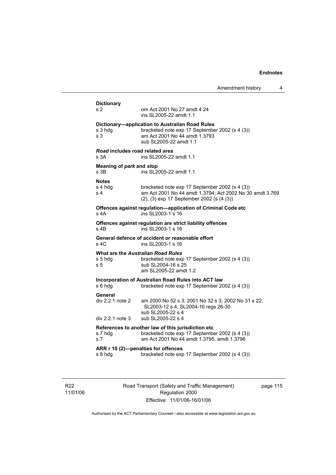Amendment history 4 **Dictionary**  s 2 om Act 2001 No 27 amdt 4.24 ins SL2005-22 amdt 1.1 **Dictionary—application to Australian Road Rules**  s 3 hdg bracketed note exp 17 September 2002 (s 4 (3)) s 3 am Act 2001 No 44 amdt 1.3793 sub SL2005-22 amdt 1.1 *Road* **includes road related area**  s 3A ins SL2005-22 amdt 1.1 **Meaning of** *park* **and** *stop* s 3B ins SL2005-22 amdt 1.1 **Notes**  s 4 hdg bracketed note exp 17 September 2002 (s 4 (3)) s 4 am Act 2001 No 44 amdt 1.3794; Act 2002 No 30 amdt 3.769 (2), (3) exp 17 September 2002 (s (4 (3)) **Offences against regulation—application of Criminal Code etc**  s 4A ins SL2003-1 s 16 **Offences against regulation are strict liability offences**  s 4B ins SL2003-1 s 16 **General defence of accident or reasonable effort**  ins SL2003-1 s 16 **What are the** *Australian Road Rules* s 5 hdg bracketed note exp 17 September 2002 (s 4 (3)) s 5 sub SL2004-16 s 25 am SL2005-22 amdt 1.2 **Incorporation of Australian Road Rules into ACT law**  s 6 hdg bracketed note exp 17 September 2002 (s 4 (3)) **General**  div 2.2.1 note 2 am 2000 No 52 s 3; 2001 No 32 s 3; 2002 No 31 s 22; SL2003-12 s 4; SL2004-16 regs 26-30 sub SL2005-22 s 4<br>div 2.2.1 note 3 sub SL2005-22 s 4 sub SL2005-22 s 4 **References to another law of this jurisdiction etc**  s 7 hdg bracketed note exp 17 September 2002 (s 4 (3)) s 7 am Act 2001 No 44 amdt 1.3795, amdt 1.3796 **ARR r 10 (2)—penalties for offences**  s 8 hdg bracketed note exp 17 September 2002 (s 4 (3))

R22 11/01/06 Road Transport (Safety and Traffic Management) Regulation 2000 Effective: 11/01/06-16/01/06

page 115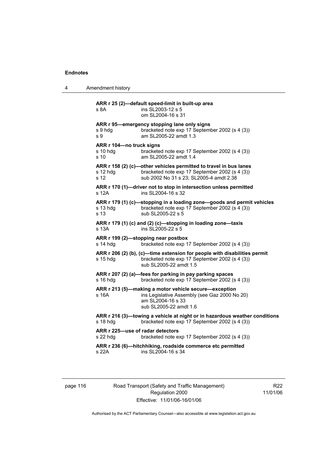4 Amendment history

**ARR r 25 (2)—default speed-limit in built-up area**  s 8A **ins SL2003-12 s 5**  om SL2004-16 s 31 **ARR r 95—emergency stopping lane only signs**  s 9 hdg bracketed note exp 17 September 2002 (s 4 (3)) s 9 am SL2005-22 amdt 1.3 **ARR r 104—no truck signs**  s 10 hdg bracketed note exp 17 September 2002 (s 4 (3))<br>s 10 am SL2005-22 amdt 1.4 am SL2005-22 amdt 1.4 **ARR r 158 (2) (c)—other vehicles permitted to travel in bus lanes**  s 12 hdg bracketed note exp 17 September 2002 (s 4 (3)) s 12 sub 2002 No 31 s 23; SL2005-4 amdt 2.38 **ARR r 170 (1)—driver not to stop in intersection unless permitted**  s 12A ins SL2004-16 s 32 **ARR r 179 (1) (c)—stopping in a loading zone—goods and permit vehicles** s 13 hda bracketed note exp 17 September 2002 (s 4 (3)) bracketed note exp 17 September 2002 (s 4 (3)) s 13 sub SL2005-22 s 5 **ARR r 179 (1) (c) and (2) (c)—stopping in loading zone—taxis**  s 13A ins SL2005-22 s 5 **ARR r 199 (2)—stopping near postbox**  s 14 hdg bracketed note exp 17 September 2002 (s 4 (3)) **ARR r 206 (2) (b), (c)—time extension for people with disabilities permit**  s 15 hdg bracketed note exp 17 September 2002 (s 4 (3)) sub SL2005-22 amdt 1.5 **ARR r 207 (2) (a)—fees for parking in pay parking spaces**  s 16 hdg bracketed note exp 17 September 2002 (s 4 (3)) **ARR r 213 (5)—making a motor vehicle secure—exception**  s 16A ins Legislative Assembly (see Gaz 2000 No 20) am SL2004-16 s 33 sub SL2005-22 amdt 1.6 **ARR r 216 (3)—towing a vehicle at night or in hazardous weather conditions**  s 18 hdg bracketed note exp 17 September 2002 (s 4 (3)) **ARR r 225—use of radar detectors**  s 22 hdg bracketed note exp 17 September 2002 (s 4 (3)) **ARR r 236 (6)—hitchhiking, roadside commerce etc permitted**  s 22A ins SL2004-16 s 34

| page 116 |  |  |  |
|----------|--|--|--|
|----------|--|--|--|

116 Road Transport (Safety and Traffic Management) Regulation 2000 Effective: 11/01/06-16/01/06

R22 11/01/06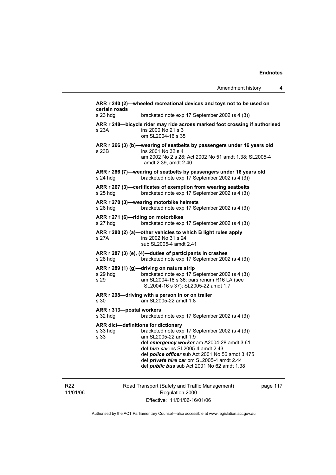| certain roads                                           | ARR r 240 (2)-wheeled recreational devices and toys not to be used on                                                                                                                                                                                                                                                       |
|---------------------------------------------------------|-----------------------------------------------------------------------------------------------------------------------------------------------------------------------------------------------------------------------------------------------------------------------------------------------------------------------------|
| s 23 hdg                                                | bracketed note exp 17 September 2002 (s 4 (3))                                                                                                                                                                                                                                                                              |
| s 23A                                                   | ARR r 248-bicycle rider may ride across marked foot crossing if authorised<br>ins 2000 No 21 s 3<br>om SL2004-16 s 35                                                                                                                                                                                                       |
| s 23B                                                   | ARR r 266 (3) (b)-wearing of seatbelts by passengers under 16 years old<br>ins 2001 No 32 s 4<br>am 2002 No 2 s 28; Act 2002 No 51 amdt 1.38; SL2005-4<br>amdt 2.39, amdt 2.40                                                                                                                                              |
| s 24 hdg                                                | ARR r 266 (7)-wearing of seatbelts by passengers under 16 years old<br>bracketed note exp 17 September 2002 (s 4 (3))                                                                                                                                                                                                       |
| s 25 hdg                                                | ARR r 267 (3)-certificates of exemption from wearing seatbelts<br>bracketed note exp 17 September 2002 (s 4 (3))                                                                                                                                                                                                            |
| s 26 hdg                                                | ARR r 270 (3)-wearing motorbike helmets<br>bracketed note exp 17 September 2002 (s 4 (3))                                                                                                                                                                                                                                   |
| s 27 hdg                                                | ARR r 271 (6)-riding on motorbikes<br>bracketed note exp 17 September 2002 (s 4 (3))                                                                                                                                                                                                                                        |
| s 27A                                                   | ARR r 280 (2) (a)-other vehicles to which B light rules apply<br>ins 2002 No 31 s 24<br>sub SL2005-4 amdt 2.41                                                                                                                                                                                                              |
| s 28 hdg                                                | ARR r 287 (3) (e), (4)-duties of participants in crashes<br>bracketed note exp 17 September 2002 (s 4 (3))                                                                                                                                                                                                                  |
| s 29 hdg<br>s 29                                        | ARR r 289 (1) (g)-driving on nature strip<br>bracketed note exp 17 September 2002 (s 4 (3))<br>am SL2004-16 s 36; pars renum R16 LA (see<br>SL2004-16 s 37); SL2005-22 amdt 1.7                                                                                                                                             |
| s 30                                                    | ARR r 298-driving with a person in or on trailer<br>am SL2005-22 amdt 1.8                                                                                                                                                                                                                                                   |
| ARR r 313-postal workers<br>s 32 hdg                    | bracketed note exp 17 September 2002 (s 4 (3))                                                                                                                                                                                                                                                                              |
| ARR dict-definitions for dictionary<br>s 33 hdg<br>s 33 | bracketed note exp 17 September 2002 (s 4 (3))<br>am SL2005-22 amdt 1.9<br>def emergency worker am A2004-28 amdt 3.61<br>def hire car ins SL2005-4 amdt 2.43<br>def <i>police officer</i> sub Act 2001 No 56 amdt 3.475<br>def private hire car om SL2005-4 amdt 2.44<br>def <i>public bus</i> sub Act 2001 No 62 amdt 1.38 |

R22 11/01/06 Road Transport (Safety and Traffic Management) Regulation 2000 Effective: 11/01/06-16/01/06

page 117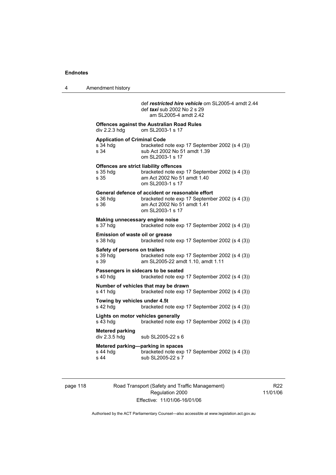4 Amendment history

 def *restricted hire vehicle* om SL2005-4 amdt 2.44 def *taxi* sub 2002 No 2 s 29 am SL2005-4 amdt 2.42 **Offences against the Australian Road Rules**  div 2.2.3 hdg om SL2003-1 s 17 **Application of Criminal Code**  s 34 hdg bracketed note exp 17 September 2002 (s 4 (3))<br>s 34 sub Act 2002 No 51 amdt 1.39 sub Act 2002 No 51 amdt 1.39 om SL2003-1 s 17 **Offences are strict liability offences**  s 35 hdg bracketed note exp 17 September 2002 (s 4 (3))<br>s 35 am Act 2002 No 51 amdt 1.40 am Act 2002 No 51 amdt 1.40 om SL2003-1 s 17 **General defence of accident or reasonable effort**  bracketed note exp 17 September 2002 (s 4 (3)) s 36 am Act 2002 No 51 amdt 1.41 om SL2003-1 s 17 **Making unnecessary engine noise**  bracketed note exp 17 September 2002 (s 4 (3)) **Emission of waste oil or grease**  s 38 hdg bracketed note exp 17 September 2002 (s 4 (3)) **Safety of persons on trailers**<br>s 39 hdg bracketed bracketed note exp 17 September 2002 (s 4 (3)) s 39 am SL2005-22 amdt 1.10, amdt 1.11 **Passengers in sidecars to be seated**  s 40 hdg bracketed note exp 17 September 2002 (s 4 (3)) **Number of vehicles that may be drawn**  s 41 hdg bracketed note exp 17 September 2002 (s 4 (3)) **Towing by vehicles under 4.5t**  s 42 hdg bracketed note exp 17 September 2002 (s 4 (3)) **Lights on motor vehicles generally**  s 43 hdg bracketed note exp 17 September 2002 (s 4 (3)) **Metered parking**  div 2.3.5 hdg sub SL2005-22 s 6 **Metered parking—parking in spaces**  s 44 hdg bracketed note exp 17 September 2002 (s 4 (3)) s 44 sub SL2005-22 s 7

page 118 Road Transport (Safety and Traffic Management) Regulation 2000 Effective: 11/01/06-16/01/06

R22 11/01/06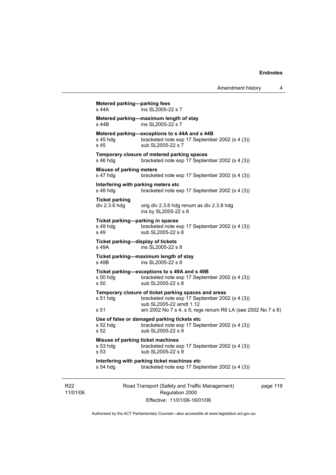```
Road Transport (Safety and Traffic Management) 
                          Regulation 2000 
Metered parking—parking fees 
s 44A ins SL2005-22 s 7
Metered parking—maximum length of stay 
s 44B ins SL2005-22 s 7
Metered parking—exceptions to s 44A and s 44B<br>s 45 hdg bracketed note exp 17 Septembe
                  bracketed note exp 17 September 2002 (s 4 (3))
s 45 sub SL2005-22 s 7 
Temporary closure of metered parking spaces 
s 46 hdg bracketed note exp 17 September 2002 (s 4 (3))
Misuse of parking meters 
s 47 hdg bracketed note exp 17 September 2002 (s 4 (3))
Interfering with parking meters etc 
s 48 hdg bracketed note exp 17 September 2002 (s 4 (3)) 
Ticket parking 
div 2.3.\overline{6} hdg orig div 2.3.\overline{6} hdg renum as div 2.3.\overline{8} hdg
                   ins by SL2005-22 s 8 
Ticket parking—parking in spaces<br>s 49 hdg bracketed note ex-
s 49 hdg bracketed note exp 17 September 2002 (s 4 (3))<br>s 49 sub SL2005-22 s 8
                  sub SL2005-22 s 8
Ticket parking—display of tickets 
s 49A ins SL2005-22 s 8 
Ticket parking—maximum length of stay 
s 49B ins SL2005-22 s 8 
Ticket parking—exceptions to s 49A and s 49B 
s 50 hdg bracketed note exp 17 September 2002 (s 4 (3)) 
s 50 sub SL2005-22 s 8 
Temporary closure of ticket parking spaces and areas 
s 51 hdg bracketed note exp 17 September 2002 (s 4 (3)) 
                   sub SL2005-22 amdt 1.12 
s 51 am 2002 No 7 s 4, s 5; regs renum R6 LA (see 2002 No 7 s 6) 
Use of false or damaged parking tickets etc 
s 52 hdg bracketed note exp 17 September 2002 (s 4 (3))<br>s 52 sub SL2005-22 s 9
                  sub SL2005-22 s 9
Misuse of parking ticket machines 
s 53 hdg bracketed note exp 17 September 2002 (s 4 (3)) 
s 53 sub SL2005-22 s 9
Interfering with parking ticket machines etc 
s 54 hdg bracketed note exp 17 September 2002 (s 4 (3))
```
Effective: 11/01/06-16/01/06

page 119

Authorised by the ACT Parliamentary Counsel—also accessible at www.legislation.act.gov.au

R22 11/01/06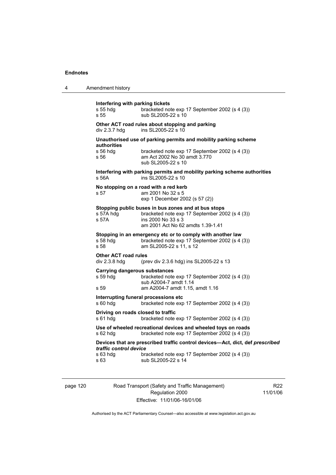| 4 | Amendment history                                                                                                                                                                                          |  |  |
|---|------------------------------------------------------------------------------------------------------------------------------------------------------------------------------------------------------------|--|--|
|   | Interfering with parking tickets<br>s 55 hdg<br>bracketed note exp 17 September 2002 (s 4 (3))<br>s 55<br>sub SL2005-22 s 10                                                                               |  |  |
|   | Other ACT road rules about stopping and parking<br>ins SL2005-22 s 10<br>div 2.3.7 hdg                                                                                                                     |  |  |
|   | Unauthorised use of parking permits and mobility parking scheme<br>authorities<br>s 56 hda<br>bracketed note exp 17 September 2002 (s 4 (3))<br>s 56<br>am Act 2002 No 30 amdt 3.770<br>sub SL2005-22 s 10 |  |  |
|   | Interfering with parking permits and mobility parking scheme authorities<br>ins SL2005-22 s 10<br>s 56A                                                                                                    |  |  |
|   | No stopping on a road with a red kerb<br>s 57<br>am 2001 No 32 s 5<br>exp 1 December 2002 (s 57 (2))                                                                                                       |  |  |
|   | Stopping public buses in bus zones and at bus stops<br>bracketed note exp 17 September 2002 (s 4 (3))<br>s 57A hdq<br>ins 2000 No 33 s 3<br>s 57A<br>am 2001 Act No 62 amdts 1.39-1.41                     |  |  |
|   | Stopping in an emergency etc or to comply with another law<br>s 58 hdg<br>bracketed note exp 17 September 2002 (s 4 (3))<br>s 58<br>am SL2005-22 s 11, s 12                                                |  |  |
|   | <b>Other ACT road rules</b><br>div 2.3.8 hdg<br>(prev div 2.3.6 hdg) ins SL2005-22 s 13                                                                                                                    |  |  |
|   | <b>Carrying dangerous substances</b><br>s 59 hdg<br>bracketed note exp 17 September 2002 (s 4 (3))<br>sub A2004-7 amdt 1.14<br>am A2004-7 amdt 1.15, amdt 1.16<br>s 59                                     |  |  |
|   | Interrupting funeral processions etc.<br>$s60h$ dg<br>bracketed note exp 17 September 2002 (s 4 (3))                                                                                                       |  |  |
|   | Driving on roads closed to traffic<br>s 61 hdg<br>bracketed note exp 17 September 2002 (s 4 (3))                                                                                                           |  |  |
|   | Use of wheeled recreational devices and wheeled toys on roads<br>s 62 hdg<br>bracketed note exp 17 September 2002 (s 4 (3))                                                                                |  |  |
|   | Devices that are prescribed traffic control devices-Act, dict, def prescribed<br>traffic control device<br>s 63 hdg<br>bracketed note exp 17 September 2002 (s 4 (3))<br>sub SL2005-22 s 14<br>s 63        |  |  |
|   |                                                                                                                                                                                                            |  |  |

page 120 Road Transport (Safety and Traffic Management) Regulation 2000 Effective: 11/01/06-16/01/06

R22 11/01/06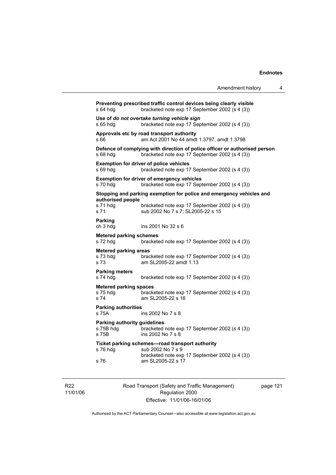|                                                    | Amendment history                                                                                                            | 4 |
|----------------------------------------------------|------------------------------------------------------------------------------------------------------------------------------|---|
| s 64 hdg                                           | Preventing prescribed traffic control devices being clearly visible<br>bracketed note exp 17 September 2002 (s 4 (3))        |   |
| s 65 hdg                                           | Use of do not overtake turning vehicle sign<br>bracketed note exp 17 September 2002 (s 4 (3))                                |   |
| s 66                                               | Approvals etc by road transport authority<br>am Act 2001 No 44 amdt 1.3797, amdt 1.3798                                      |   |
| s 68 hdg                                           | Defence of complying with direction of police officer or authorised person<br>bracketed note exp 17 September 2002 (s 4 (3)) |   |
| s 69 hdq                                           | <b>Exemption for driver of police vehicles</b><br>bracketed note exp 17 September 2002 (s 4 (3))                             |   |
| s 70 hdg                                           | <b>Exemption for driver of emergency vehicles</b><br>bracketed note exp 17 September 2002 (s 4 (3))                          |   |
|                                                    | Stopping and parking exemption for police and emergency vehicles and                                                         |   |
| authorised people<br>s 71 hdg<br>s 71              | bracketed note exp 17 September 2002 (s 4 (3))<br>sub 2002 No 7 s 7; SL2005-22 s 15                                          |   |
| Parking<br>ch 3 hdg                                | ins 2001 No 32 s 6                                                                                                           |   |
| <b>Metered parking schemes</b><br>s 72 hdg         | bracketed note exp 17 September 2002 (s 4 (3))                                                                               |   |
| <b>Metered parking areas</b>                       |                                                                                                                              |   |
| s 73 hdg<br>s 73                                   | bracketed note exp 17 September 2002 (s 4 (3))<br>am SL2005-22 amdt 1.13                                                     |   |
| <b>Parking meters</b><br>s 74 hda                  | bracketed note exp 17 September 2002 (s 4 (3))                                                                               |   |
| <b>Metered parking spaces</b><br>s 75 hdg<br>s 74  | bracketed note exp 17 September 2002 (s 4 (3))<br>am SL2005-22 s 16                                                          |   |
| <b>Parking authorities</b><br>s 75A                | ins 2002 No 7 s 8                                                                                                            |   |
| Parking authority guidelines<br>s 75B hdg<br>s 75B | bracketed note exp 17 September 2002 (s 4 (3))<br>ins 2002 No 7 s 8                                                          |   |
|                                                    | Ticket parking schemes-road transport authority<br>$26 \text{ hda}$ $2002 \text{ Na}$ $7.6 \text{ A}$                        |   |

**Parki**s 75E s 75E **Ticket parking schemes—road transport authority**  s 76 hdg sub 2002 No 7 s 9 bracketed note exp 17 September 2002 (s 4 (3))<br>s 76 am SL2005-22 s 17 am SL2005-22 s 17

R22 11/01/06 Road Transport (Safety and Traffic Management) Regulation 2000 Effective: 11/01/06-16/01/06

page 121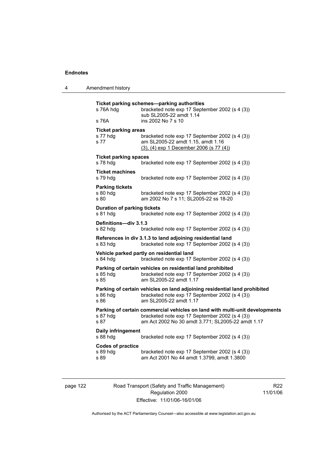| Amendment history |
|-------------------|
|                   |

| s 76A hdg                                      | Ticket parking schemes-parking authorities<br>bracketed note exp 17 September 2002 (s 4 (3))<br>sub SL2005-22 amdt 1.14                                                            |
|------------------------------------------------|------------------------------------------------------------------------------------------------------------------------------------------------------------------------------------|
| s 76A                                          | ins 2002 No 7 s 10                                                                                                                                                                 |
| <b>Ticket parking areas</b>                    |                                                                                                                                                                                    |
| s 77 hdg<br>s 77                               | bracketed note exp 17 September 2002 (s 4 (3))<br>am SL2005-22 amdt 1.15, amdt 1.16<br>$(3)$ , $(4)$ exp 1 December 2006 (s 77 $(4)$ )                                             |
| <b>Ticket parking spaces</b><br>s 78 hdg       | bracketed note exp 17 September 2002 (s 4 (3))                                                                                                                                     |
| <b>Ticket machines</b><br>s 79 hdg             | bracketed note exp 17 September 2002 (s 4 (3))                                                                                                                                     |
| <b>Parking tickets</b><br>s 80 hdg<br>s 80     | bracketed note exp 17 September 2002 (s 4 (3))<br>am 2002 No 7 s 11; SL2005-22 ss 18-20                                                                                            |
| <b>Duration of parking tickets</b><br>s 81 hdg | bracketed note exp 17 September 2002 (s 4 (3))                                                                                                                                     |
| Definitions-div 3.1.3<br>s 82 hdg              | bracketed note exp 17 September 2002 (s 4 (3))                                                                                                                                     |
| s 83 hdg                                       | References in div 3.1.3 to land adjoining residential land<br>bracketed note exp 17 September 2002 (s 4 (3))                                                                       |
| s 84 hdg                                       | Vehicle parked partly on residential land<br>bracketed note exp 17 September 2002 (s 4 (3))                                                                                        |
| s 85 hdg<br>s 85                               | Parking of certain vehicles on residential land prohibited<br>bracketed note exp 17 September 2002 (s 4 (3))<br>am SL2005-22 amdt 1.17                                             |
| s 86 hdg<br>s 86                               | Parking of certain vehicles on land adjoining residential land prohibited<br>bracketed note exp 17 September 2002 (s 4 (3))<br>am SL2005-22 amdt 1.17                              |
| s 87 hdg<br>s 87                               | Parking of certain commercial vehicles on land with multi-unit developments<br>bracketed note exp 17 September 2002 (s 4 (3))<br>am Act 2002 No 30 amdt 3.771; SL2005-22 amdt 1.17 |
| Daily infringement<br>s 88 hdg                 | bracketed note exp 17 September 2002 (s 4 (3))                                                                                                                                     |
| <b>Codes of practice</b><br>s 89 hdg<br>s 89   | bracketed note exp 17 September 2002 (s 4 (3))<br>am Act 2001 No 44 amdt 1.3799, amdt 1.3800                                                                                       |

page 122 Road Transport (Safety and Traffic Management) Regulation 2000 Effective: 11/01/06-16/01/06

R22 11/01/06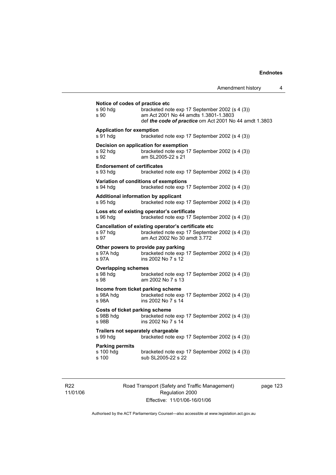| Notice of codes of practice etc<br>s 90 hdg<br>s 90         | bracketed note exp 17 September 2002 (s 4 (3))<br>am Act 2001 No 44 amdts 1.3801-1.3803<br>def the code of practice om Act 2001 No 44 amdt 1.3803 |
|-------------------------------------------------------------|---------------------------------------------------------------------------------------------------------------------------------------------------|
| <b>Application for exemption</b><br>s 91 hdg                | bracketed note exp 17 September 2002 (s 4 (3))                                                                                                    |
| s 92 hdq<br>s 92                                            | Decision on application for exemption<br>bracketed note exp 17 September 2002 (s 4 (3))<br>am SL2005-22 s 21                                      |
| <b>Endorsement of certificates</b><br>s 93 hdg              | bracketed note exp 17 September 2002 (s 4 (3))                                                                                                    |
| s 94 hdg                                                    | Variation of conditions of exemptions<br>bracketed note exp 17 September 2002 (s 4 (3))                                                           |
| s 95 hdg                                                    | Additional information by applicant<br>bracketed note exp 17 September 2002 (s 4 (3))                                                             |
| s 96 hdg                                                    | Loss etc of existing operator's certificate<br>bracketed note exp 17 September 2002 (s 4 (3))                                                     |
| s 97 hdg<br>s 97                                            | Cancellation of existing operator's certificate etc<br>bracketed note exp 17 September 2002 (s 4 (3))<br>am Act 2002 No 30 amdt 3.772             |
| s 97A hdg<br>s 97A                                          | Other powers to provide pay parking<br>bracketed note exp 17 September 2002 (s 4 (3))<br>ins 2002 No 7 s 12                                       |
| <b>Overlapping schemes</b><br>s 98 hdg<br>s 98              | bracketed note exp 17 September 2002 (s 4 (3))<br>am 2002 No 7 s 13                                                                               |
| s 98A hdg<br>s 98A                                          | Income from ticket parking scheme<br>bracketed note exp 17 September 2002 (s 4 (3))<br>ins 2002 No 7 s 14                                         |
| <b>Costs of ticket parking scheme</b><br>s 98B hdg<br>s 98B | bracketed note exp 17 September 2002 (s 4 (3))<br>ins 2002 No 7 s 14                                                                              |
| Trailers not separately chargeable<br>s 99 hdg              | bracketed note exp 17 September 2002 (s 4 (3))                                                                                                    |
| <b>Parking permits</b><br>s 100 hdg<br>s 100                | bracketed note exp 17 September 2002 (s 4 (3))<br>sub SL2005-22 s 22                                                                              |

R22 11/01/06 Road Transport (Safety and Traffic Management) Regulation 2000 Effective: 11/01/06-16/01/06

page 123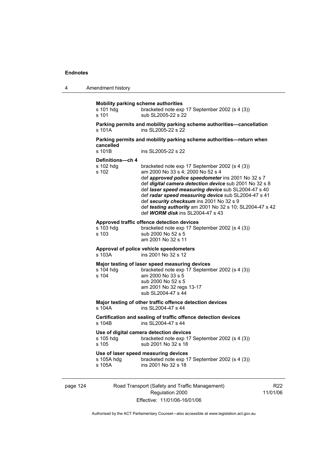| 4 | Amendment history |
|---|-------------------|
|---|-------------------|

| s 101 hdg<br>s 101                     | bracketed note exp 17 September 2002 (s 4 (3))<br>sub SL2005-22 s 22                                                                                                                                                                                                                                                                                                                                                                                                 |
|----------------------------------------|----------------------------------------------------------------------------------------------------------------------------------------------------------------------------------------------------------------------------------------------------------------------------------------------------------------------------------------------------------------------------------------------------------------------------------------------------------------------|
| s 101A                                 | Parking permits and mobility parking scheme authorities-cancellation<br>ins SL2005-22 s 22                                                                                                                                                                                                                                                                                                                                                                           |
| cancelled                              | Parking permits and mobility parking scheme authorities-return when                                                                                                                                                                                                                                                                                                                                                                                                  |
| s 101B                                 | ins SL2005-22 s 22                                                                                                                                                                                                                                                                                                                                                                                                                                                   |
| Definitions-ch 4<br>s 102 hdg<br>s 102 | bracketed note exp 17 September 2002 (s 4 (3))<br>am 2000 No 33 s 4; 2000 No 52 s 4<br>def approved police speedometer ins 2001 No 32 s 7<br>def digital camera detection device sub 2001 No 32 s 8<br>def laser speed measuring device sub SL2004-47 s 40<br>def radar speed measuring device sub SL2004-47 s 41<br>def security checksum ins 2001 No 32 s 9<br>def testing authority am 2001 No 32 s 10; SL2004-47 s 42<br>def <b>WORM disk</b> ins SL2004-47 s 43 |
| s 103 hdq<br>s 103                     | Approved traffic offence detection devices<br>bracketed note exp 17 September 2002 (s 4 (3))<br>sub 2000 No 52 s 5<br>am 2001 No 32 s 11                                                                                                                                                                                                                                                                                                                             |
| s 103A                                 | Approval of police vehicle speedometers<br>ins 2001 No 32 s 12                                                                                                                                                                                                                                                                                                                                                                                                       |
| s 104 hda<br>$s$ 104                   | Major testing of laser speed measuring devices<br>bracketed note exp 17 September 2002 (s 4 (3))<br>am 2000 No 33 s 5<br>sub 2000 No 52 s 5<br>am 2001 No 32 regs 13-17<br>sub SL2004-47 s 44                                                                                                                                                                                                                                                                        |
| $s$ 104 $A$                            | Major testing of other traffic offence detection devices<br>ins SI 2004-47 s 44                                                                                                                                                                                                                                                                                                                                                                                      |
| s 104B                                 | Certification and sealing of traffic offence detection devices<br>ins SI 2004-47 s 44                                                                                                                                                                                                                                                                                                                                                                                |
| s 105 hdg<br>s 105                     | Use of digital camera detection devices<br>bracketed note exp 17 September 2002 (s 4 (3))<br>sub 2001 No 32 s 18                                                                                                                                                                                                                                                                                                                                                     |
| s 105A hdq                             | Use of laser speed measuring devices<br>bracketed note exp 17 September 2002 (s 4 (3))                                                                                                                                                                                                                                                                                                                                                                               |

| page |  | 7Δ<br>-. |
|------|--|----------|
|------|--|----------|

Road Transport (Safety and Traffic Management) Regulation 2000 Effective: 11/01/06-16/01/06

R22 11/01/06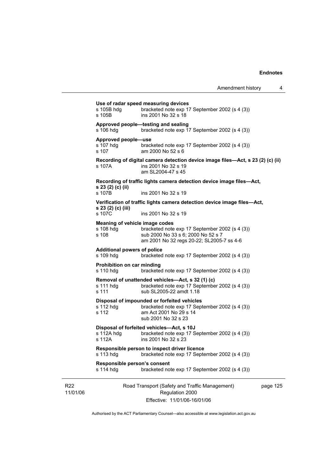|                             | s 105B hdq<br>s 105B                                 | Use of radar speed measuring devices<br>bracketed note exp 17 September 2002 (s 4 (3))<br>ins 2001 No 32 s 18                                  |          |  |  |  |
|-----------------------------|------------------------------------------------------|------------------------------------------------------------------------------------------------------------------------------------------------|----------|--|--|--|
|                             | s 106 hdg                                            | Approved people-testing and sealing<br>bracketed note exp 17 September 2002 (s 4 (3))                                                          |          |  |  |  |
|                             | Approved people-use<br>s 107 hdq<br>s 107            | bracketed note exp 17 September 2002 (s 4 (3))<br>am 2000 No 52 s 6                                                                            |          |  |  |  |
|                             | s 107A ·                                             | Recording of digital camera detection device image files—Act, s 23 (2) (c) (ii)<br>ins 2001 No 32 s 19<br>am SL2004-47 s 45                    |          |  |  |  |
|                             |                                                      | Recording of traffic lights camera detection device image files-Act,                                                                           |          |  |  |  |
|                             | s 23 (2) (c) (ii)<br>s 107B                          | ins 2001 No 32 s 19                                                                                                                            |          |  |  |  |
|                             |                                                      | Verification of traffic lights camera detection device image files—Act,                                                                        |          |  |  |  |
|                             | s 23 (2) (c) (iii)<br>s 107C                         | ins 2001 No 32 s 19                                                                                                                            |          |  |  |  |
|                             | Meaning of vehicle image codes<br>s 108 hdg<br>s 108 | bracketed note exp 17 September 2002 (s 4 (3))<br>sub 2000 No 33 s 6; 2000 No 52 s 7<br>am 2001 No 32 regs 20-22; SL2005-7 ss 4-6              |          |  |  |  |
|                             | <b>Additional powers of police</b><br>s 109 hdg      | bracketed note exp 17 September 2002 (s 4 (3))                                                                                                 |          |  |  |  |
|                             | Prohibition on car minding<br>s 110 hdg              | bracketed note exp 17 September 2002 (s 4 (3))                                                                                                 |          |  |  |  |
|                             | s 111 hdq<br>s 111                                   | Removal of unattended vehicles—Act, s 32 (1) (c)<br>bracketed note exp 17 September 2002 (s 4 (3))<br>sub SL2005-22 amdt 1.18                  |          |  |  |  |
|                             | s 112 hdg<br>s 112                                   | Disposal of impounded or forfeited vehicles<br>bracketed note exp 17 September 2002 (s 4 (3))<br>am Act 2001 No 29 s 14<br>sub 2001 No 32 s 23 |          |  |  |  |
|                             | s 112A hdg<br>s 112A                                 | Disposal of forfeited vehicles-Act, s 10J<br>bracketed note exp 17 September 2002 (s 4 (3))<br>ins 2001 No 32 s 23                             |          |  |  |  |
|                             | s 113 hdg                                            | Responsible person to inspect driver licence<br>bracketed note exp 17 September 2002 (s 4 (3))                                                 |          |  |  |  |
|                             | Responsible person's consent<br>s 114 hdg            | bracketed note exp 17 September 2002 (s 4 (3))                                                                                                 |          |  |  |  |
| R <sub>22</sub><br>11/01/06 |                                                      | Road Transport (Safety and Traffic Management)<br>Regulation 2000<br>Effective: 11/01/06-16/01/06                                              | page 125 |  |  |  |

Authorised by the ACT Parliamentary Counsel—also accessible at www.legislation.act.gov.au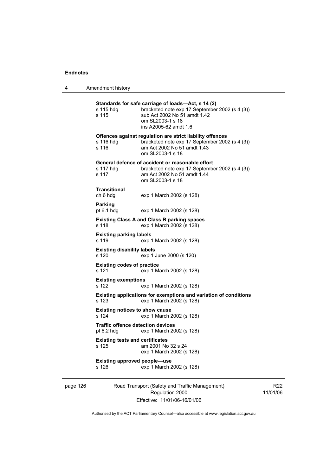4 Amendment history

page 126 Road Transport (Safety and Traffic Management) **Standards for safe carriage of loads—Act, s 14 (2)**  s 115 hdg bracketed note exp 17 September 2002 (s 4 (3)) s 115 sub Act 2002 No 51 amdt 1.42 om SL2003-1 s 18 ins A2005-62 amdt 1.6 **Offences against regulation are strict liability offences**  s 116 hdg bracketed note exp 17 September 2002 (s 4 (3))<br>s 116 am Act 2002 No 51 amdt 1.43 am Act 2002 No 51 amdt 1.43 om SL2003-1 s 18 **General defence of accident or reasonable effort**  s 117 hdg bracketed note exp 17 September 2002 (s 4 (3)) s 117 am Act 2002 No 51 amdt 1.44 om SL2003-1 s 18 **Transitional**  ch 6 hdg exp 1 March 2002 (s 128) **Parking**  pt 6.1 hdg exp 1 March 2002 (s 128) **Existing Class A and Class B parking spaces**  s 118 exp 1 March 2002 (s 128) **Existing parking labels**  s 119 exp 1 March 2002 (s 128) **Existing disability labels**  s 120 exp 1 June 2000 (s 120) **Existing codes of practice**  s 121 exp 1 March 2002 (s 128) **Existing exemptions**  s 122 exp 1 March 2002 (s 128) **Existing applications for exemptions and variation of conditions**  s 123 exp 1 March 2002 (s 128) **Existing notices to show cause**  s 124 exp 1 March 2002 (s 128) **Traffic offence detection devices**  pt 6.2 hdg exp 1 March 2002 (s 128) **Existing tests and certificates**  s 125 am 2001 No 32 s 24 exp 1 March 2002 (s 128) **Existing approved people—use**  s 126 exp 1 March 2002 (s 128)

Regulation 2000 Effective: 11/01/06-16/01/06

R22 11/01/06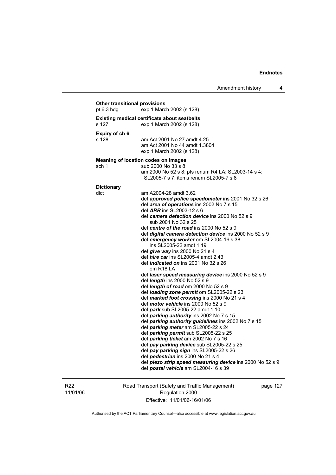## **Other transitional provisions**  pt 6.3 hdg exp 1 March 2002 (s 128) **Existing medical certificate about seatbelts**  s 127 exp 1 March 2002 (s 128) **Expiry of ch 6**  am Act 2001 No 27 amdt 4.25 am Act 2001 No 44 amdt 1.3804 exp 1 March 2002 (s 128) **Meaning of location codes on images**  sch 1 sub 2000 No 33 s 8 am 2000 No 52 s 8; pts renum R4 LA; SL2003-14 s 4; SL2005-7 s 7; items renum SL2005-7 s 8 **Dictionary**  dict am A2004-28 amdt 3.62 def *approved police speedometer* ins 2001 No 32 s 26 def *area of operations* ins 2002 No 7 s 15 def *ARR* ins SL2003-12 s 6 def *camera detection device* ins 2000 No 52 s 9 sub 2001 No 32 s 25 def *centre of the road* ins 2000 No 52 s 9 def *digital camera detection device* ins 2000 No 52 s 9 def *emergency worker* om SL2004-16 s 38 ins SL2005-22 amdt 1.19 def *give way* ins 2000 No 21 s 4 def *hire car* ins SL2005-4 amdt 2.43 def *indicated on* ins 2001 No 32 s 26 om R18 LA def *laser speed measuring device* ins 2000 No 52 s 9 def *length* ins 2000 No 52 s 9 def *length of road* om 2000 No 52 s 9 def *loading zone permit* om SL2005-22 s 23 def *marked foot crossing* ins 2000 No 21 s 4 def *motor vehicle* ins 2000 No 52 s 9 def *park* sub SL2005-22 amdt 1.10 def *parking authority* ins 2002 No 7 s 15 def *parking authority guidelines* ins 2002 No 7 s 15 def *parking meter* am SL2005-22 s 24 def *parking permit* sub SL2005-22 s 25 def *parking ticket* am 2002 No 7 s 16 def *pay parking device* sub SL2005-22 s 25 def *pay parking sign* ins SL2005-22 s 26 def *pedestrian* ins 2000 No 21 s 4 def *piezo strip speed measuring device* ins 2000 No 52 s 9 def *postal vehicle* am SL2004-16 s 39

R22 11/01/06 Road Transport (Safety and Traffic Management) Regulation 2000 Effective: 11/01/06-16/01/06

page 127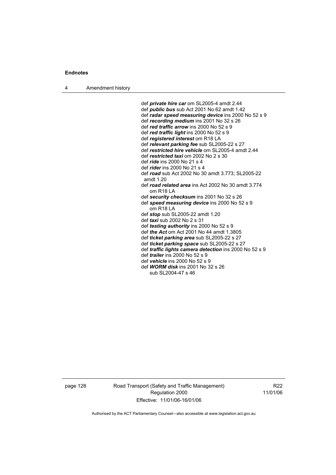4 Amendment history

 def *private hire car* om SL2005-4 amdt 2.44 def *public bus* sub Act 2001 No 62 amdt 1.42 def *radar speed measuring device* ins 2000 No 52 s 9 def *recording medium* ins 2001 No 32 s 26 def *red traffic arrow* ins 2000 No 52 s 9 def *red traffic light* ins 2000 No 52 s 9 def *registered interest* om R18 LA def *relevant parking fee* sub SL2005-22 s 27 def *restricted hire vehicle* om SL2005-4 amdt 2.44 def *restricted taxi* om 2002 No 2 s 30 def *ride* ins 2000 No 21 s 4 def *rider* ins 2000 No 21 s 4 def *road* sub Act 2002 No 30 amdt 3.773; SL2005-22 amdt 1.20 def *road related area* ins Act 2002 No 30 amdt 3.774 om R18 LA def *security checksum* ins 2001 No 32 s 26 def *speed measuring device* ins 2000 No 52 s 9 om R18 LA def *stop* sub SL2005-22 amdt 1.20 def *taxi* sub 2002 No 2 s 31 def *testing authority* ins 2000 No 52 s 9 def *the Act* om Act 2001 No 44 amdt 1.3805 def *ticket parking area* sub SL2005-22 s 27 def *ticket parking space* sub SL2005-22 s 27 def *traffic lights camera detection* ins 2000 No 52 s 9 def *trailer* ins 2000 No 52 s 9 def *vehicle* ins 2000 No 52 s 9 def *WORM disk* ins 2001 No 32 s 26 sub SL2004-47 s 46

page 128 Road Transport (Safety and Traffic Management) Regulation 2000 Effective: 11/01/06-16/01/06

R22 11/01/06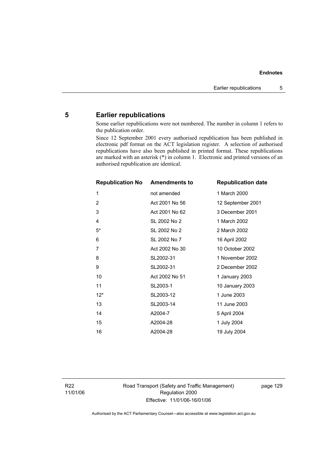## **5 Earlier republications**

Some earlier republications were not numbered. The number in column 1 refers to the publication order.

Since 12 September 2001 every authorised republication has been published in electronic pdf format on the ACT legislation register. A selection of authorised republications have also been published in printed format. These republications are marked with an asterisk (\*) in column 1. Electronic and printed versions of an authorised republication are identical.

| <b>Republication No</b> | <b>Amendments to</b> | <b>Republication date</b> |
|-------------------------|----------------------|---------------------------|
| 1                       | not amended          | 1 March 2000              |
| $\overline{2}$          | Act 2001 No 56       | 12 September 2001         |
| 3                       | Act 2001 No 62       | 3 December 2001           |
| 4                       | SL 2002 No 2         | 1 March 2002              |
| $5^*$                   | SL 2002 No 2         | 2 March 2002              |
| 6                       | SL 2002 No 7         | 16 April 2002             |
| 7                       | Act 2002 No 30       | 10 October 2002           |
| 8                       | SL2002-31            | 1 November 2002           |
| 9                       | SL2002-31            | 2 December 2002           |
| 10                      | Act 2002 No 51       | 1 January 2003            |
| 11                      | SL2003-1             | 10 January 2003           |
| $12*$                   | SL2003-12            | 1 June 2003               |
| 13                      | SL2003-14            | 11 June 2003              |
| 14                      | A2004-7              | 5 April 2004              |
| 15                      | A2004-28             | 1 July 2004               |
| 16                      | A2004-28             | 19 July 2004              |

Road Transport (Safety and Traffic Management) Regulation 2000 Effective: 11/01/06-16/01/06

page 129